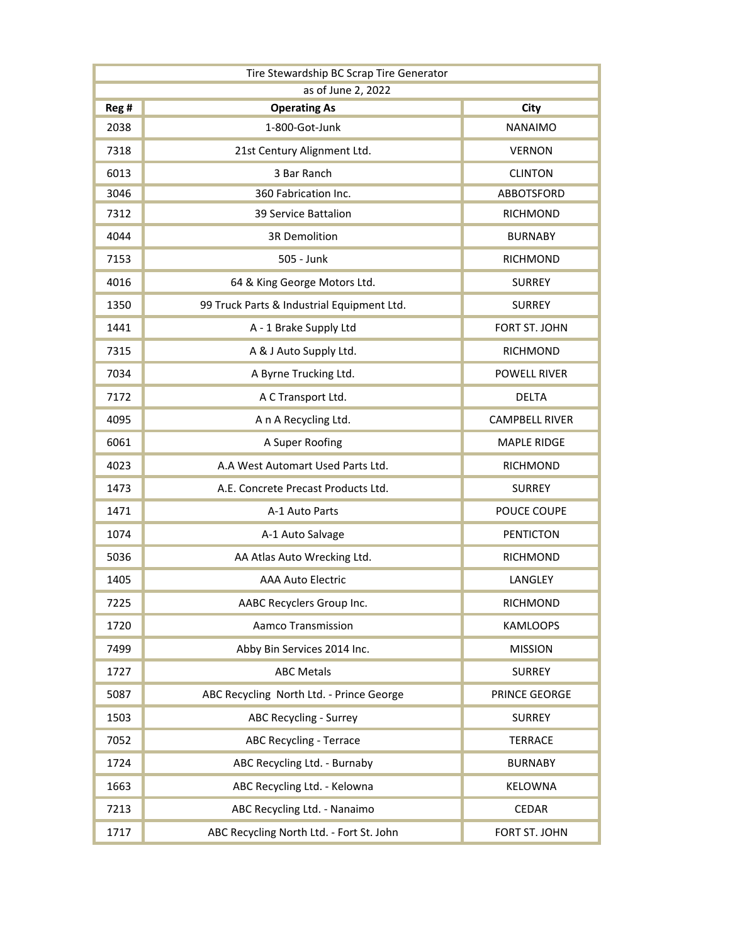| Tire Stewardship BC Scrap Tire Generator |                                            |                       |  |
|------------------------------------------|--------------------------------------------|-----------------------|--|
| as of June 2, 2022                       |                                            |                       |  |
| Reg #                                    | <b>Operating As</b>                        | City                  |  |
| 2038                                     | 1-800-Got-Junk                             | <b>NANAIMO</b>        |  |
| 7318                                     | 21st Century Alignment Ltd.                | <b>VERNON</b>         |  |
| 6013                                     | 3 Bar Ranch                                | <b>CLINTON</b>        |  |
| 3046                                     | 360 Fabrication Inc.                       | <b>ABBOTSFORD</b>     |  |
| 7312                                     | 39 Service Battalion                       | <b>RICHMOND</b>       |  |
| 4044                                     | <b>3R Demolition</b>                       | <b>BURNABY</b>        |  |
| 7153                                     | 505 - Junk                                 | <b>RICHMOND</b>       |  |
| 4016                                     | 64 & King George Motors Ltd.               | <b>SURREY</b>         |  |
| 1350                                     | 99 Truck Parts & Industrial Equipment Ltd. | <b>SURREY</b>         |  |
| 1441                                     | A - 1 Brake Supply Ltd                     | FORT ST. JOHN         |  |
| 7315                                     | A & J Auto Supply Ltd.                     | <b>RICHMOND</b>       |  |
| 7034                                     | A Byrne Trucking Ltd.                      | <b>POWELL RIVER</b>   |  |
| 7172                                     | A C Transport Ltd.                         | <b>DELTA</b>          |  |
| 4095                                     | A n A Recycling Ltd.                       | <b>CAMPBELL RIVER</b> |  |
| 6061                                     | A Super Roofing                            | <b>MAPLE RIDGE</b>    |  |
| 4023                                     | A.A West Automart Used Parts Ltd.          | <b>RICHMOND</b>       |  |
| 1473                                     | A.E. Concrete Precast Products Ltd.        | <b>SURREY</b>         |  |
| 1471                                     | A-1 Auto Parts                             | POUCE COUPE           |  |
| 1074                                     | A-1 Auto Salvage                           | <b>PENTICTON</b>      |  |
| 5036                                     | AA Atlas Auto Wrecking Ltd.                | <b>RICHMOND</b>       |  |
| 1405                                     | <b>AAA Auto Electric</b>                   | LANGLEY               |  |
| 7225                                     | AABC Recyclers Group Inc.                  | <b>RICHMOND</b>       |  |
| 1720                                     | <b>Aamco Transmission</b>                  | <b>KAMLOOPS</b>       |  |
| 7499                                     | Abby Bin Services 2014 Inc.                | <b>MISSION</b>        |  |
| 1727                                     | <b>ABC Metals</b>                          | <b>SURREY</b>         |  |
| 5087                                     | ABC Recycling North Ltd. - Prince George   | PRINCE GEORGE         |  |
| 1503                                     | <b>ABC Recycling - Surrey</b>              | <b>SURREY</b>         |  |
| 7052                                     | <b>ABC Recycling - Terrace</b>             | <b>TERRACE</b>        |  |
| 1724                                     | ABC Recycling Ltd. - Burnaby               | <b>BURNABY</b>        |  |
| 1663                                     | ABC Recycling Ltd. - Kelowna               | <b>KELOWNA</b>        |  |
| 7213                                     | ABC Recycling Ltd. - Nanaimo               | <b>CEDAR</b>          |  |
| 1717                                     | ABC Recycling North Ltd. - Fort St. John   | FORT ST. JOHN         |  |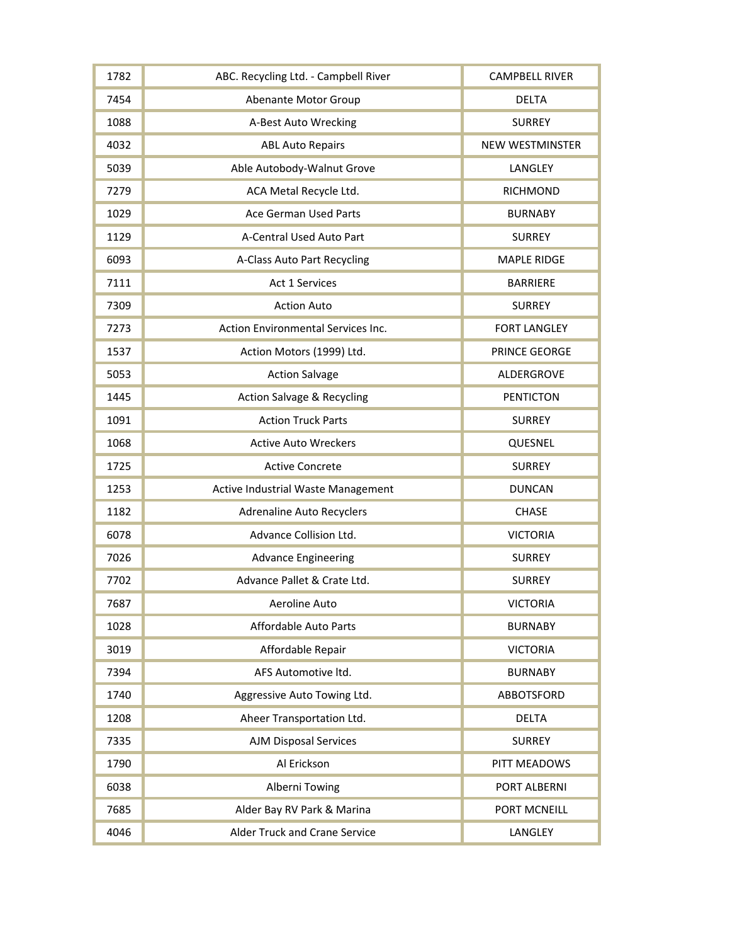| 1782 | ABC. Recycling Ltd. - Campbell River  | <b>CAMPBELL RIVER</b>  |
|------|---------------------------------------|------------------------|
| 7454 | Abenante Motor Group                  | <b>DELTA</b>           |
| 1088 | A-Best Auto Wrecking                  | <b>SURREY</b>          |
| 4032 | <b>ABL Auto Repairs</b>               | <b>NEW WESTMINSTER</b> |
| 5039 | Able Autobody-Walnut Grove            | LANGLEY                |
| 7279 | ACA Metal Recycle Ltd.                | <b>RICHMOND</b>        |
| 1029 | Ace German Used Parts                 | <b>BURNABY</b>         |
| 1129 | A-Central Used Auto Part              | <b>SURREY</b>          |
| 6093 | A-Class Auto Part Recycling           | <b>MAPLE RIDGE</b>     |
| 7111 | Act 1 Services                        | <b>BARRIERE</b>        |
| 7309 | <b>Action Auto</b>                    | <b>SURREY</b>          |
| 7273 | Action Environmental Services Inc.    | <b>FORT LANGLEY</b>    |
| 1537 | Action Motors (1999) Ltd.             | PRINCE GEORGE          |
| 5053 | <b>Action Salvage</b>                 | ALDERGROVE             |
| 1445 | <b>Action Salvage &amp; Recycling</b> | <b>PENTICTON</b>       |
| 1091 | <b>Action Truck Parts</b>             | <b>SURREY</b>          |
| 1068 | <b>Active Auto Wreckers</b>           | QUESNEL                |
| 1725 | <b>Active Concrete</b>                | <b>SURREY</b>          |
| 1253 | Active Industrial Waste Management    | <b>DUNCAN</b>          |
| 1182 | <b>Adrenaline Auto Recyclers</b>      | <b>CHASE</b>           |
| 6078 | Advance Collision Ltd.                | <b>VICTORIA</b>        |
| 7026 | <b>Advance Engineering</b>            | <b>SURREY</b>          |
| 7702 | Advance Pallet & Crate Ltd.           | <b>SURREY</b>          |
| 7687 | Aeroline Auto                         | <b>VICTORIA</b>        |
| 1028 | <b>Affordable Auto Parts</b>          | <b>BURNABY</b>         |
| 3019 | Affordable Repair                     | <b>VICTORIA</b>        |
| 7394 | AFS Automotive ltd.                   | <b>BURNABY</b>         |
| 1740 | Aggressive Auto Towing Ltd.           | ABBOTSFORD             |
| 1208 | Aheer Transportation Ltd.             | <b>DELTA</b>           |
| 7335 | <b>AJM Disposal Services</b>          | <b>SURREY</b>          |
| 1790 | Al Erickson                           | PITT MEADOWS           |
| 6038 | Alberni Towing                        | PORT ALBERNI           |
| 7685 | Alder Bay RV Park & Marina            | PORT MCNEILL           |
| 4046 | <b>Alder Truck and Crane Service</b>  | LANGLEY                |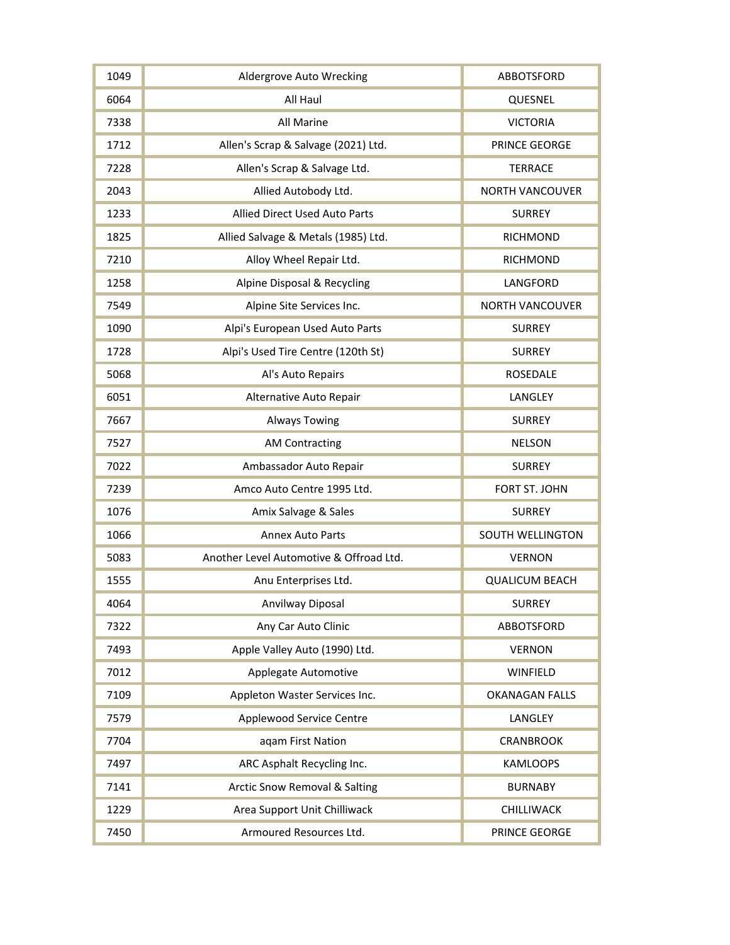| 1049 | Aldergrove Auto Wrecking                 | ABBOTSFORD              |
|------|------------------------------------------|-------------------------|
| 6064 | All Haul                                 | QUESNEL                 |
| 7338 | All Marine                               | <b>VICTORIA</b>         |
| 1712 | Allen's Scrap & Salvage (2021) Ltd.      | PRINCE GEORGE           |
| 7228 | Allen's Scrap & Salvage Ltd.             | <b>TERRACE</b>          |
| 2043 | Allied Autobody Ltd.                     | <b>NORTH VANCOUVER</b>  |
| 1233 | <b>Allied Direct Used Auto Parts</b>     | <b>SURREY</b>           |
| 1825 | Allied Salvage & Metals (1985) Ltd.      | <b>RICHMOND</b>         |
| 7210 | Alloy Wheel Repair Ltd.                  | <b>RICHMOND</b>         |
| 1258 | Alpine Disposal & Recycling              | LANGFORD                |
| 7549 | Alpine Site Services Inc.                | <b>NORTH VANCOUVER</b>  |
| 1090 | Alpi's European Used Auto Parts          | <b>SURREY</b>           |
| 1728 | Alpi's Used Tire Centre (120th St)       | <b>SURREY</b>           |
| 5068 | Al's Auto Repairs                        | <b>ROSEDALE</b>         |
| 6051 | Alternative Auto Repair                  | LANGLEY                 |
| 7667 | <b>Always Towing</b>                     | <b>SURREY</b>           |
| 7527 | <b>AM Contracting</b>                    | <b>NELSON</b>           |
| 7022 | Ambassador Auto Repair                   | <b>SURREY</b>           |
| 7239 | Amco Auto Centre 1995 Ltd.               | FORT ST. JOHN           |
| 1076 | Amix Salvage & Sales                     | <b>SURREY</b>           |
| 1066 | <b>Annex Auto Parts</b>                  | <b>SOUTH WELLINGTON</b> |
| 5083 | Another Level Automotive & Offroad Ltd.  | <b>VERNON</b>           |
| 1555 | Anu Enterprises Ltd.                     | <b>QUALICUM BEACH</b>   |
| 4064 | Anvilway Diposal                         | <b>SURREY</b>           |
| 7322 | Any Car Auto Clinic                      | <b>ABBOTSFORD</b>       |
| 7493 | Apple Valley Auto (1990) Ltd.            | <b>VERNON</b>           |
| 7012 | Applegate Automotive                     | WINFIELD                |
| 7109 | Appleton Waster Services Inc.            | <b>OKANAGAN FALLS</b>   |
| 7579 | Applewood Service Centre                 | LANGLEY                 |
| 7704 | aqam First Nation                        | <b>CRANBROOK</b>        |
| 7497 | ARC Asphalt Recycling Inc.               | <b>KAMLOOPS</b>         |
| 7141 | <b>Arctic Snow Removal &amp; Salting</b> | <b>BURNABY</b>          |
| 1229 | Area Support Unit Chilliwack             | <b>CHILLIWACK</b>       |
| 7450 | Armoured Resources Ltd.                  | PRINCE GEORGE           |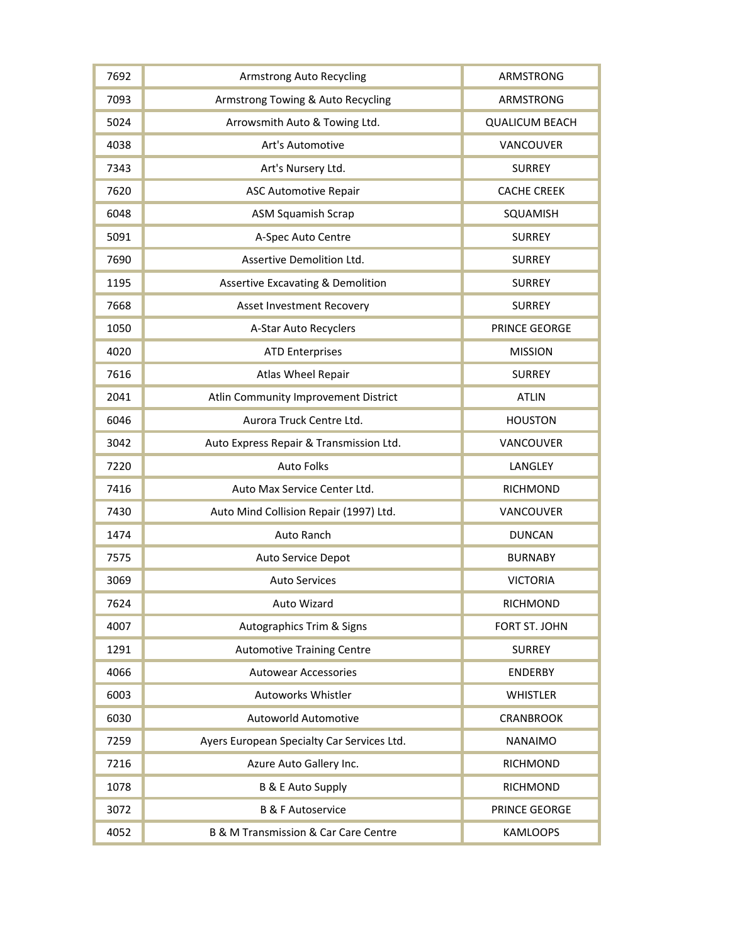| 7692 | <b>Armstrong Auto Recycling</b>              | ARMSTRONG             |
|------|----------------------------------------------|-----------------------|
| 7093 | Armstrong Towing & Auto Recycling            | ARMSTRONG             |
| 5024 | Arrowsmith Auto & Towing Ltd.                | <b>QUALICUM BEACH</b> |
| 4038 | Art's Automotive                             | VANCOUVER             |
| 7343 | Art's Nursery Ltd.                           | <b>SURREY</b>         |
| 7620 | <b>ASC Automotive Repair</b>                 | <b>CACHE CREEK</b>    |
| 6048 | <b>ASM Squamish Scrap</b>                    | SQUAMISH              |
| 5091 | A-Spec Auto Centre                           | <b>SURREY</b>         |
| 7690 | Assertive Demolition Ltd.                    | <b>SURREY</b>         |
| 1195 | <b>Assertive Excavating &amp; Demolition</b> | <b>SURREY</b>         |
| 7668 | Asset Investment Recovery                    | <b>SURREY</b>         |
| 1050 | A-Star Auto Recyclers                        | PRINCE GEORGE         |
| 4020 | <b>ATD Enterprises</b>                       | <b>MISSION</b>        |
| 7616 | Atlas Wheel Repair                           | <b>SURREY</b>         |
| 2041 | Atlin Community Improvement District         | <b>ATLIN</b>          |
| 6046 | Aurora Truck Centre Ltd.                     | <b>HOUSTON</b>        |
| 3042 | Auto Express Repair & Transmission Ltd.      | VANCOUVER             |
| 7220 | <b>Auto Folks</b>                            | LANGLEY               |
| 7416 | Auto Max Service Center Ltd.                 | <b>RICHMOND</b>       |
| 7430 | Auto Mind Collision Repair (1997) Ltd.       | VANCOUVER             |
| 1474 | Auto Ranch                                   | <b>DUNCAN</b>         |
| 7575 | Auto Service Depot                           | <b>BURNABY</b>        |
| 3069 | <b>Auto Services</b>                         | <b>VICTORIA</b>       |
| 7624 | Auto Wizard                                  | <b>RICHMOND</b>       |
| 4007 | Autographics Trim & Signs                    | FORT ST. JOHN         |
| 1291 | <b>Automotive Training Centre</b>            | <b>SURREY</b>         |
| 4066 | <b>Autowear Accessories</b>                  | <b>ENDERBY</b>        |
| 6003 | <b>Autoworks Whistler</b>                    | <b>WHISTLER</b>       |
| 6030 | Autoworld Automotive                         | <b>CRANBROOK</b>      |
| 7259 | Ayers European Specialty Car Services Ltd.   | <b>NANAIMO</b>        |
| 7216 | Azure Auto Gallery Inc.                      | <b>RICHMOND</b>       |
| 1078 | <b>B &amp; E Auto Supply</b>                 | <b>RICHMOND</b>       |
| 3072 | <b>B &amp; F Autoservice</b>                 | PRINCE GEORGE         |
| 4052 | B & M Transmission & Car Care Centre         | <b>KAMLOOPS</b>       |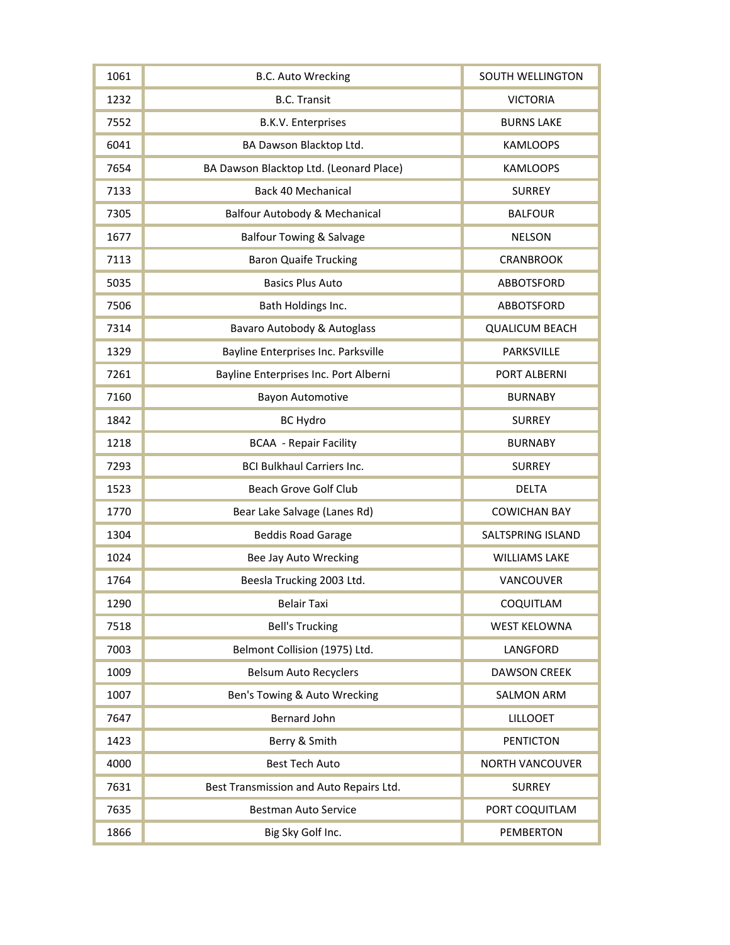| 1061 | <b>B.C. Auto Wrecking</b>                | <b>SOUTH WELLINGTON</b> |
|------|------------------------------------------|-------------------------|
| 1232 | <b>B.C. Transit</b>                      | <b>VICTORIA</b>         |
| 7552 | <b>B.K.V. Enterprises</b>                | <b>BURNS LAKE</b>       |
| 6041 | BA Dawson Blacktop Ltd.                  | <b>KAMLOOPS</b>         |
| 7654 | BA Dawson Blacktop Ltd. (Leonard Place)  | <b>KAMLOOPS</b>         |
| 7133 | <b>Back 40 Mechanical</b>                | <b>SURREY</b>           |
| 7305 | <b>Balfour Autobody &amp; Mechanical</b> | <b>BALFOUR</b>          |
| 1677 | <b>Balfour Towing &amp; Salvage</b>      | <b>NELSON</b>           |
| 7113 | <b>Baron Quaife Trucking</b>             | <b>CRANBROOK</b>        |
| 5035 | <b>Basics Plus Auto</b>                  | <b>ABBOTSFORD</b>       |
| 7506 | Bath Holdings Inc.                       | ABBOTSFORD              |
| 7314 | Bavaro Autobody & Autoglass              | <b>QUALICUM BEACH</b>   |
| 1329 | Bayline Enterprises Inc. Parksville      | PARKSVILLE              |
| 7261 | Bayline Enterprises Inc. Port Alberni    | PORT ALBERNI            |
| 7160 | <b>Bayon Automotive</b>                  | <b>BURNABY</b>          |
| 1842 | <b>BC Hydro</b>                          | <b>SURREY</b>           |
| 1218 | <b>BCAA</b> - Repair Facility            | <b>BURNABY</b>          |
| 7293 | <b>BCI Bulkhaul Carriers Inc.</b>        | <b>SURREY</b>           |
| 1523 | Beach Grove Golf Club                    | <b>DELTA</b>            |
| 1770 | Bear Lake Salvage (Lanes Rd)             | <b>COWICHAN BAY</b>     |
| 1304 | <b>Beddis Road Garage</b>                | SALTSPRING ISLAND       |
| 1024 | Bee Jay Auto Wrecking                    | <b>WILLIAMS LAKE</b>    |
| 1764 | Beesla Trucking 2003 Ltd.                | VANCOUVER               |
| 1290 | <b>Belair Taxi</b>                       | COQUITLAM               |
| 7518 | <b>Bell's Trucking</b>                   | <b>WEST KELOWNA</b>     |
| 7003 | Belmont Collision (1975) Ltd.            | LANGFORD                |
| 1009 | <b>Belsum Auto Recyclers</b>             | <b>DAWSON CREEK</b>     |
| 1007 | Ben's Towing & Auto Wrecking             | <b>SALMON ARM</b>       |
| 7647 | <b>Bernard John</b>                      | <b>LILLOOET</b>         |
| 1423 | Berry & Smith                            | <b>PENTICTON</b>        |
| 4000 | <b>Best Tech Auto</b>                    | <b>NORTH VANCOUVER</b>  |
| 7631 | Best Transmission and Auto Repairs Ltd.  | <b>SURREY</b>           |
| 7635 | <b>Bestman Auto Service</b>              | PORT COQUITLAM          |
| 1866 | Big Sky Golf Inc.                        | <b>PEMBERTON</b>        |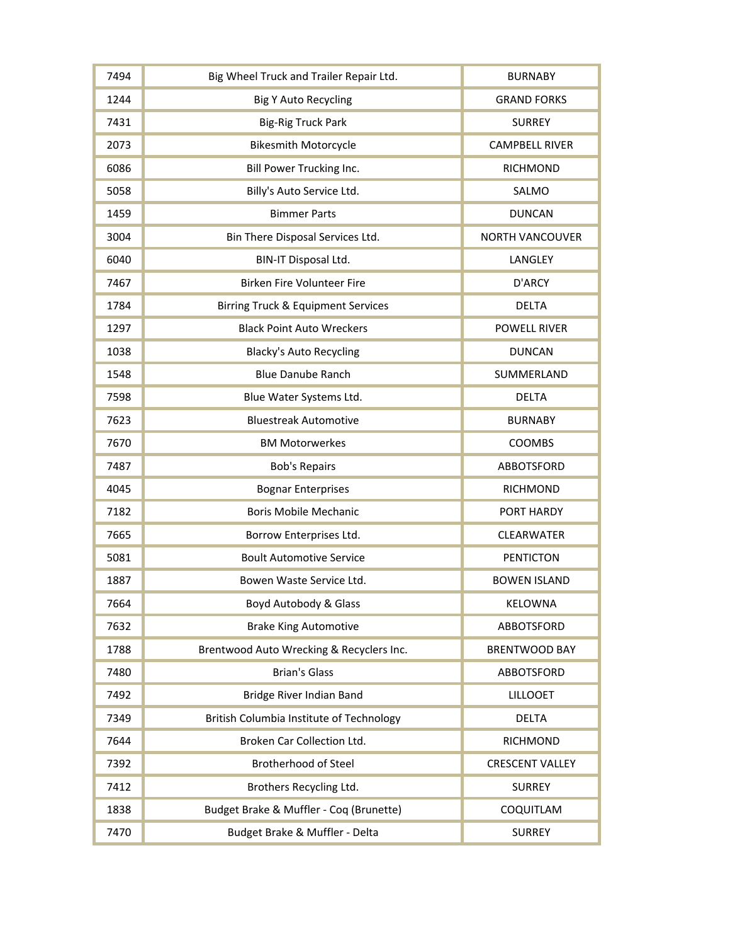| 7494 | Big Wheel Truck and Trailer Repair Ltd.       | <b>BURNABY</b>         |
|------|-----------------------------------------------|------------------------|
| 1244 | <b>Big Y Auto Recycling</b>                   | <b>GRAND FORKS</b>     |
| 7431 | <b>Big-Rig Truck Park</b>                     | <b>SURREY</b>          |
| 2073 | <b>Bikesmith Motorcycle</b>                   | <b>CAMPBELL RIVER</b>  |
| 6086 | Bill Power Trucking Inc.                      | <b>RICHMOND</b>        |
| 5058 | Billy's Auto Service Ltd.                     | SALMO                  |
| 1459 | <b>Bimmer Parts</b>                           | <b>DUNCAN</b>          |
| 3004 | Bin There Disposal Services Ltd.              | <b>NORTH VANCOUVER</b> |
| 6040 | BIN-IT Disposal Ltd.                          | LANGLEY                |
| 7467 | Birken Fire Volunteer Fire                    | D'ARCY                 |
| 1784 | <b>Birring Truck &amp; Equipment Services</b> | <b>DELTA</b>           |
| 1297 | <b>Black Point Auto Wreckers</b>              | <b>POWELL RIVER</b>    |
| 1038 | <b>Blacky's Auto Recycling</b>                | <b>DUNCAN</b>          |
| 1548 | <b>Blue Danube Ranch</b>                      | SUMMERLAND             |
| 7598 | Blue Water Systems Ltd.                       | <b>DELTA</b>           |
| 7623 | <b>Bluestreak Automotive</b>                  | <b>BURNABY</b>         |
| 7670 | <b>BM Motorwerkes</b>                         | COOMBS                 |
| 7487 | <b>Bob's Repairs</b>                          | ABBOTSFORD             |
| 4045 | <b>Bognar Enterprises</b>                     | <b>RICHMOND</b>        |
| 7182 | <b>Boris Mobile Mechanic</b>                  | PORT HARDY             |
| 7665 | Borrow Enterprises Ltd.                       | <b>CLEARWATER</b>      |
| 5081 | <b>Boult Automotive Service</b>               | <b>PENTICTON</b>       |
| 1887 | Bowen Waste Service Ltd.                      | <b>BOWEN ISLAND</b>    |
| 7664 | Boyd Autobody & Glass                         | KELOWNA                |
| 7632 | <b>Brake King Automotive</b>                  | ABBOTSFORD             |
| 1788 | Brentwood Auto Wrecking & Recyclers Inc.      | <b>BRENTWOOD BAY</b>   |
| 7480 | <b>Brian's Glass</b>                          | ABBOTSFORD             |
| 7492 | Bridge River Indian Band                      | <b>LILLOOET</b>        |
| 7349 | British Columbia Institute of Technology      | <b>DELTA</b>           |
| 7644 | Broken Car Collection Ltd.                    | <b>RICHMOND</b>        |
| 7392 | <b>Brotherhood of Steel</b>                   | <b>CRESCENT VALLEY</b> |
| 7412 | Brothers Recycling Ltd.                       | <b>SURREY</b>          |
| 1838 | Budget Brake & Muffler - Coq (Brunette)       | COQUITLAM              |
| 7470 | Budget Brake & Muffler - Delta                | <b>SURREY</b>          |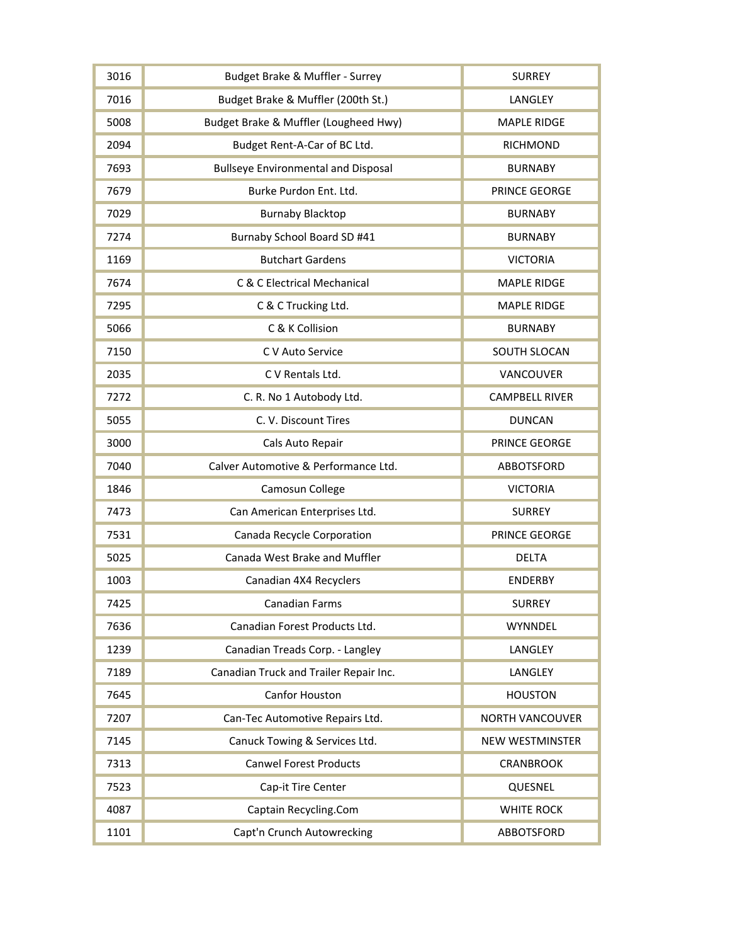| 3016 | Budget Brake & Muffler - Surrey            | <b>SURREY</b>          |
|------|--------------------------------------------|------------------------|
| 7016 | Budget Brake & Muffler (200th St.)         | LANGLEY                |
| 5008 | Budget Brake & Muffler (Lougheed Hwy)      | <b>MAPLE RIDGE</b>     |
| 2094 | Budget Rent-A-Car of BC Ltd.               | <b>RICHMOND</b>        |
| 7693 | <b>Bullseye Environmental and Disposal</b> | <b>BURNABY</b>         |
| 7679 | Burke Purdon Ent. Ltd.                     | PRINCE GEORGE          |
| 7029 | <b>Burnaby Blacktop</b>                    | <b>BURNABY</b>         |
| 7274 | Burnaby School Board SD #41                | <b>BURNABY</b>         |
| 1169 | <b>Butchart Gardens</b>                    | <b>VICTORIA</b>        |
| 7674 | C & C Electrical Mechanical                | <b>MAPLE RIDGE</b>     |
| 7295 | C & C Trucking Ltd.                        | <b>MAPLE RIDGE</b>     |
| 5066 | C & K Collision                            | <b>BURNABY</b>         |
| 7150 | C V Auto Service                           | <b>SOUTH SLOCAN</b>    |
| 2035 | C V Rentals Ltd.                           | VANCOUVER              |
| 7272 | C. R. No 1 Autobody Ltd.                   | <b>CAMPBELL RIVER</b>  |
| 5055 | C. V. Discount Tires                       | <b>DUNCAN</b>          |
| 3000 | Cals Auto Repair                           | PRINCE GEORGE          |
| 7040 | Calver Automotive & Performance Ltd.       | ABBOTSFORD             |
| 1846 | Camosun College                            | <b>VICTORIA</b>        |
| 7473 | Can American Enterprises Ltd.              | <b>SURREY</b>          |
| 7531 | Canada Recycle Corporation                 | PRINCE GEORGE          |
| 5025 | Canada West Brake and Muffler              | <b>DELTA</b>           |
| 1003 | Canadian 4X4 Recyclers                     | <b>ENDERBY</b>         |
| 7425 | <b>Canadian Farms</b>                      | <b>SURREY</b>          |
| 7636 | Canadian Forest Products Ltd.              | <b>WYNNDEL</b>         |
| 1239 | Canadian Treads Corp. - Langley            | LANGLEY                |
| 7189 | Canadian Truck and Trailer Repair Inc.     | LANGLEY                |
| 7645 | Canfor Houston                             | <b>HOUSTON</b>         |
| 7207 | Can-Tec Automotive Repairs Ltd.            | <b>NORTH VANCOUVER</b> |
| 7145 | Canuck Towing & Services Ltd.              | <b>NEW WESTMINSTER</b> |
| 7313 | <b>Canwel Forest Products</b>              | <b>CRANBROOK</b>       |
| 7523 | Cap-it Tire Center                         | QUESNEL                |
| 4087 | Captain Recycling.Com                      | <b>WHITE ROCK</b>      |
| 1101 | Capt'n Crunch Autowrecking                 | <b>ABBOTSFORD</b>      |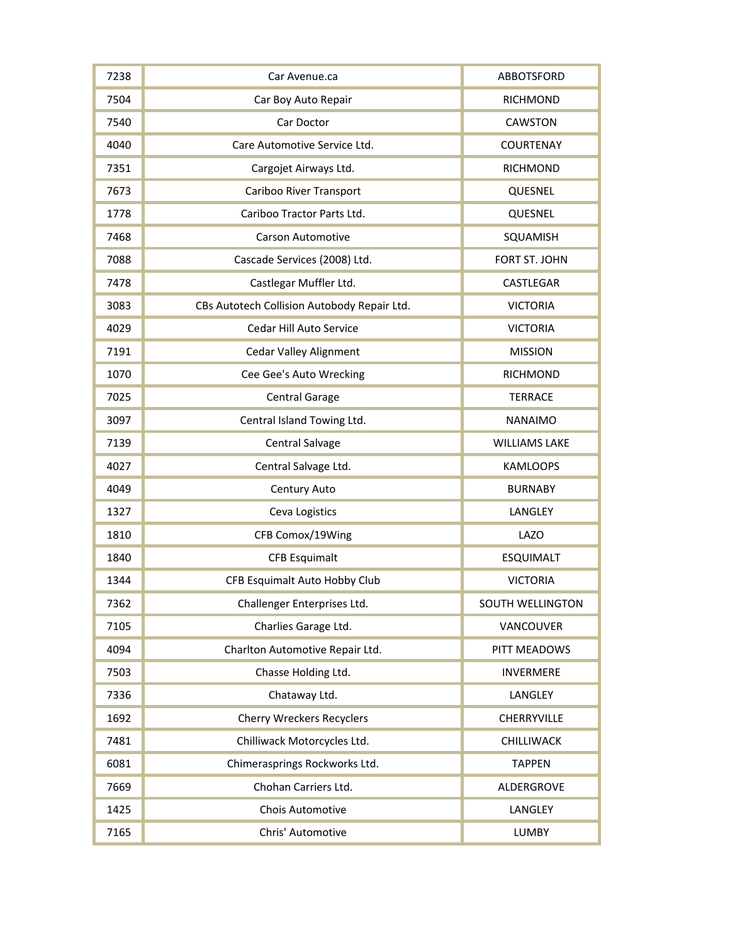| 7238 | Car Avenue.ca                               | <b>ABBOTSFORD</b>       |
|------|---------------------------------------------|-------------------------|
| 7504 | Car Boy Auto Repair                         | <b>RICHMOND</b>         |
| 7540 | Car Doctor                                  | <b>CAWSTON</b>          |
| 4040 | Care Automotive Service Ltd.                | <b>COURTENAY</b>        |
| 7351 | Cargojet Airways Ltd.                       | <b>RICHMOND</b>         |
| 7673 | Cariboo River Transport                     | QUESNEL                 |
| 1778 | Cariboo Tractor Parts Ltd.                  | QUESNEL                 |
| 7468 | <b>Carson Automotive</b>                    | SQUAMISH                |
| 7088 | Cascade Services (2008) Ltd.                | FORT ST. JOHN           |
| 7478 | Castlegar Muffler Ltd.                      | CASTLEGAR               |
| 3083 | CBs Autotech Collision Autobody Repair Ltd. | <b>VICTORIA</b>         |
| 4029 | Cedar Hill Auto Service                     | <b>VICTORIA</b>         |
| 7191 | <b>Cedar Valley Alignment</b>               | <b>MISSION</b>          |
| 1070 | Cee Gee's Auto Wrecking                     | <b>RICHMOND</b>         |
| 7025 | <b>Central Garage</b>                       | <b>TERRACE</b>          |
| 3097 | Central Island Towing Ltd.                  | <b>NANAIMO</b>          |
| 7139 | Central Salvage                             | <b>WILLIAMS LAKE</b>    |
| 4027 | Central Salvage Ltd.                        | <b>KAMLOOPS</b>         |
| 4049 | Century Auto                                | <b>BURNABY</b>          |
| 1327 | Ceva Logistics                              | LANGLEY                 |
| 1810 | CFB Comox/19Wing                            | <b>LAZO</b>             |
| 1840 | <b>CFB Esquimalt</b>                        | <b>ESQUIMALT</b>        |
| 1344 | CFB Esquimalt Auto Hobby Club               | <b>VICTORIA</b>         |
| 7362 | Challenger Enterprises Ltd.                 | <b>SOUTH WELLINGTON</b> |
| 7105 | Charlies Garage Ltd.                        | VANCOUVER               |
| 4094 | Charlton Automotive Repair Ltd.             | PITT MEADOWS            |
| 7503 | Chasse Holding Ltd.                         | <b>INVERMERE</b>        |
| 7336 | Chataway Ltd.                               | LANGLEY                 |
| 1692 | <b>Cherry Wreckers Recyclers</b>            | CHERRYVILLE             |
| 7481 | Chilliwack Motorcycles Ltd.                 | CHILLIWACK              |
| 6081 | Chimerasprings Rockworks Ltd.               | <b>TAPPEN</b>           |
| 7669 | Chohan Carriers Ltd.                        | ALDERGROVE              |
| 1425 | Chois Automotive                            | LANGLEY                 |
| 7165 | Chris' Automotive                           | <b>LUMBY</b>            |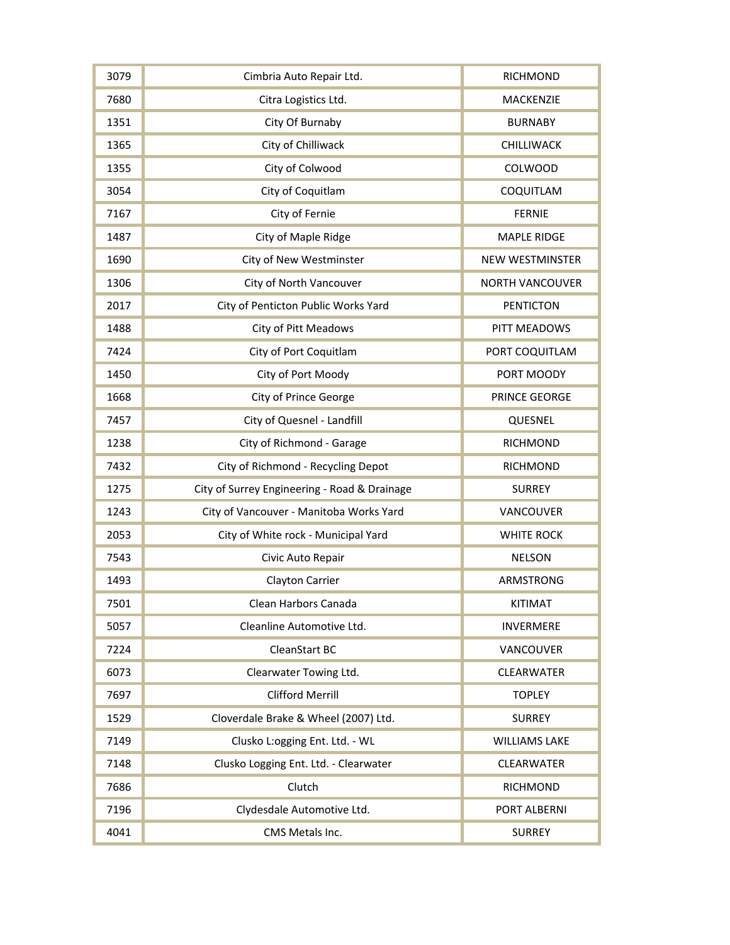| 3079 | Cimbria Auto Repair Ltd.                     | <b>RICHMOND</b>        |
|------|----------------------------------------------|------------------------|
| 7680 | Citra Logistics Ltd.                         | MACKENZIE              |
| 1351 | City Of Burnaby                              | <b>BURNABY</b>         |
| 1365 | City of Chilliwack                           | CHILLIWACK             |
| 1355 | City of Colwood                              | COLWOOD                |
| 3054 | City of Coquitlam                            | COQUITLAM              |
| 7167 | City of Fernie                               | <b>FERNIE</b>          |
| 1487 | City of Maple Ridge                          | <b>MAPLE RIDGE</b>     |
| 1690 | City of New Westminster                      | <b>NEW WESTMINSTER</b> |
| 1306 | City of North Vancouver                      | <b>NORTH VANCOUVER</b> |
| 2017 | City of Penticton Public Works Yard          | <b>PENTICTON</b>       |
| 1488 | <b>City of Pitt Meadows</b>                  | PITT MEADOWS           |
| 7424 | City of Port Coquitlam                       | PORT COQUITLAM         |
| 1450 | City of Port Moody                           | PORT MOODY             |
| 1668 | <b>City of Prince George</b>                 | PRINCE GEORGE          |
| 7457 | City of Quesnel - Landfill                   | QUESNEL                |
| 1238 | City of Richmond - Garage                    | <b>RICHMOND</b>        |
| 7432 | City of Richmond - Recycling Depot           | <b>RICHMOND</b>        |
| 1275 | City of Surrey Engineering - Road & Drainage | <b>SURREY</b>          |
| 1243 | City of Vancouver - Manitoba Works Yard      | VANCOUVER              |
| 2053 | City of White rock - Municipal Yard          | <b>WHITE ROCK</b>      |
| 7543 | Civic Auto Repair                            | <b>NELSON</b>          |
| 1493 | Clayton Carrier                              | ARMSTRONG              |
| 7501 | Clean Harbors Canada                         | <b>KITIMAT</b>         |
| 5057 | Cleanline Automotive Ltd.                    | <b>INVERMERE</b>       |
| 7224 | <b>CleanStart BC</b>                         | VANCOUVER              |
| 6073 | Clearwater Towing Ltd.                       | CLEARWATER             |
| 7697 | <b>Clifford Merrill</b>                      | <b>TOPLEY</b>          |
| 1529 | Cloverdale Brake & Wheel (2007) Ltd.         | <b>SURREY</b>          |
| 7149 | Clusko L:ogging Ent. Ltd. - WL               | <b>WILLIAMS LAKE</b>   |
| 7148 | Clusko Logging Ent. Ltd. - Clearwater        | CLEARWATER             |
| 7686 | Clutch                                       | <b>RICHMOND</b>        |
| 7196 | Clydesdale Automotive Ltd.                   | PORT ALBERNI           |
| 4041 | CMS Metals Inc.                              | <b>SURREY</b>          |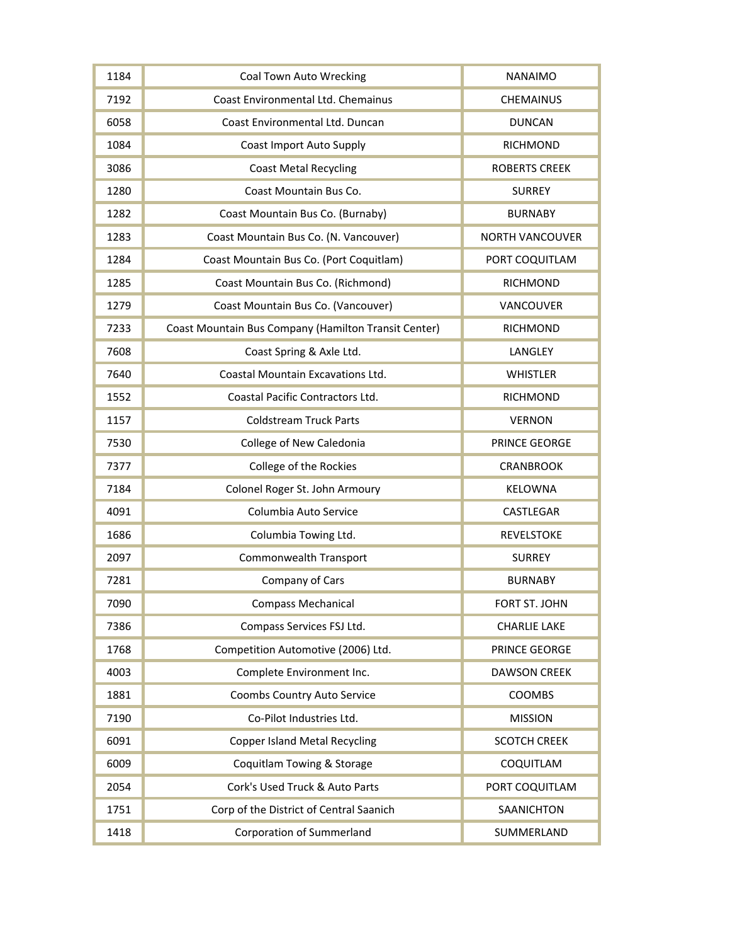| 1184 | <b>Coal Town Auto Wrecking</b>                       | <b>NANAIMO</b>         |
|------|------------------------------------------------------|------------------------|
| 7192 | Coast Environmental Ltd. Chemainus                   | <b>CHEMAINUS</b>       |
| 6058 | Coast Environmental Ltd. Duncan                      | <b>DUNCAN</b>          |
| 1084 | <b>Coast Import Auto Supply</b>                      | <b>RICHMOND</b>        |
| 3086 | <b>Coast Metal Recycling</b>                         | <b>ROBERTS CREEK</b>   |
| 1280 | Coast Mountain Bus Co.                               | <b>SURREY</b>          |
| 1282 | Coast Mountain Bus Co. (Burnaby)                     | <b>BURNABY</b>         |
| 1283 | Coast Mountain Bus Co. (N. Vancouver)                | <b>NORTH VANCOUVER</b> |
| 1284 | Coast Mountain Bus Co. (Port Coquitlam)              | PORT COQUITLAM         |
| 1285 | Coast Mountain Bus Co. (Richmond)                    | <b>RICHMOND</b>        |
| 1279 | Coast Mountain Bus Co. (Vancouver)                   | VANCOUVER              |
| 7233 | Coast Mountain Bus Company (Hamilton Transit Center) | <b>RICHMOND</b>        |
| 7608 | Coast Spring & Axle Ltd.                             | LANGLEY                |
| 7640 | Coastal Mountain Excavations Ltd.                    | <b>WHISTLER</b>        |
| 1552 | Coastal Pacific Contractors Ltd.                     | <b>RICHMOND</b>        |
| 1157 | <b>Coldstream Truck Parts</b>                        | <b>VERNON</b>          |
| 7530 | College of New Caledonia                             | PRINCE GEORGE          |
| 7377 | College of the Rockies                               | <b>CRANBROOK</b>       |
| 7184 | Colonel Roger St. John Armoury                       | <b>KELOWNA</b>         |
| 4091 | Columbia Auto Service                                | CASTLEGAR              |
| 1686 | Columbia Towing Ltd.                                 | <b>REVELSTOKE</b>      |
| 2097 | Commonwealth Transport                               | <b>SURREY</b>          |
| 7281 | Company of Cars                                      | <b>BURNABY</b>         |
| 7090 | <b>Compass Mechanical</b>                            | FORT ST. JOHN          |
| 7386 | Compass Services FSJ Ltd.                            | <b>CHARLIE LAKE</b>    |
| 1768 | Competition Automotive (2006) Ltd.                   | PRINCE GEORGE          |
| 4003 | Complete Environment Inc.                            | <b>DAWSON CREEK</b>    |
| 1881 | Coombs Country Auto Service                          | COOMBS                 |
| 7190 | Co-Pilot Industries Ltd.                             | <b>MISSION</b>         |
| 6091 | <b>Copper Island Metal Recycling</b>                 | <b>SCOTCH CREEK</b>    |
| 6009 | Coquitlam Towing & Storage                           | COQUITLAM              |
| 2054 | Cork's Used Truck & Auto Parts                       | PORT COQUITLAM         |
| 1751 | Corp of the District of Central Saanich              | SAANICHTON             |
| 1418 | <b>Corporation of Summerland</b>                     | SUMMERLAND             |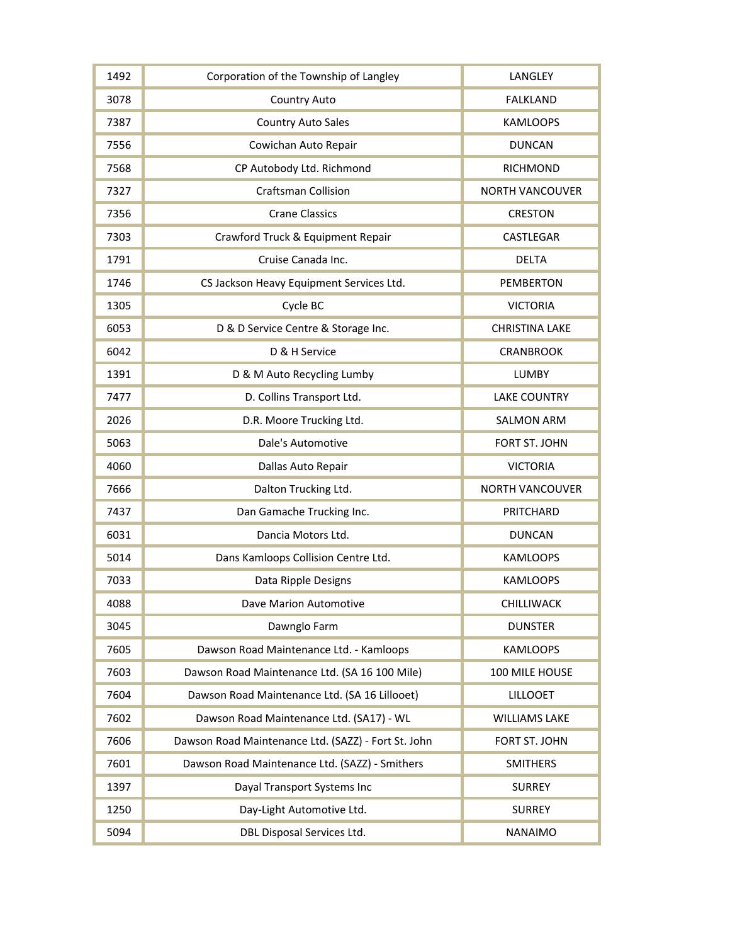| 1492 | Corporation of the Township of Langley              | LANGLEY                |
|------|-----------------------------------------------------|------------------------|
| 3078 | <b>Country Auto</b>                                 | <b>FALKLAND</b>        |
| 7387 | <b>Country Auto Sales</b>                           | <b>KAMLOOPS</b>        |
| 7556 | Cowichan Auto Repair                                | <b>DUNCAN</b>          |
| 7568 | CP Autobody Ltd. Richmond                           | <b>RICHMOND</b>        |
| 7327 | <b>Craftsman Collision</b>                          | <b>NORTH VANCOUVER</b> |
| 7356 | <b>Crane Classics</b>                               | <b>CRESTON</b>         |
| 7303 | Crawford Truck & Equipment Repair                   | CASTLEGAR              |
| 1791 | Cruise Canada Inc.                                  | <b>DELTA</b>           |
| 1746 | CS Jackson Heavy Equipment Services Ltd.            | <b>PEMBERTON</b>       |
| 1305 | Cycle BC                                            | <b>VICTORIA</b>        |
| 6053 | D & D Service Centre & Storage Inc.                 | <b>CHRISTINA LAKE</b>  |
| 6042 | D & H Service                                       | <b>CRANBROOK</b>       |
| 1391 | D & M Auto Recycling Lumby                          | <b>LUMBY</b>           |
| 7477 | D. Collins Transport Ltd.                           | <b>LAKE COUNTRY</b>    |
| 2026 | D.R. Moore Trucking Ltd.                            | <b>SALMON ARM</b>      |
| 5063 | Dale's Automotive                                   | FORT ST. JOHN          |
| 4060 | Dallas Auto Repair                                  | <b>VICTORIA</b>        |
| 7666 | Dalton Trucking Ltd.                                | <b>NORTH VANCOUVER</b> |
| 7437 | Dan Gamache Trucking Inc.                           | PRITCHARD              |
| 6031 | Dancia Motors Ltd.                                  | <b>DUNCAN</b>          |
| 5014 | Dans Kamloops Collision Centre Ltd.                 | <b>KAMLOOPS</b>        |
| 7033 | Data Ripple Designs                                 | <b>KAMLOOPS</b>        |
| 4088 | Dave Marion Automotive                              | CHILLIWACK             |
| 3045 | Dawnglo Farm                                        | <b>DUNSTER</b>         |
| 7605 | Dawson Road Maintenance Ltd. - Kamloops             | <b>KAMLOOPS</b>        |
| 7603 | Dawson Road Maintenance Ltd. (SA 16 100 Mile)       | 100 MILE HOUSE         |
| 7604 | Dawson Road Maintenance Ltd. (SA 16 Lillooet)       | <b>LILLOOET</b>        |
| 7602 | Dawson Road Maintenance Ltd. (SA17) - WL            | <b>WILLIAMS LAKE</b>   |
| 7606 | Dawson Road Maintenance Ltd. (SAZZ) - Fort St. John | FORT ST. JOHN          |
| 7601 | Dawson Road Maintenance Ltd. (SAZZ) - Smithers      | <b>SMITHERS</b>        |
| 1397 | Dayal Transport Systems Inc                         | <b>SURREY</b>          |
| 1250 | Day-Light Automotive Ltd.                           | <b>SURREY</b>          |
| 5094 | DBL Disposal Services Ltd.                          | <b>NANAIMO</b>         |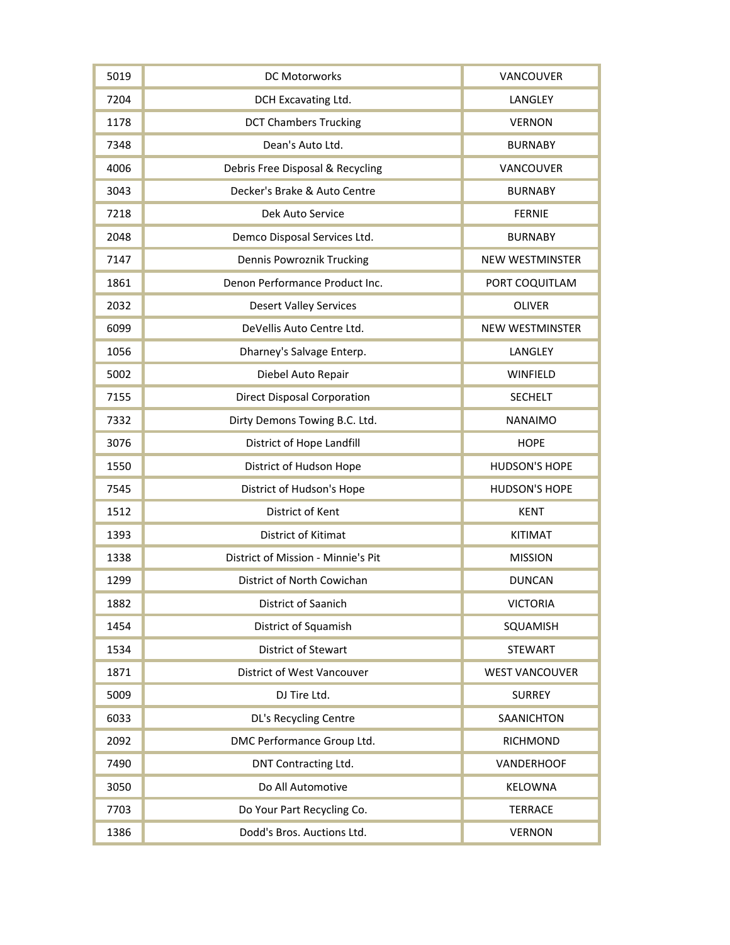| 5019 | DC Motorworks                      | VANCOUVER              |
|------|------------------------------------|------------------------|
| 7204 | DCH Excavating Ltd.                | LANGLEY                |
| 1178 | <b>DCT Chambers Trucking</b>       | <b>VERNON</b>          |
| 7348 | Dean's Auto Ltd.                   | <b>BURNABY</b>         |
| 4006 | Debris Free Disposal & Recycling   | VANCOUVER              |
| 3043 | Decker's Brake & Auto Centre       | <b>BURNABY</b>         |
| 7218 | Dek Auto Service                   | <b>FERNIE</b>          |
| 2048 | Demco Disposal Services Ltd.       | <b>BURNABY</b>         |
| 7147 | <b>Dennis Powroznik Trucking</b>   | <b>NEW WESTMINSTER</b> |
| 1861 | Denon Performance Product Inc.     | PORT COQUITLAM         |
| 2032 | <b>Desert Valley Services</b>      | <b>OLIVER</b>          |
| 6099 | DeVellis Auto Centre Ltd.          | <b>NEW WESTMINSTER</b> |
| 1056 | Dharney's Salvage Enterp.          | LANGLEY                |
| 5002 | Diebel Auto Repair                 | WINFIELD               |
| 7155 | <b>Direct Disposal Corporation</b> | <b>SECHELT</b>         |
| 7332 | Dirty Demons Towing B.C. Ltd.      | <b>NANAIMO</b>         |
| 3076 | District of Hope Landfill          | <b>HOPE</b>            |
| 1550 | District of Hudson Hope            | <b>HUDSON'S HOPE</b>   |
| 7545 | District of Hudson's Hope          | <b>HUDSON'S HOPE</b>   |
| 1512 | District of Kent                   | <b>KENT</b>            |
| 1393 | District of Kitimat                | <b>KITIMAT</b>         |
| 1338 | District of Mission - Minnie's Pit | <b>MISSION</b>         |
| 1299 | District of North Cowichan         | <b>DUNCAN</b>          |
| 1882 | District of Saanich                | <b>VICTORIA</b>        |
| 1454 | District of Squamish               | SQUAMISH               |
| 1534 | <b>District of Stewart</b>         | <b>STEWART</b>         |
| 1871 | <b>District of West Vancouver</b>  | <b>WEST VANCOUVER</b>  |
| 5009 | DJ Tire Ltd.                       | <b>SURREY</b>          |
| 6033 | DL's Recycling Centre              | SAANICHTON             |
| 2092 | DMC Performance Group Ltd.         | <b>RICHMOND</b>        |
| 7490 | DNT Contracting Ltd.               | <b>VANDERHOOF</b>      |
| 3050 | Do All Automotive                  | KELOWNA                |
| 7703 | Do Your Part Recycling Co.         | <b>TERRACE</b>         |
| 1386 | Dodd's Bros. Auctions Ltd.         | <b>VERNON</b>          |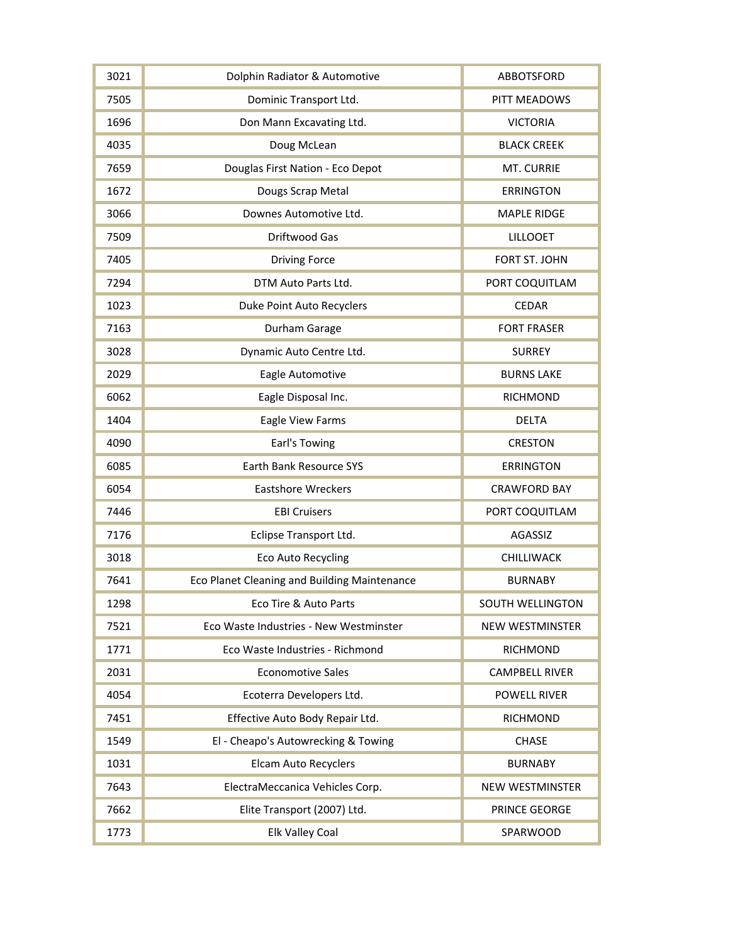| 3021 | Dolphin Radiator & Automotive                | ABBOTSFORD              |
|------|----------------------------------------------|-------------------------|
| 7505 | Dominic Transport Ltd.                       | PITT MEADOWS            |
| 1696 | Don Mann Excavating Ltd.                     | <b>VICTORIA</b>         |
| 4035 | Doug McLean                                  | <b>BLACK CREEK</b>      |
| 7659 | Douglas First Nation - Eco Depot             | MT. CURRIE              |
| 1672 | Dougs Scrap Metal                            | <b>ERRINGTON</b>        |
| 3066 | Downes Automotive Ltd.                       | <b>MAPLE RIDGE</b>      |
| 7509 | <b>Driftwood Gas</b>                         | <b>LILLOOET</b>         |
| 7405 | <b>Driving Force</b>                         | FORT ST. JOHN           |
| 7294 | DTM Auto Parts Ltd.                          | PORT COQUITLAM          |
| 1023 | Duke Point Auto Recyclers                    | <b>CEDAR</b>            |
| 7163 | Durham Garage                                | <b>FORT FRASER</b>      |
| 3028 | Dynamic Auto Centre Ltd.                     | <b>SURREY</b>           |
| 2029 | Eagle Automotive                             | <b>BURNS LAKE</b>       |
| 6062 | Eagle Disposal Inc.                          | <b>RICHMOND</b>         |
| 1404 | Eagle View Farms                             | <b>DELTA</b>            |
| 4090 | Earl's Towing                                | <b>CRESTON</b>          |
| 6085 | Earth Bank Resource SYS                      | <b>ERRINGTON</b>        |
| 6054 | <b>Eastshore Wreckers</b>                    | <b>CRAWFORD BAY</b>     |
| 7446 | <b>EBI Cruisers</b>                          | PORT COQUITLAM          |
| 7176 | Eclipse Transport Ltd.                       | AGASSIZ                 |
| 3018 | <b>Eco Auto Recycling</b>                    | CHILLIWACK              |
| 7641 | Eco Planet Cleaning and Building Maintenance | <b>BURNABY</b>          |
| 1298 | Eco Tire & Auto Parts                        | <b>SOUTH WELLINGTON</b> |
| 7521 | Eco Waste Industries - New Westminster       | <b>NEW WESTMINSTER</b>  |
| 1771 | Eco Waste Industries - Richmond              | <b>RICHMOND</b>         |
| 2031 | <b>Economotive Sales</b>                     | <b>CAMPBELL RIVER</b>   |
| 4054 | Ecoterra Developers Ltd.                     | <b>POWELL RIVER</b>     |
| 7451 | Effective Auto Body Repair Ltd.              | <b>RICHMOND</b>         |
| 1549 | El - Cheapo's Autowrecking & Towing          | <b>CHASE</b>            |
| 1031 | <b>Elcam Auto Recyclers</b>                  | <b>BURNABY</b>          |
| 7643 | ElectraMeccanica Vehicles Corp.              | NEW WESTMINSTER         |
| 7662 | Elite Transport (2007) Ltd.                  | PRINCE GEORGE           |
| 1773 | Elk Valley Coal                              | SPARWOOD                |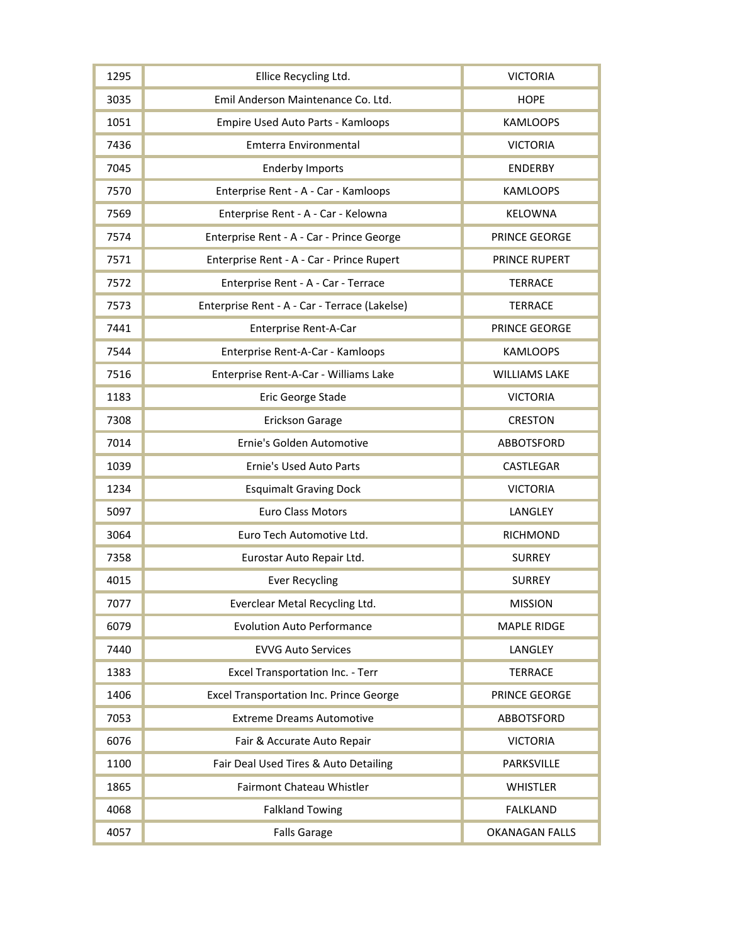| 1295 | Ellice Recycling Ltd.                          | <b>VICTORIA</b>       |
|------|------------------------------------------------|-----------------------|
| 3035 | Emil Anderson Maintenance Co. Ltd.             | <b>HOPE</b>           |
| 1051 | Empire Used Auto Parts - Kamloops              | <b>KAMLOOPS</b>       |
| 7436 | Emterra Environmental                          | <b>VICTORIA</b>       |
| 7045 | <b>Enderby Imports</b>                         | <b>ENDERBY</b>        |
| 7570 | Enterprise Rent - A - Car - Kamloops           | <b>KAMLOOPS</b>       |
| 7569 | Enterprise Rent - A - Car - Kelowna            | KELOWNA               |
| 7574 | Enterprise Rent - A - Car - Prince George      | PRINCE GEORGE         |
| 7571 | Enterprise Rent - A - Car - Prince Rupert      | PRINCE RUPERT         |
| 7572 | Enterprise Rent - A - Car - Terrace            | <b>TERRACE</b>        |
| 7573 | Enterprise Rent - A - Car - Terrace (Lakelse)  | <b>TERRACE</b>        |
| 7441 | Enterprise Rent-A-Car                          | <b>PRINCE GEORGE</b>  |
| 7544 | Enterprise Rent-A-Car - Kamloops               | <b>KAMLOOPS</b>       |
| 7516 | Enterprise Rent-A-Car - Williams Lake          | <b>WILLIAMS LAKE</b>  |
| 1183 | Eric George Stade                              | <b>VICTORIA</b>       |
| 7308 | <b>Erickson Garage</b>                         | <b>CRESTON</b>        |
| 7014 | Ernie's Golden Automotive                      | ABBOTSFORD            |
| 1039 | <b>Ernie's Used Auto Parts</b>                 | CASTLEGAR             |
| 1234 | <b>Esquimalt Graving Dock</b>                  | <b>VICTORIA</b>       |
| 5097 | <b>Euro Class Motors</b>                       | LANGLEY               |
| 3064 | Euro Tech Automotive Ltd.                      | <b>RICHMOND</b>       |
| 7358 | Eurostar Auto Repair Ltd.                      | <b>SURREY</b>         |
| 4015 | <b>Ever Recycling</b>                          | <b>SURREY</b>         |
| 7077 | Everclear Metal Recycling Ltd.                 | <b>MISSION</b>        |
| 6079 | <b>Evolution Auto Performance</b>              | <b>MAPLE RIDGE</b>    |
| 7440 | <b>EVVG Auto Services</b>                      | LANGLEY               |
| 1383 | Excel Transportation Inc. - Terr               | <b>TERRACE</b>        |
| 1406 | <b>Excel Transportation Inc. Prince George</b> | PRINCE GEORGE         |
| 7053 | <b>Extreme Dreams Automotive</b>               | <b>ABBOTSFORD</b>     |
| 6076 | Fair & Accurate Auto Repair                    | <b>VICTORIA</b>       |
| 1100 | Fair Deal Used Tires & Auto Detailing          | PARKSVILLE            |
| 1865 | Fairmont Chateau Whistler                      | <b>WHISTLER</b>       |
| 4068 | <b>Falkland Towing</b>                         | <b>FALKLAND</b>       |
| 4057 | <b>Falls Garage</b>                            | <b>OKANAGAN FALLS</b> |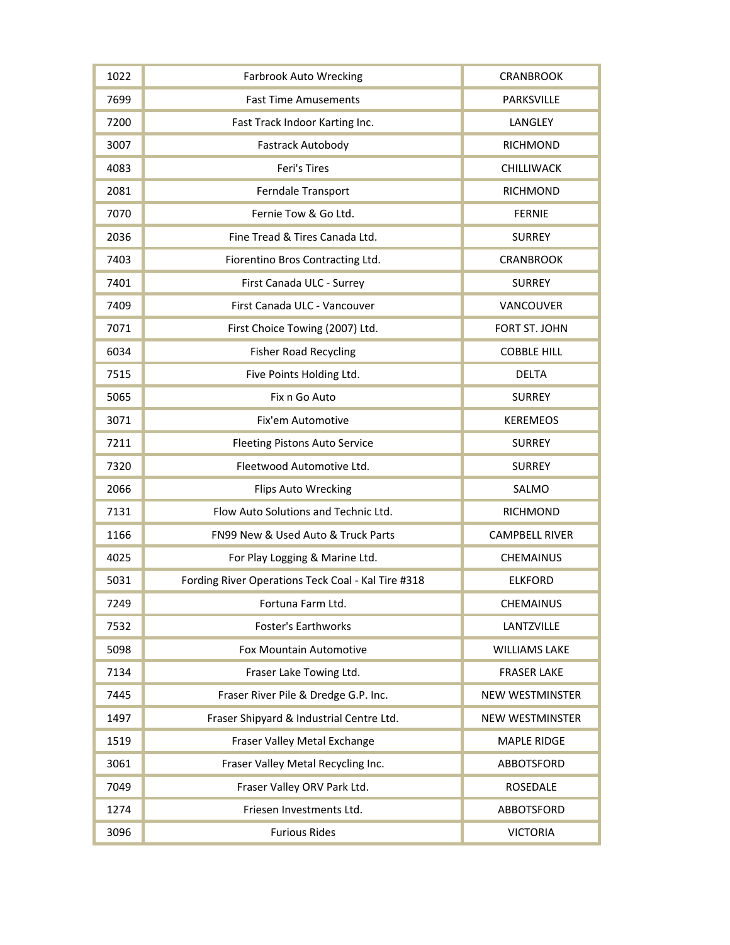| 1022 | <b>Farbrook Auto Wrecking</b>                      | <b>CRANBROOK</b>       |
|------|----------------------------------------------------|------------------------|
| 7699 | <b>Fast Time Amusements</b>                        | PARKSVILLE             |
| 7200 | Fast Track Indoor Karting Inc.                     | LANGLEY                |
| 3007 | <b>Fastrack Autobody</b>                           | <b>RICHMOND</b>        |
| 4083 | Feri's Tires                                       | CHILLIWACK             |
| 2081 | Ferndale Transport                                 | <b>RICHMOND</b>        |
| 7070 | Fernie Tow & Go Ltd.                               | <b>FERNIE</b>          |
| 2036 | Fine Tread & Tires Canada Ltd.                     | <b>SURREY</b>          |
| 7403 | Fiorentino Bros Contracting Ltd.                   | <b>CRANBROOK</b>       |
| 7401 | First Canada ULC - Surrey                          | <b>SURREY</b>          |
| 7409 | First Canada ULC - Vancouver                       | VANCOUVER              |
| 7071 | First Choice Towing (2007) Ltd.                    | FORT ST. JOHN          |
| 6034 | <b>Fisher Road Recycling</b>                       | <b>COBBLE HILL</b>     |
| 7515 | Five Points Holding Ltd.                           | <b>DELTA</b>           |
| 5065 | Fix n Go Auto                                      | <b>SURREY</b>          |
| 3071 | Fix'em Automotive                                  | <b>KEREMEOS</b>        |
| 7211 | <b>Fleeting Pistons Auto Service</b>               | <b>SURREY</b>          |
| 7320 | Fleetwood Automotive Ltd.                          | <b>SURREY</b>          |
| 2066 | <b>Flips Auto Wrecking</b>                         | SALMO                  |
| 7131 | Flow Auto Solutions and Technic Ltd.               | <b>RICHMOND</b>        |
| 1166 | FN99 New & Used Auto & Truck Parts                 | <b>CAMPBELL RIVER</b>  |
| 4025 | For Play Logging & Marine Ltd.                     | <b>CHEMAINUS</b>       |
| 5031 | Fording River Operations Teck Coal - Kal Tire #318 | <b>ELKFORD</b>         |
| 7249 | Fortuna Farm Ltd.                                  | <b>CHEMAINUS</b>       |
| 7532 | <b>Foster's Earthworks</b>                         | LANTZVILLE             |
| 5098 | Fox Mountain Automotive                            | <b>WILLIAMS LAKE</b>   |
| 7134 | Fraser Lake Towing Ltd.                            | <b>FRASER LAKE</b>     |
| 7445 | Fraser River Pile & Dredge G.P. Inc.               | <b>NEW WESTMINSTER</b> |
| 1497 | Fraser Shipyard & Industrial Centre Ltd.           | <b>NEW WESTMINSTER</b> |
| 1519 | Fraser Valley Metal Exchange                       | <b>MAPLE RIDGE</b>     |
| 3061 | Fraser Valley Metal Recycling Inc.                 | ABBOTSFORD             |
| 7049 | Fraser Valley ORV Park Ltd.                        | <b>ROSEDALE</b>        |
| 1274 | Friesen Investments Ltd.                           | ABBOTSFORD             |
| 3096 | <b>Furious Rides</b>                               | <b>VICTORIA</b>        |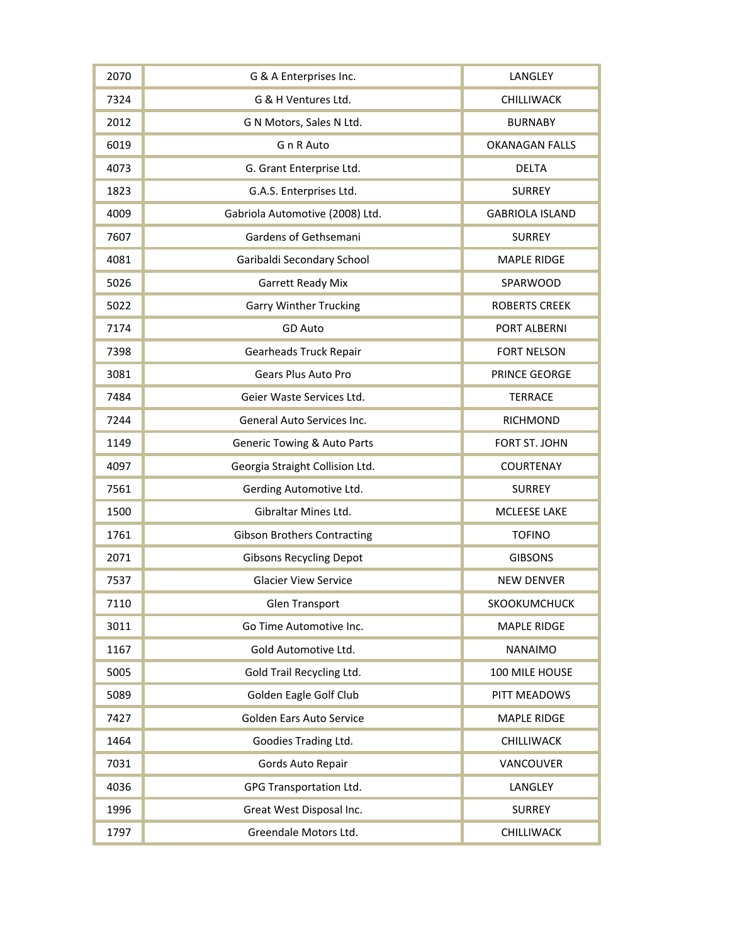| 2070 | G & A Enterprises Inc.                 | LANGLEY                |
|------|----------------------------------------|------------------------|
| 7324 | G & H Ventures Ltd.                    | CHILLIWACK             |
| 2012 | G N Motors, Sales N Ltd.               | <b>BURNABY</b>         |
| 6019 | G n R Auto                             | <b>OKANAGAN FALLS</b>  |
| 4073 | G. Grant Enterprise Ltd.               | <b>DELTA</b>           |
| 1823 | G.A.S. Enterprises Ltd.                | <b>SURREY</b>          |
| 4009 | Gabriola Automotive (2008) Ltd.        | <b>GABRIOLA ISLAND</b> |
| 7607 | Gardens of Gethsemani                  | <b>SURREY</b>          |
| 4081 | Garibaldi Secondary School             | <b>MAPLE RIDGE</b>     |
| 5026 | <b>Garrett Ready Mix</b>               | SPARWOOD               |
| 5022 | <b>Garry Winther Trucking</b>          | <b>ROBERTS CREEK</b>   |
| 7174 | GD Auto                                | PORT ALBERNI           |
| 7398 | <b>Gearheads Truck Repair</b>          | <b>FORT NELSON</b>     |
| 3081 | <b>Gears Plus Auto Pro</b>             | PRINCE GEORGE          |
| 7484 | Geier Waste Services Ltd.              | <b>TERRACE</b>         |
| 7244 | General Auto Services Inc.             | <b>RICHMOND</b>        |
| 1149 | <b>Generic Towing &amp; Auto Parts</b> | FORT ST. JOHN          |
| 4097 | Georgia Straight Collision Ltd.        | <b>COURTENAY</b>       |
| 7561 | Gerding Automotive Ltd.                | <b>SURREY</b>          |
| 1500 | Gibraltar Mines Ltd.                   | MCLEESE LAKE           |
| 1761 | <b>Gibson Brothers Contracting</b>     | <b>TOFINO</b>          |
| 2071 | <b>Gibsons Recycling Depot</b>         | <b>GIBSONS</b>         |
| 7537 | <b>Glacier View Service</b>            | <b>NEW DENVER</b>      |
| 7110 | <b>Glen Transport</b>                  | SKOOKUMCHUCK           |
| 3011 | Go Time Automotive Inc.                | <b>MAPLE RIDGE</b>     |
| 1167 | Gold Automotive Ltd.                   | <b>NANAIMO</b>         |
| 5005 | Gold Trail Recycling Ltd.              | 100 MILE HOUSE         |
| 5089 | Golden Eagle Golf Club                 | PITT MEADOWS           |
| 7427 | <b>Golden Ears Auto Service</b>        | <b>MAPLE RIDGE</b>     |
| 1464 | Goodies Trading Ltd.                   | CHILLIWACK             |
| 7031 | Gords Auto Repair                      | VANCOUVER              |
| 4036 | GPG Transportation Ltd.                | LANGLEY                |
| 1996 | Great West Disposal Inc.               | <b>SURREY</b>          |
| 1797 | Greendale Motors Ltd.                  | CHILLIWACK             |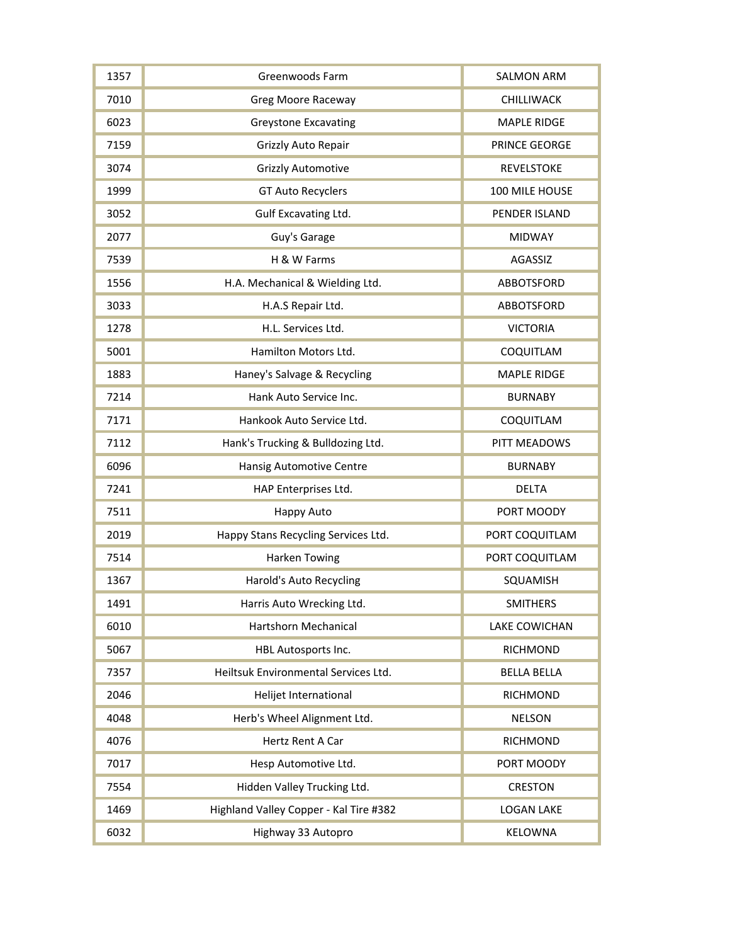| 1357 | Greenwoods Farm                        | <b>SALMON ARM</b>    |
|------|----------------------------------------|----------------------|
| 7010 | <b>Greg Moore Raceway</b>              | CHILLIWACK           |
| 6023 | <b>Greystone Excavating</b>            | <b>MAPLE RIDGE</b>   |
| 7159 | Grizzly Auto Repair                    | PRINCE GEORGE        |
| 3074 | <b>Grizzly Automotive</b>              | <b>REVELSTOKE</b>    |
| 1999 | <b>GT Auto Recyclers</b>               | 100 MILE HOUSE       |
| 3052 | Gulf Excavating Ltd.                   | PENDER ISLAND        |
| 2077 | Guy's Garage                           | <b>MIDWAY</b>        |
| 7539 | H & W Farms                            | AGASSIZ              |
| 1556 | H.A. Mechanical & Wielding Ltd.        | <b>ABBOTSFORD</b>    |
| 3033 | H.A.S Repair Ltd.                      | ABBOTSFORD           |
| 1278 | H.L. Services Ltd.                     | <b>VICTORIA</b>      |
| 5001 | Hamilton Motors Ltd.                   | COQUITLAM            |
| 1883 | Haney's Salvage & Recycling            | <b>MAPLE RIDGE</b>   |
| 7214 | Hank Auto Service Inc.                 | <b>BURNABY</b>       |
| 7171 | Hankook Auto Service Ltd.              | COQUITLAM            |
| 7112 | Hank's Trucking & Bulldozing Ltd.      | PITT MEADOWS         |
| 6096 | Hansig Automotive Centre               | <b>BURNABY</b>       |
| 7241 | HAP Enterprises Ltd.                   | <b>DELTA</b>         |
| 7511 | Happy Auto                             | PORT MOODY           |
| 2019 | Happy Stans Recycling Services Ltd.    | PORT COQUITLAM       |
| 7514 | <b>Harken Towing</b>                   | PORT COQUITLAM       |
| 1367 | <b>Harold's Auto Recycling</b>         | SQUAMISH             |
| 1491 | Harris Auto Wrecking Ltd.              | <b>SMITHERS</b>      |
| 6010 | Hartshorn Mechanical                   | <b>LAKE COWICHAN</b> |
| 5067 | HBL Autosports Inc.                    | <b>RICHMOND</b>      |
| 7357 | Heiltsuk Environmental Services Ltd.   | <b>BELLA BELLA</b>   |
| 2046 | Helijet International                  | <b>RICHMOND</b>      |
| 4048 | Herb's Wheel Alignment Ltd.            | <b>NELSON</b>        |
| 4076 | Hertz Rent A Car                       | <b>RICHMOND</b>      |
| 7017 | Hesp Automotive Ltd.                   | PORT MOODY           |
| 7554 | Hidden Valley Trucking Ltd.            | <b>CRESTON</b>       |
| 1469 | Highland Valley Copper - Kal Tire #382 | <b>LOGAN LAKE</b>    |
| 6032 | Highway 33 Autopro                     | <b>KELOWNA</b>       |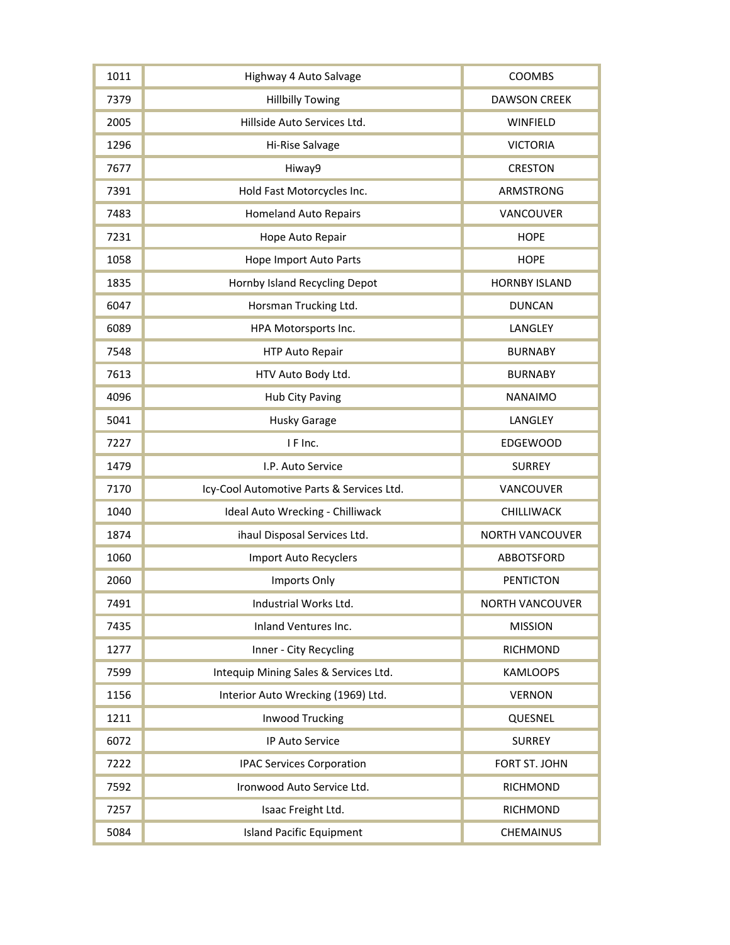| 1011 | Highway 4 Auto Salvage                    | COOMBS                 |
|------|-------------------------------------------|------------------------|
| 7379 | <b>Hillbilly Towing</b>                   | <b>DAWSON CREEK</b>    |
| 2005 | Hillside Auto Services Ltd.               | <b>WINFIELD</b>        |
| 1296 | Hi-Rise Salvage                           | <b>VICTORIA</b>        |
| 7677 | Hiway9                                    | <b>CRESTON</b>         |
| 7391 | Hold Fast Motorcycles Inc.                | ARMSTRONG              |
| 7483 | <b>Homeland Auto Repairs</b>              | VANCOUVER              |
| 7231 | Hope Auto Repair                          | <b>HOPE</b>            |
| 1058 | Hope Import Auto Parts                    | <b>HOPE</b>            |
| 1835 | Hornby Island Recycling Depot             | <b>HORNBY ISLAND</b>   |
| 6047 | Horsman Trucking Ltd.                     | <b>DUNCAN</b>          |
| 6089 | HPA Motorsports Inc.                      | LANGLEY                |
| 7548 | HTP Auto Repair                           | <b>BURNABY</b>         |
| 7613 | HTV Auto Body Ltd.                        | <b>BURNABY</b>         |
| 4096 | Hub City Paving                           | <b>NANAIMO</b>         |
| 5041 | <b>Husky Garage</b>                       | LANGLEY                |
| 7227 | I F Inc.                                  | <b>EDGEWOOD</b>        |
| 1479 | I.P. Auto Service                         | <b>SURREY</b>          |
| 7170 | Icy-Cool Automotive Parts & Services Ltd. | VANCOUVER              |
| 1040 | Ideal Auto Wrecking - Chilliwack          | CHILLIWACK             |
| 1874 | ihaul Disposal Services Ltd.              | <b>NORTH VANCOUVER</b> |
| 1060 | Import Auto Recyclers                     | <b>ABBOTSFORD</b>      |
| 2060 | Imports Only                              | <b>PENTICTON</b>       |
| 7491 | Industrial Works Ltd.                     | <b>NORTH VANCOUVER</b> |
| 7435 | <b>Inland Ventures Inc.</b>               | <b>MISSION</b>         |
| 1277 | Inner - City Recycling                    | <b>RICHMOND</b>        |
| 7599 | Intequip Mining Sales & Services Ltd.     | <b>KAMLOOPS</b>        |
| 1156 | Interior Auto Wrecking (1969) Ltd.        | <b>VERNON</b>          |
| 1211 | <b>Inwood Trucking</b>                    | QUESNEL                |
| 6072 | IP Auto Service                           | <b>SURREY</b>          |
| 7222 | <b>IPAC Services Corporation</b>          | FORT ST. JOHN          |
| 7592 | Ironwood Auto Service Ltd.                | RICHMOND               |
| 7257 | Isaac Freight Ltd.                        | <b>RICHMOND</b>        |
| 5084 | <b>Island Pacific Equipment</b>           | <b>CHEMAINUS</b>       |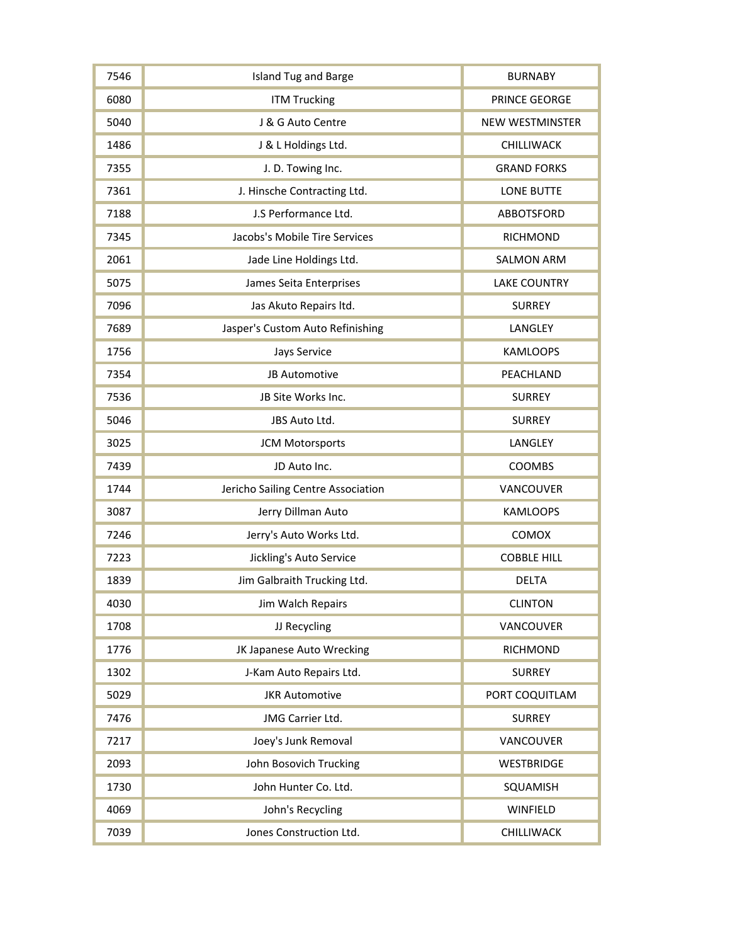| 7546 | <b>Island Tug and Barge</b>        | <b>BURNABY</b>      |
|------|------------------------------------|---------------------|
| 6080 | <b>ITM Trucking</b>                | PRINCE GEORGE       |
| 5040 | J & G Auto Centre                  | NEW WESTMINSTER     |
| 1486 | J & L Holdings Ltd.                | CHILLIWACK          |
| 7355 | J. D. Towing Inc.                  | <b>GRAND FORKS</b>  |
| 7361 | J. Hinsche Contracting Ltd.        | <b>LONE BUTTE</b>   |
| 7188 | J.S Performance Ltd.               | ABBOTSFORD          |
| 7345 | Jacobs's Mobile Tire Services      | <b>RICHMOND</b>     |
| 2061 | Jade Line Holdings Ltd.            | <b>SALMON ARM</b>   |
| 5075 | James Seita Enterprises            | <b>LAKE COUNTRY</b> |
| 7096 | Jas Akuto Repairs Itd.             | <b>SURREY</b>       |
| 7689 | Jasper's Custom Auto Refinishing   | LANGLEY             |
| 1756 | Jays Service                       | <b>KAMLOOPS</b>     |
| 7354 | JB Automotive                      | PEACHLAND           |
| 7536 | JB Site Works Inc.                 | <b>SURREY</b>       |
| 5046 | JBS Auto Ltd.                      | <b>SURREY</b>       |
| 3025 | <b>JCM Motorsports</b>             | LANGLEY             |
| 7439 | JD Auto Inc.                       | COOMBS              |
| 1744 | Jericho Sailing Centre Association | VANCOUVER           |
| 3087 | Jerry Dillman Auto                 | <b>KAMLOOPS</b>     |
| 7246 | Jerry's Auto Works Ltd.            | COMOX               |
| 7223 | Jickling's Auto Service            | <b>COBBLE HILL</b>  |
| 1839 | Jim Galbraith Trucking Ltd.        | <b>DELTA</b>        |
| 4030 | Jim Walch Repairs                  | <b>CLINTON</b>      |
| 1708 | JJ Recycling                       | <b>VANCOUVER</b>    |
| 1776 | JK Japanese Auto Wrecking          | <b>RICHMOND</b>     |
| 1302 | J-Kam Auto Repairs Ltd.            | <b>SURREY</b>       |
| 5029 | <b>JKR Automotive</b>              | PORT COQUITLAM      |
| 7476 | JMG Carrier Ltd.                   | <b>SURREY</b>       |
| 7217 | Joey's Junk Removal                | VANCOUVER           |
| 2093 | John Bosovich Trucking             | <b>WESTBRIDGE</b>   |
| 1730 | John Hunter Co. Ltd.               | SQUAMISH            |
| 4069 | John's Recycling                   | WINFIELD            |
| 7039 | Jones Construction Ltd.            | CHILLIWACK          |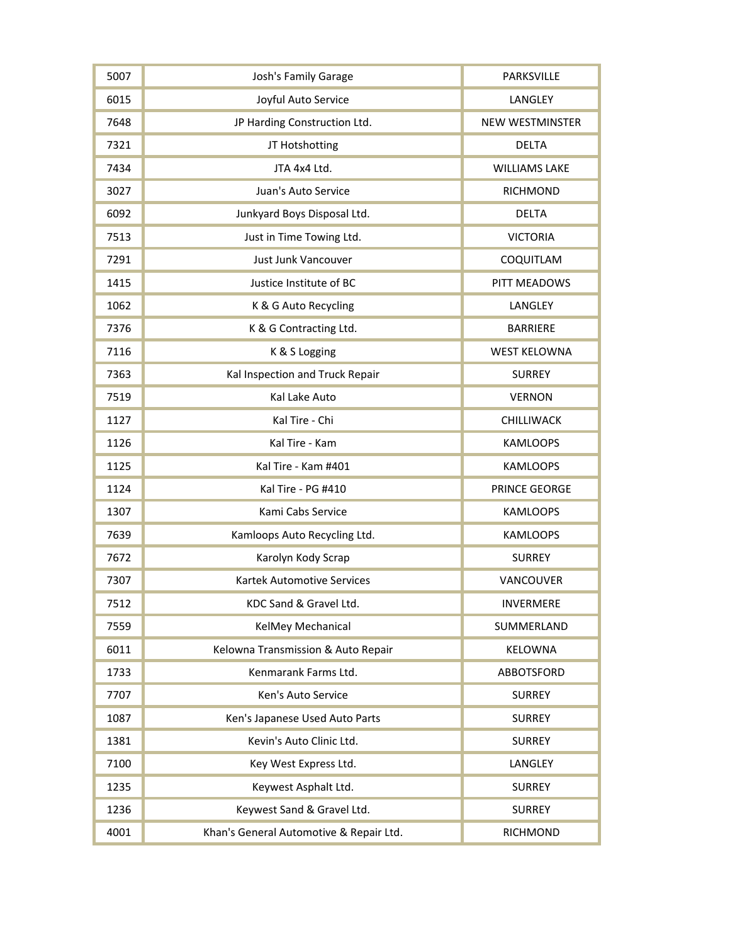| 5007 | <b>Josh's Family Garage</b>             | PARKSVILLE             |
|------|-----------------------------------------|------------------------|
| 6015 | Joyful Auto Service                     | LANGLEY                |
| 7648 | JP Harding Construction Ltd.            | <b>NEW WESTMINSTER</b> |
| 7321 | JT Hotshotting                          | <b>DELTA</b>           |
| 7434 | JTA 4x4 Ltd.                            | <b>WILLIAMS LAKE</b>   |
| 3027 | Juan's Auto Service                     | <b>RICHMOND</b>        |
| 6092 | Junkyard Boys Disposal Ltd.             | <b>DELTA</b>           |
| 7513 | Just in Time Towing Ltd.                | <b>VICTORIA</b>        |
| 7291 | Just Junk Vancouver                     | COQUITLAM              |
| 1415 | Justice Institute of BC                 | PITT MEADOWS           |
| 1062 | K & G Auto Recycling                    | LANGLEY                |
| 7376 | K & G Contracting Ltd.                  | <b>BARRIERE</b>        |
| 7116 | K & S Logging                           | <b>WEST KELOWNA</b>    |
| 7363 | Kal Inspection and Truck Repair         | <b>SURREY</b>          |
| 7519 | Kal Lake Auto                           | <b>VERNON</b>          |
| 1127 | Kal Tire - Chi                          | CHILLIWACK             |
| 1126 | Kal Tire - Kam                          | <b>KAMLOOPS</b>        |
| 1125 | Kal Tire - Kam #401                     | <b>KAMLOOPS</b>        |
| 1124 | Kal Tire - PG #410                      | PRINCE GEORGE          |
| 1307 | Kami Cabs Service                       | <b>KAMLOOPS</b>        |
| 7639 | Kamloops Auto Recycling Ltd.            | <b>KAMLOOPS</b>        |
| 7672 | Karolyn Kody Scrap                      | <b>SURREY</b>          |
| 7307 | <b>Kartek Automotive Services</b>       | VANCOUVER              |
| 7512 | KDC Sand & Gravel Ltd.                  | <b>INVERMERE</b>       |
| 7559 | KelMey Mechanical                       | SUMMERLAND             |
| 6011 | Kelowna Transmission & Auto Repair      | <b>KELOWNA</b>         |
| 1733 | Kenmarank Farms Ltd.                    | <b>ABBOTSFORD</b>      |
| 7707 | Ken's Auto Service                      | <b>SURREY</b>          |
| 1087 | Ken's Japanese Used Auto Parts          | <b>SURREY</b>          |
| 1381 | Kevin's Auto Clinic Ltd.                | <b>SURREY</b>          |
| 7100 | Key West Express Ltd.                   | LANGLEY                |
| 1235 | Keywest Asphalt Ltd.                    | <b>SURREY</b>          |
| 1236 | Keywest Sand & Gravel Ltd.              | <b>SURREY</b>          |
| 4001 | Khan's General Automotive & Repair Ltd. | RICHMOND               |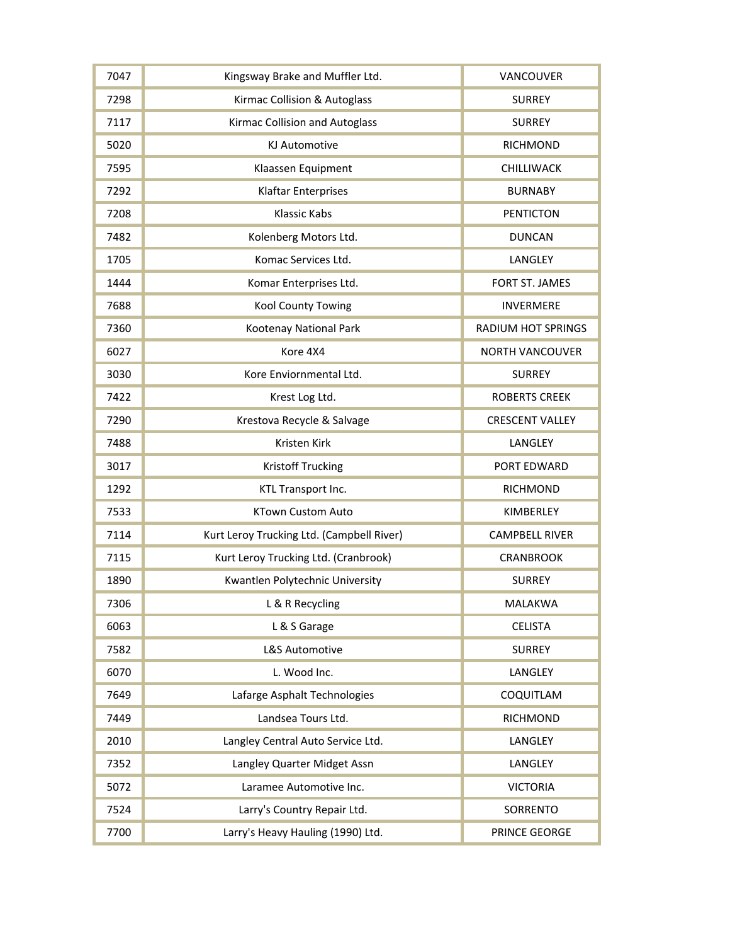| 7047 | Kingsway Brake and Muffler Ltd.           | VANCOUVER                 |
|------|-------------------------------------------|---------------------------|
| 7298 | Kirmac Collision & Autoglass              | <b>SURREY</b>             |
| 7117 | Kirmac Collision and Autoglass            | <b>SURREY</b>             |
| 5020 | <b>KJ Automotive</b>                      | <b>RICHMOND</b>           |
| 7595 | Klaassen Equipment                        | CHILLIWACK                |
| 7292 | <b>Klaftar Enterprises</b>                | <b>BURNABY</b>            |
| 7208 | Klassic Kabs                              | <b>PENTICTON</b>          |
| 7482 | Kolenberg Motors Ltd.                     | <b>DUNCAN</b>             |
| 1705 | Komac Services Ltd.                       | LANGLEY                   |
| 1444 | Komar Enterprises Ltd.                    | FORT ST. JAMES            |
| 7688 | Kool County Towing                        | <b>INVERMERE</b>          |
| 7360 | Kootenay National Park                    | <b>RADIUM HOT SPRINGS</b> |
| 6027 | Kore 4X4                                  | <b>NORTH VANCOUVER</b>    |
| 3030 | Kore Enviornmental Ltd.                   | <b>SURREY</b>             |
| 7422 | Krest Log Ltd.                            | <b>ROBERTS CREEK</b>      |
| 7290 | Krestova Recycle & Salvage                | <b>CRESCENT VALLEY</b>    |
| 7488 | Kristen Kirk                              | LANGLEY                   |
| 3017 | <b>Kristoff Trucking</b>                  | PORT EDWARD               |
| 1292 | KTL Transport Inc.                        | <b>RICHMOND</b>           |
| 7533 | <b>KTown Custom Auto</b>                  | KIMBERLEY                 |
| 7114 | Kurt Leroy Trucking Ltd. (Campbell River) | <b>CAMPBELL RIVER</b>     |
| 7115 | Kurt Leroy Trucking Ltd. (Cranbrook)      | <b>CRANBROOK</b>          |
| 1890 | Kwantlen Polytechnic University           | <b>SURREY</b>             |
| 7306 | L & R Recycling                           | <b>MALAKWA</b>            |
| 6063 | L & S Garage                              | <b>CELISTA</b>            |
| 7582 | <b>L&amp;S Automotive</b>                 | <b>SURREY</b>             |
| 6070 | L. Wood Inc.                              | LANGLEY                   |
| 7649 | Lafarge Asphalt Technologies              | COQUITLAM                 |
| 7449 | Landsea Tours Ltd.                        | <b>RICHMOND</b>           |
| 2010 | Langley Central Auto Service Ltd.         | LANGLEY                   |
| 7352 | Langley Quarter Midget Assn               | LANGLEY                   |
| 5072 | Laramee Automotive Inc.                   | <b>VICTORIA</b>           |
| 7524 | Larry's Country Repair Ltd.               | SORRENTO                  |
| 7700 | Larry's Heavy Hauling (1990) Ltd.         | PRINCE GEORGE             |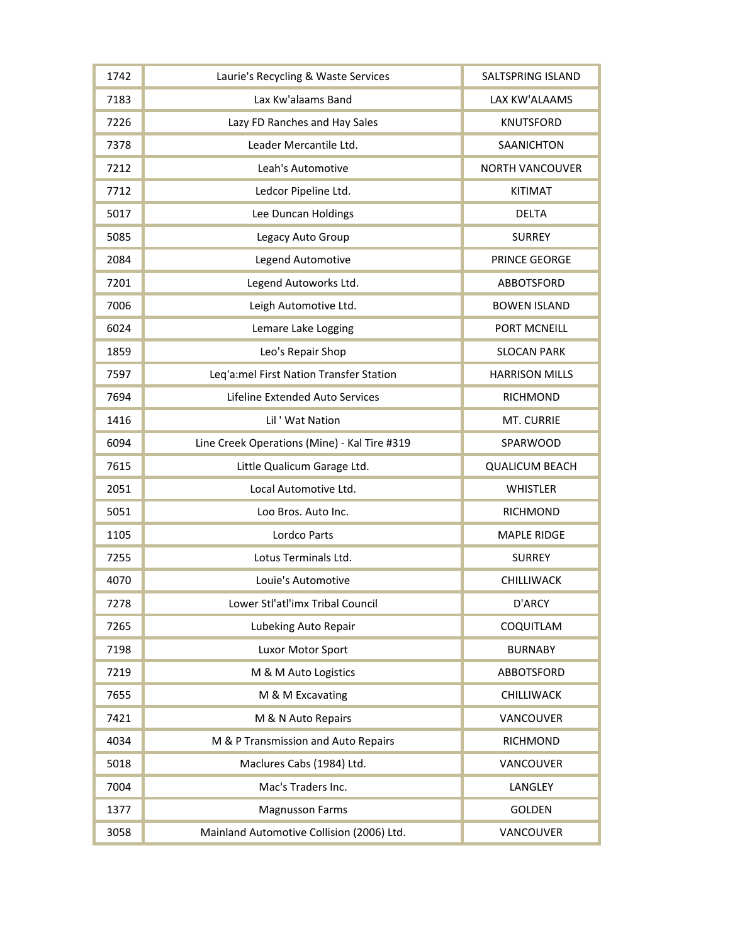| 1742 | Laurie's Recycling & Waste Services          | SALTSPRING ISLAND      |
|------|----------------------------------------------|------------------------|
| 7183 | Lax Kw'alaams Band                           | LAX KW'ALAAMS          |
| 7226 | Lazy FD Ranches and Hay Sales                | <b>KNUTSFORD</b>       |
| 7378 | Leader Mercantile Ltd.                       | <b>SAANICHTON</b>      |
| 7212 | Leah's Automotive                            | <b>NORTH VANCOUVER</b> |
| 7712 | Ledcor Pipeline Ltd.                         | <b>KITIMAT</b>         |
| 5017 | Lee Duncan Holdings                          | <b>DELTA</b>           |
| 5085 | Legacy Auto Group                            | <b>SURREY</b>          |
| 2084 | Legend Automotive                            | PRINCE GEORGE          |
| 7201 | Legend Autoworks Ltd.                        | <b>ABBOTSFORD</b>      |
| 7006 | Leigh Automotive Ltd.                        | <b>BOWEN ISLAND</b>    |
| 6024 | Lemare Lake Logging                          | PORT MCNEILL           |
| 1859 | Leo's Repair Shop                            | <b>SLOCAN PARK</b>     |
| 7597 | Leq'a:mel First Nation Transfer Station      | <b>HARRISON MILLS</b>  |
| 7694 | Lifeline Extended Auto Services              | <b>RICHMOND</b>        |
| 1416 | Lil ' Wat Nation                             | MT. CURRIE             |
| 6094 | Line Creek Operations (Mine) - Kal Tire #319 | SPARWOOD               |
| 7615 | Little Qualicum Garage Ltd.                  | <b>QUALICUM BEACH</b>  |
| 2051 | Local Automotive Ltd.                        | <b>WHISTLER</b>        |
| 5051 | Loo Bros. Auto Inc.                          | <b>RICHMOND</b>        |
| 1105 | Lordco Parts                                 | <b>MAPLE RIDGE</b>     |
| 7255 | Lotus Terminals Ltd.                         | <b>SURREY</b>          |
| 4070 | Louie's Automotive                           | CHILLIWACK             |
| 7278 | Lower Stl'atl'imx Tribal Council             | D'ARCY                 |
| 7265 | Lubeking Auto Repair                         | COQUITLAM              |
| 7198 | Luxor Motor Sport                            | <b>BURNABY</b>         |
| 7219 | M & M Auto Logistics                         | ABBOTSFORD             |
| 7655 | M & M Excavating                             |                        |
|      |                                              | <b>CHILLIWACK</b>      |
| 7421 | M & N Auto Repairs                           | VANCOUVER              |
| 4034 | M & P Transmission and Auto Repairs          | <b>RICHMOND</b>        |
| 5018 | Maclures Cabs (1984) Ltd.                    | VANCOUVER              |
| 7004 | Mac's Traders Inc.                           | LANGLEY                |
| 1377 | <b>Magnusson Farms</b>                       | <b>GOLDEN</b>          |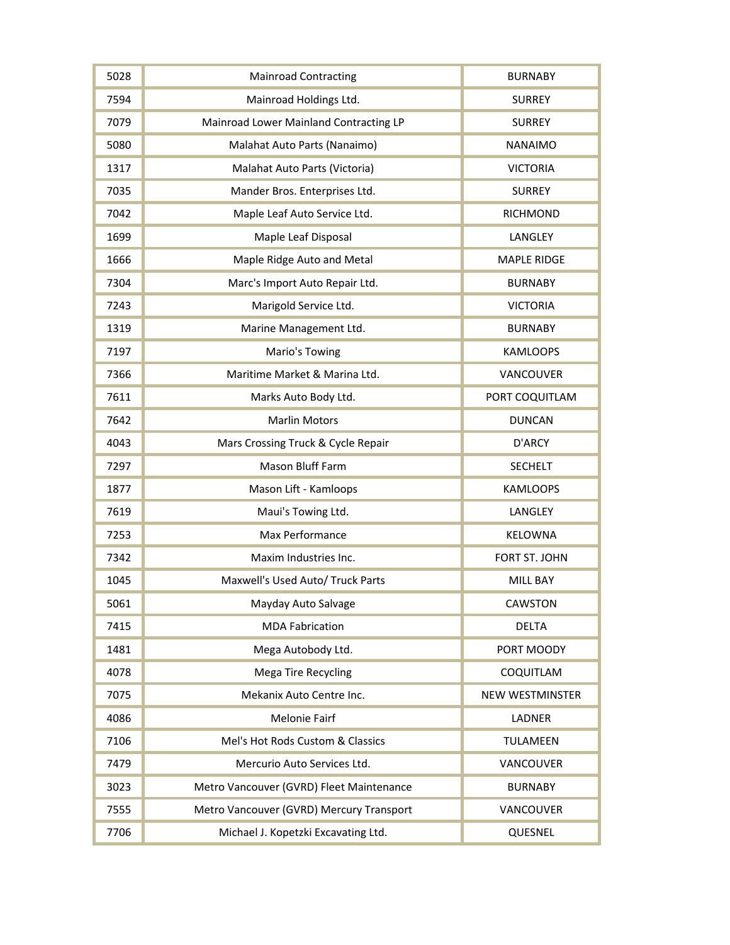| 5028 | <b>Mainroad Contracting</b>              | <b>BURNABY</b>         |
|------|------------------------------------------|------------------------|
| 7594 | Mainroad Holdings Ltd.                   | <b>SURREY</b>          |
| 7079 | Mainroad Lower Mainland Contracting LP   | <b>SURREY</b>          |
| 5080 | Malahat Auto Parts (Nanaimo)             | <b>NANAIMO</b>         |
| 1317 | Malahat Auto Parts (Victoria)            | <b>VICTORIA</b>        |
| 7035 | Mander Bros. Enterprises Ltd.            | <b>SURREY</b>          |
| 7042 | Maple Leaf Auto Service Ltd.             | <b>RICHMOND</b>        |
| 1699 | Maple Leaf Disposal                      | LANGLEY                |
| 1666 | Maple Ridge Auto and Metal               | <b>MAPLE RIDGE</b>     |
| 7304 | Marc's Import Auto Repair Ltd.           | <b>BURNABY</b>         |
| 7243 | Marigold Service Ltd.                    | <b>VICTORIA</b>        |
| 1319 | Marine Management Ltd.                   | <b>BURNABY</b>         |
| 7197 | Mario's Towing                           | <b>KAMLOOPS</b>        |
| 7366 | Maritime Market & Marina Ltd.            | VANCOUVER              |
| 7611 | Marks Auto Body Ltd.                     | PORT COQUITLAM         |
| 7642 | <b>Marlin Motors</b>                     | <b>DUNCAN</b>          |
| 4043 | Mars Crossing Truck & Cycle Repair       | D'ARCY                 |
| 7297 | Mason Bluff Farm                         | <b>SECHELT</b>         |
| 1877 | Mason Lift - Kamloops                    | <b>KAMLOOPS</b>        |
| 7619 | Maui's Towing Ltd.                       | LANGLEY                |
| 7253 | Max Performance                          | <b>KELOWNA</b>         |
| 7342 | Maxim Industries Inc.                    | FORT ST. JOHN          |
| 1045 | Maxwell's Used Auto/ Truck Parts         | <b>MILL BAY</b>        |
| 5061 | Mayday Auto Salvage                      | <b>CAWSTON</b>         |
| 7415 | <b>MDA Fabrication</b>                   | <b>DELTA</b>           |
| 1481 | Mega Autobody Ltd.                       | PORT MOODY             |
| 4078 | <b>Mega Tire Recycling</b>               | COQUITLAM              |
| 7075 | Mekanix Auto Centre Inc.                 | <b>NEW WESTMINSTER</b> |
| 4086 | <b>Melonie Fairf</b>                     | <b>LADNER</b>          |
| 7106 | Mel's Hot Rods Custom & Classics         | <b>TULAMEEN</b>        |
| 7479 | Mercurio Auto Services Ltd.              | VANCOUVER              |
| 3023 | Metro Vancouver (GVRD) Fleet Maintenance | <b>BURNABY</b>         |
| 7555 | Metro Vancouver (GVRD) Mercury Transport | VANCOUVER              |
| 7706 | Michael J. Kopetzki Excavating Ltd.      | QUESNEL                |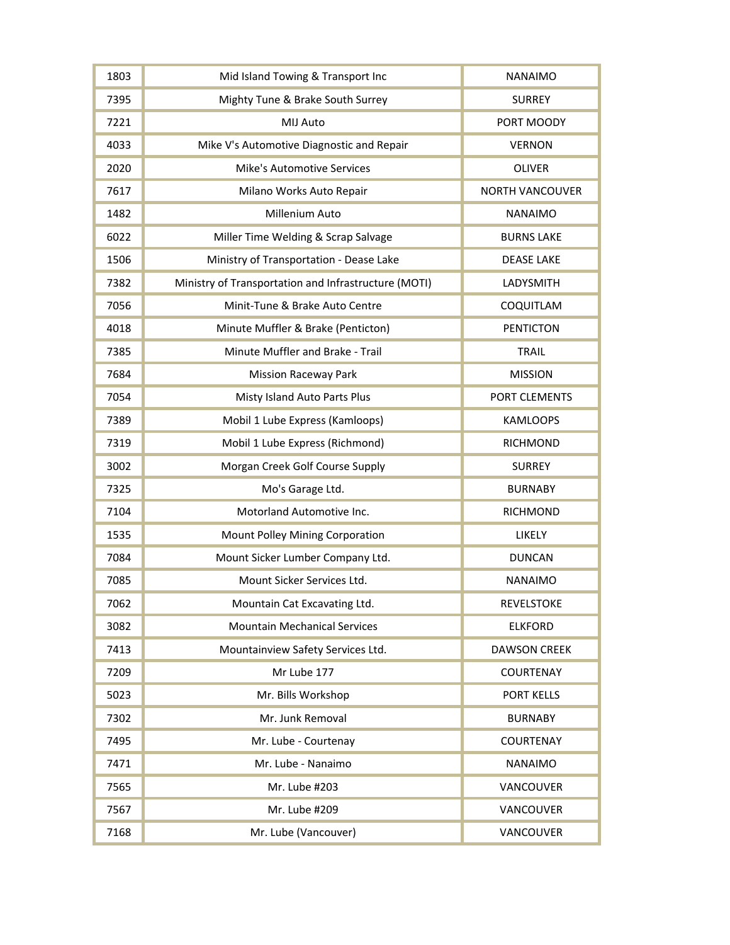| 1803 | Mid Island Towing & Transport Inc                    | <b>NANAIMO</b>         |
|------|------------------------------------------------------|------------------------|
| 7395 | Mighty Tune & Brake South Surrey                     | <b>SURREY</b>          |
| 7221 | MIJ Auto                                             | PORT MOODY             |
| 4033 | Mike V's Automotive Diagnostic and Repair            | <b>VERNON</b>          |
| 2020 | <b>Mike's Automotive Services</b>                    | <b>OLIVER</b>          |
| 7617 | Milano Works Auto Repair                             | <b>NORTH VANCOUVER</b> |
| 1482 | Millenium Auto                                       | <b>NANAIMO</b>         |
| 6022 | Miller Time Welding & Scrap Salvage                  | <b>BURNS LAKE</b>      |
| 1506 | Ministry of Transportation - Dease Lake              | <b>DEASE LAKE</b>      |
| 7382 | Ministry of Transportation and Infrastructure (MOTI) | LADYSMITH              |
| 7056 | Minit-Tune & Brake Auto Centre                       | COQUITLAM              |
| 4018 | Minute Muffler & Brake (Penticton)                   | <b>PENTICTON</b>       |
| 7385 | Minute Muffler and Brake - Trail                     | <b>TRAIL</b>           |
| 7684 | <b>Mission Raceway Park</b>                          | <b>MISSION</b>         |
| 7054 | Misty Island Auto Parts Plus                         | PORT CLEMENTS          |
| 7389 | Mobil 1 Lube Express (Kamloops)                      | <b>KAMLOOPS</b>        |
| 7319 | Mobil 1 Lube Express (Richmond)                      | <b>RICHMOND</b>        |
| 3002 | Morgan Creek Golf Course Supply                      | <b>SURREY</b>          |
| 7325 | Mo's Garage Ltd.                                     | <b>BURNABY</b>         |
| 7104 | Motorland Automotive Inc.                            | <b>RICHMOND</b>        |
| 1535 | Mount Polley Mining Corporation                      | LIKELY                 |
| 7084 | Mount Sicker Lumber Company Ltd.                     | <b>DUNCAN</b>          |
| 7085 | Mount Sicker Services Ltd.                           | <b>NANAIMO</b>         |
| 7062 | Mountain Cat Excavating Ltd.                         | <b>REVELSTOKE</b>      |
| 3082 | <b>Mountain Mechanical Services</b>                  | <b>ELKFORD</b>         |
| 7413 | Mountainview Safety Services Ltd.                    | <b>DAWSON CREEK</b>    |
| 7209 | Mr Lube 177                                          | <b>COURTENAY</b>       |
| 5023 | Mr. Bills Workshop                                   | <b>PORT KELLS</b>      |
| 7302 | Mr. Junk Removal                                     | <b>BURNABY</b>         |
| 7495 | Mr. Lube - Courtenay                                 | <b>COURTENAY</b>       |
| 7471 | Mr. Lube - Nanaimo                                   | <b>NANAIMO</b>         |
| 7565 | Mr. Lube #203                                        | <b>VANCOUVER</b>       |
| 7567 | Mr. Lube #209                                        | VANCOUVER              |
| 7168 | Mr. Lube (Vancouver)                                 | VANCOUVER              |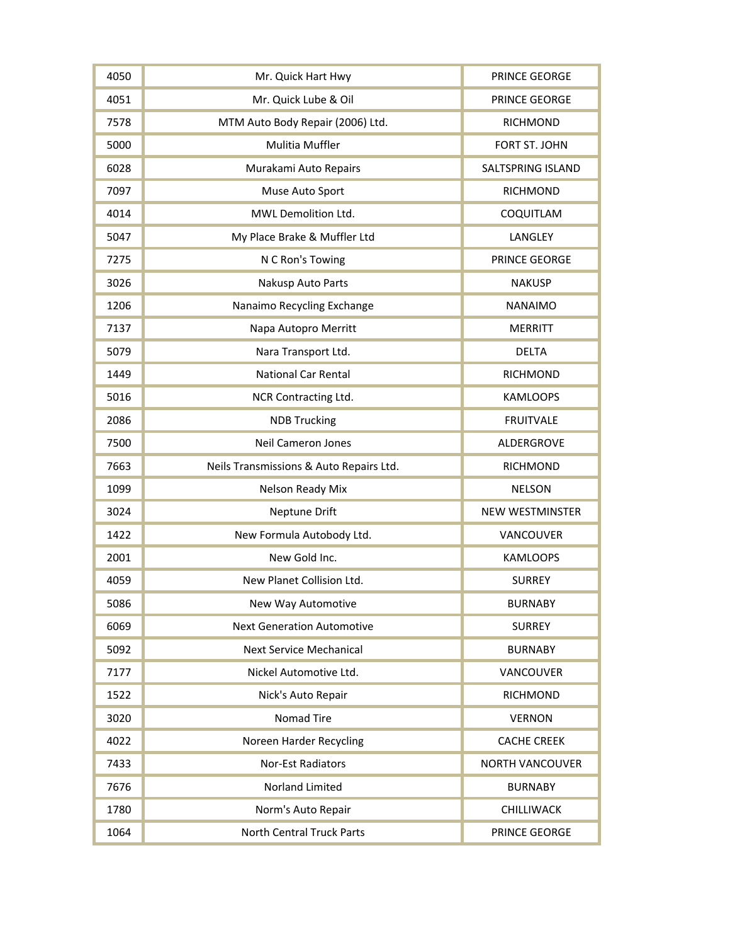| 4050 | Mr. Quick Hart Hwy                      | PRINCE GEORGE          |
|------|-----------------------------------------|------------------------|
| 4051 | Mr. Quick Lube & Oil                    | PRINCE GEORGE          |
| 7578 | MTM Auto Body Repair (2006) Ltd.        | <b>RICHMOND</b>        |
| 5000 | <b>Mulitia Muffler</b>                  | FORT ST. JOHN          |
| 6028 | Murakami Auto Repairs                   | SALTSPRING ISLAND      |
| 7097 | Muse Auto Sport                         | <b>RICHMOND</b>        |
| 4014 | MWL Demolition Ltd.                     | COQUITLAM              |
| 5047 | My Place Brake & Muffler Ltd            | LANGLEY                |
| 7275 | N C Ron's Towing                        | PRINCE GEORGE          |
| 3026 | Nakusp Auto Parts                       | <b>NAKUSP</b>          |
| 1206 | Nanaimo Recycling Exchange              | <b>NANAIMO</b>         |
| 7137 | Napa Autopro Merritt                    | <b>MERRITT</b>         |
| 5079 | Nara Transport Ltd.                     | <b>DELTA</b>           |
| 1449 | <b>National Car Rental</b>              | <b>RICHMOND</b>        |
| 5016 | NCR Contracting Ltd.                    | <b>KAMLOOPS</b>        |
| 2086 | <b>NDB Trucking</b>                     | <b>FRUITVALE</b>       |
| 7500 | <b>Neil Cameron Jones</b>               | ALDERGROVE             |
| 7663 | Neils Transmissions & Auto Repairs Ltd. | <b>RICHMOND</b>        |
| 1099 | Nelson Ready Mix                        | <b>NELSON</b>          |
| 3024 | Neptune Drift                           | <b>NEW WESTMINSTER</b> |
| 1422 | New Formula Autobody Ltd.               | VANCOUVER              |
| 2001 | New Gold Inc.                           | <b>KAMLOOPS</b>        |
| 4059 | New Planet Collision Ltd.               | <b>SURREY</b>          |
| 5086 | New Way Automotive                      | <b>BURNABY</b>         |
| 6069 | <b>Next Generation Automotive</b>       | <b>SURREY</b>          |
| 5092 | <b>Next Service Mechanical</b>          | <b>BURNABY</b>         |
| 7177 | Nickel Automotive Ltd.                  | VANCOUVER              |
| 1522 | Nick's Auto Repair                      | <b>RICHMOND</b>        |
| 3020 | Nomad Tire                              | <b>VERNON</b>          |
| 4022 | Noreen Harder Recycling                 | <b>CACHE CREEK</b>     |
| 7433 | Nor-Est Radiators                       | <b>NORTH VANCOUVER</b> |
| 7676 | Norland Limited                         | <b>BURNABY</b>         |
| 1780 | Norm's Auto Repair                      | CHILLIWACK             |
| 1064 | <b>North Central Truck Parts</b>        | PRINCE GEORGE          |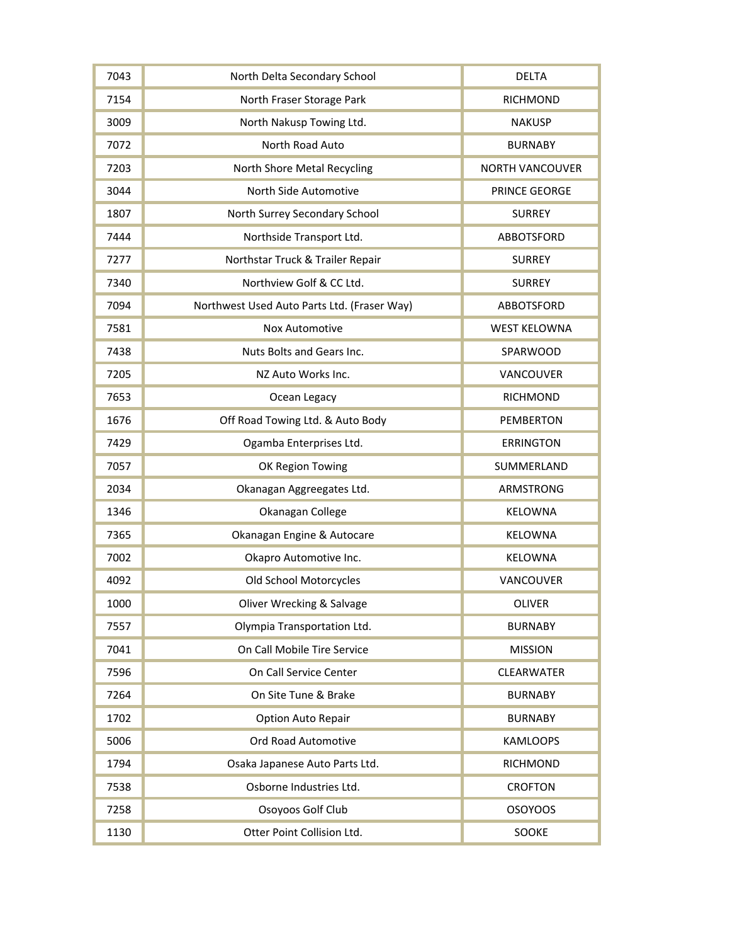| 7043 | North Delta Secondary School                | <b>DELTA</b>           |
|------|---------------------------------------------|------------------------|
| 7154 | North Fraser Storage Park                   | <b>RICHMOND</b>        |
| 3009 | North Nakusp Towing Ltd.                    | <b>NAKUSP</b>          |
| 7072 | North Road Auto                             | <b>BURNABY</b>         |
| 7203 | North Shore Metal Recycling                 | <b>NORTH VANCOUVER</b> |
| 3044 | North Side Automotive                       | PRINCE GEORGE          |
| 1807 | North Surrey Secondary School               | <b>SURREY</b>          |
| 7444 | Northside Transport Ltd.                    | ABBOTSFORD             |
| 7277 | Northstar Truck & Trailer Repair            | <b>SURREY</b>          |
| 7340 | Northview Golf & CC Ltd.                    | <b>SURREY</b>          |
| 7094 | Northwest Used Auto Parts Ltd. (Fraser Way) | ABBOTSFORD             |
| 7581 | <b>Nox Automotive</b>                       | <b>WEST KELOWNA</b>    |
| 7438 | Nuts Bolts and Gears Inc.                   | SPARWOOD               |
| 7205 | NZ Auto Works Inc.                          | VANCOUVER              |
| 7653 | Ocean Legacy                                | <b>RICHMOND</b>        |
| 1676 | Off Road Towing Ltd. & Auto Body            | <b>PEMBERTON</b>       |
| 7429 | Ogamba Enterprises Ltd.                     | <b>ERRINGTON</b>       |
| 7057 | OK Region Towing                            | SUMMERLAND             |
| 2034 | Okanagan Aggreegates Ltd.                   | ARMSTRONG              |
| 1346 | Okanagan College                            | <b>KELOWNA</b>         |
| 7365 | Okanagan Engine & Autocare                  | <b>KELOWNA</b>         |
| 7002 | Okapro Automotive Inc.                      | KELOWNA                |
| 4092 | Old School Motorcycles                      | VANCOUVER              |
| 1000 | Oliver Wrecking & Salvage                   | <b>OLIVER</b>          |
| 7557 | Olympia Transportation Ltd.                 | <b>BURNABY</b>         |
| 7041 | On Call Mobile Tire Service                 | <b>MISSION</b>         |
| 7596 | On Call Service Center                      | CLEARWATER             |
| 7264 | On Site Tune & Brake                        | <b>BURNABY</b>         |
| 1702 | Option Auto Repair                          | <b>BURNABY</b>         |
| 5006 | Ord Road Automotive                         | <b>KAMLOOPS</b>        |
| 1794 | Osaka Japanese Auto Parts Ltd.              | <b>RICHMOND</b>        |
| 7538 | Osborne Industries Ltd.                     | <b>CROFTON</b>         |
| 7258 | Osoyoos Golf Club                           | <b>OSOYOOS</b>         |
| 1130 | Otter Point Collision Ltd.                  | SOOKE                  |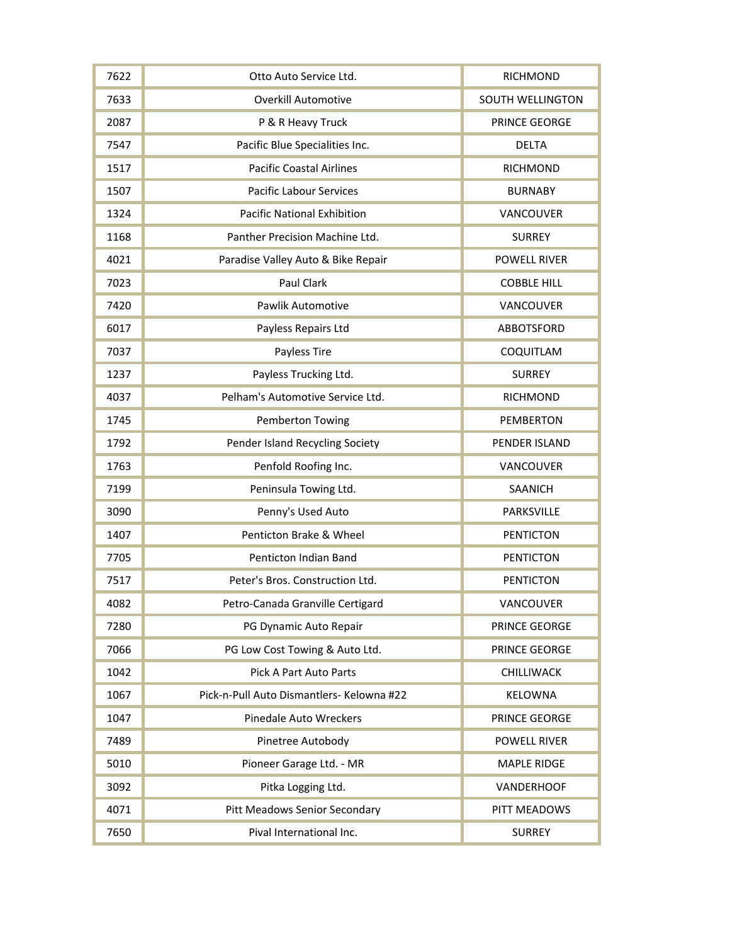| 7622 | Otto Auto Service Ltd.                    | <b>RICHMOND</b>         |
|------|-------------------------------------------|-------------------------|
| 7633 | <b>Overkill Automotive</b>                | <b>SOUTH WELLINGTON</b> |
| 2087 | P & R Heavy Truck                         | PRINCE GEORGE           |
| 7547 | Pacific Blue Specialities Inc.            | <b>DELTA</b>            |
| 1517 | <b>Pacific Coastal Airlines</b>           | <b>RICHMOND</b>         |
| 1507 | <b>Pacific Labour Services</b>            | <b>BURNABY</b>          |
| 1324 | <b>Pacific National Exhibition</b>        | VANCOUVER               |
| 1168 | Panther Precision Machine Ltd.            | <b>SURREY</b>           |
| 4021 | Paradise Valley Auto & Bike Repair        | <b>POWELL RIVER</b>     |
| 7023 | Paul Clark                                | <b>COBBLE HILL</b>      |
| 7420 | <b>Pawlik Automotive</b>                  | VANCOUVER               |
| 6017 | Payless Repairs Ltd                       | <b>ABBOTSFORD</b>       |
| 7037 | Payless Tire                              | COQUITLAM               |
| 1237 | Payless Trucking Ltd.                     | <b>SURREY</b>           |
| 4037 | Pelham's Automotive Service Ltd.          | <b>RICHMOND</b>         |
| 1745 | Pemberton Towing                          | <b>PEMBERTON</b>        |
| 1792 | Pender Island Recycling Society           | PENDER ISLAND           |
| 1763 | Penfold Roofing Inc.                      | VANCOUVER               |
| 7199 | Peninsula Towing Ltd.                     | SAANICH                 |
| 3090 | Penny's Used Auto                         | PARKSVILLE              |
| 1407 | Penticton Brake & Wheel                   | <b>PENTICTON</b>        |
| 7705 | Penticton Indian Band                     | <b>PENTICTON</b>        |
| 7517 | Peter's Bros. Construction Ltd.           | <b>PENTICTON</b>        |
| 4082 | Petro-Canada Granville Certigard          | <b>VANCOUVER</b>        |
| 7280 | PG Dynamic Auto Repair                    | PRINCE GEORGE           |
| 7066 | PG Low Cost Towing & Auto Ltd.            | PRINCE GEORGE           |
| 1042 | Pick A Part Auto Parts                    | CHILLIWACK              |
| 1067 | Pick-n-Pull Auto Dismantlers- Kelowna #22 | <b>KELOWNA</b>          |
| 1047 | Pinedale Auto Wreckers                    | PRINCE GEORGE           |
| 7489 | Pinetree Autobody                         | <b>POWELL RIVER</b>     |
| 5010 | Pioneer Garage Ltd. - MR                  | <b>MAPLE RIDGE</b>      |
| 3092 | Pitka Logging Ltd.                        | <b>VANDERHOOF</b>       |
| 4071 | <b>Pitt Meadows Senior Secondary</b>      | PITT MEADOWS            |
| 7650 | Pival International Inc.                  | <b>SURREY</b>           |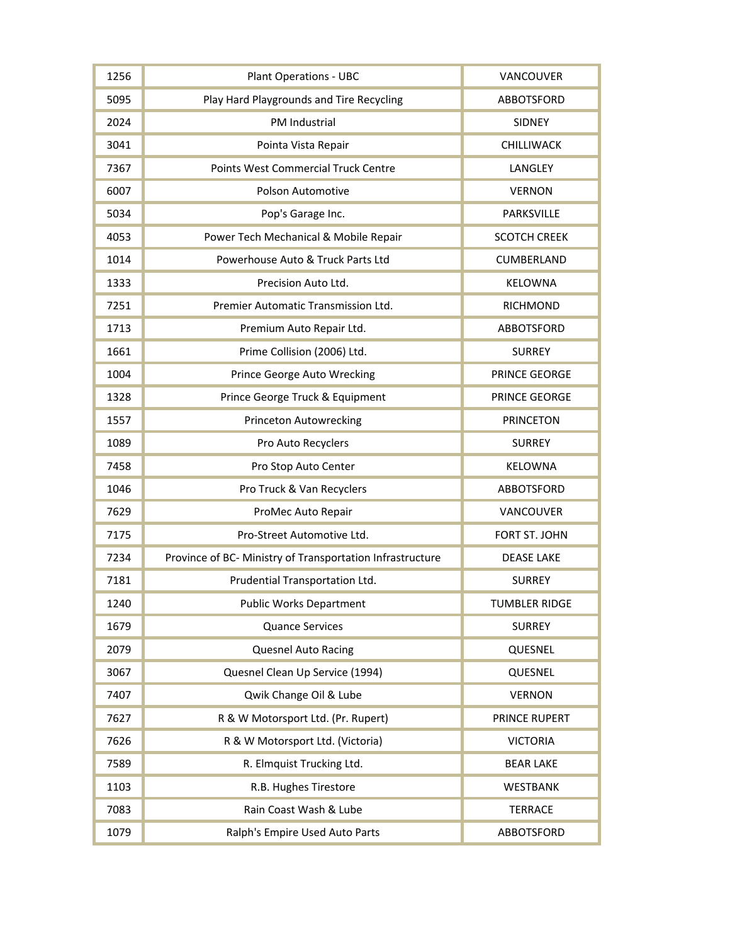| 1256 | <b>Plant Operations - UBC</b>                             | VANCOUVER            |
|------|-----------------------------------------------------------|----------------------|
| 5095 | Play Hard Playgrounds and Tire Recycling                  | <b>ABBOTSFORD</b>    |
| 2024 | PM Industrial                                             | <b>SIDNEY</b>        |
| 3041 | Pointa Vista Repair                                       | CHILLIWACK           |
| 7367 | Points West Commercial Truck Centre                       | LANGLEY              |
| 6007 | Polson Automotive                                         | <b>VERNON</b>        |
| 5034 | Pop's Garage Inc.                                         | PARKSVILLE           |
| 4053 | Power Tech Mechanical & Mobile Repair                     | <b>SCOTCH CREEK</b>  |
| 1014 | Powerhouse Auto & Truck Parts Ltd                         | CUMBERLAND           |
| 1333 | Precision Auto Ltd.                                       | <b>KELOWNA</b>       |
| 7251 | Premier Automatic Transmission Ltd.                       | <b>RICHMOND</b>      |
| 1713 | Premium Auto Repair Ltd.                                  | <b>ABBOTSFORD</b>    |
| 1661 | Prime Collision (2006) Ltd.                               | <b>SURREY</b>        |
| 1004 | Prince George Auto Wrecking                               | PRINCE GEORGE        |
| 1328 | Prince George Truck & Equipment                           | PRINCE GEORGE        |
| 1557 | <b>Princeton Autowrecking</b>                             | <b>PRINCETON</b>     |
| 1089 | Pro Auto Recyclers                                        | <b>SURREY</b>        |
| 7458 | Pro Stop Auto Center                                      | <b>KELOWNA</b>       |
| 1046 | Pro Truck & Van Recyclers                                 | ABBOTSFORD           |
| 7629 | ProMec Auto Repair                                        | VANCOUVER            |
| 7175 | Pro-Street Automotive Ltd.                                | FORT ST. JOHN        |
| 7234 | Province of BC- Ministry of Transportation Infrastructure | <b>DEASE LAKE</b>    |
| 7181 | Prudential Transportation Ltd.                            | <b>SURREY</b>        |
| 1240 | <b>Public Works Department</b>                            | <b>TUMBLER RIDGE</b> |
| 1679 | <b>Quance Services</b>                                    | <b>SURREY</b>        |
| 2079 | <b>Quesnel Auto Racing</b>                                | QUESNEL              |
| 3067 | Quesnel Clean Up Service (1994)                           | QUESNEL              |
| 7407 | Qwik Change Oil & Lube                                    | <b>VERNON</b>        |
| 7627 | R & W Motorsport Ltd. (Pr. Rupert)                        | PRINCE RUPERT        |
| 7626 | R & W Motorsport Ltd. (Victoria)                          | <b>VICTORIA</b>      |
| 7589 | R. Elmquist Trucking Ltd.                                 | <b>BEAR LAKE</b>     |
| 1103 | R.B. Hughes Tirestore                                     | <b>WESTBANK</b>      |
| 7083 | Rain Coast Wash & Lube                                    | <b>TERRACE</b>       |
| 1079 | Ralph's Empire Used Auto Parts                            | ABBOTSFORD           |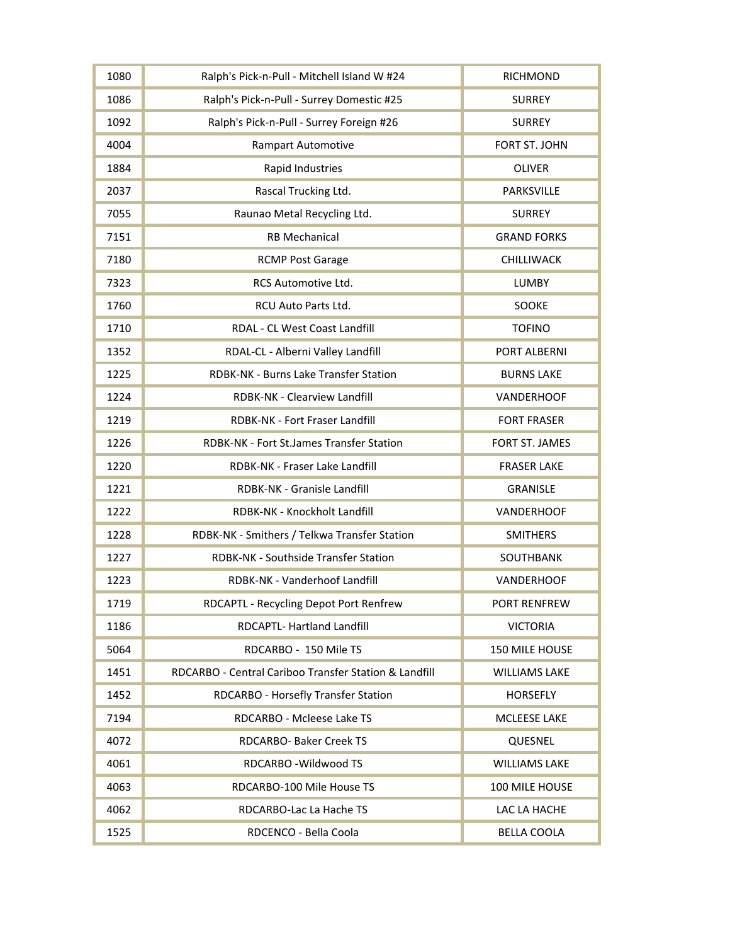| 1080 | Ralph's Pick-n-Pull - Mitchell Island W #24           | <b>RICHMOND</b>      |
|------|-------------------------------------------------------|----------------------|
| 1086 | Ralph's Pick-n-Pull - Surrey Domestic #25             | <b>SURREY</b>        |
| 1092 | Ralph's Pick-n-Pull - Surrey Foreign #26              | <b>SURREY</b>        |
| 4004 | <b>Rampart Automotive</b>                             | FORT ST. JOHN        |
| 1884 | Rapid Industries                                      | <b>OLIVER</b>        |
| 2037 | Rascal Trucking Ltd.                                  | PARKSVILLE           |
| 7055 | Raunao Metal Recycling Ltd.                           | <b>SURREY</b>        |
| 7151 | <b>RB Mechanical</b>                                  | <b>GRAND FORKS</b>   |
| 7180 | <b>RCMP Post Garage</b>                               | CHILLIWACK           |
| 7323 | RCS Automotive Ltd.                                   | <b>LUMBY</b>         |
| 1760 | RCU Auto Parts Ltd.                                   | SOOKE                |
| 1710 | <b>RDAL - CL West Coast Landfill</b>                  | <b>TOFINO</b>        |
| 1352 | RDAL-CL - Alberni Valley Landfill                     | PORT ALBERNI         |
| 1225 | RDBK-NK - Burns Lake Transfer Station                 | <b>BURNS LAKE</b>    |
| 1224 | RDBK-NK - Clearview Landfill                          | VANDERHOOF           |
| 1219 | RDBK-NK - Fort Fraser Landfill                        | <b>FORT FRASER</b>   |
| 1226 | RDBK-NK - Fort St.James Transfer Station              | FORT ST. JAMES       |
| 1220 | RDBK-NK - Fraser Lake Landfill                        | <b>FRASER LAKE</b>   |
| 1221 | RDBK-NK - Granisle Landfill                           | <b>GRANISLE</b>      |
| 1222 | RDBK-NK - Knockholt Landfill                          | VANDERHOOF           |
| 1228 | RDBK-NK - Smithers / Telkwa Transfer Station          | <b>SMITHERS</b>      |
| 1227 | RDBK-NK - Southside Transfer Station                  | SOUTHBANK            |
| 1223 | RDBK-NK - Vanderhoof Landfill                         | <b>VANDERHOOF</b>    |
| 1719 | RDCAPTL - Recycling Depot Port Renfrew                | PORT RENFREW         |
| 1186 | RDCAPTL- Hartland Landfill                            | <b>VICTORIA</b>      |
| 5064 | RDCARBO - 150 Mile TS                                 | 150 MILE HOUSE       |
| 1451 | RDCARBO - Central Cariboo Transfer Station & Landfill | <b>WILLIAMS LAKE</b> |
| 1452 | RDCARBO - Horsefly Transfer Station                   | <b>HORSEFLY</b>      |
| 7194 | RDCARBO - Mcleese Lake TS                             | <b>MCLEESE LAKE</b>  |
| 4072 | RDCARBO- Baker Creek TS                               | QUESNEL              |
| 4061 | RDCARBO - Wildwood TS                                 | <b>WILLIAMS LAKE</b> |
| 4063 | RDCARBO-100 Mile House TS                             | 100 MILE HOUSE       |
| 4062 | RDCARBO-Lac La Hache TS                               | LAC LA HACHE         |
| 1525 | RDCENCO - Bella Coola                                 | <b>BELLA COOLA</b>   |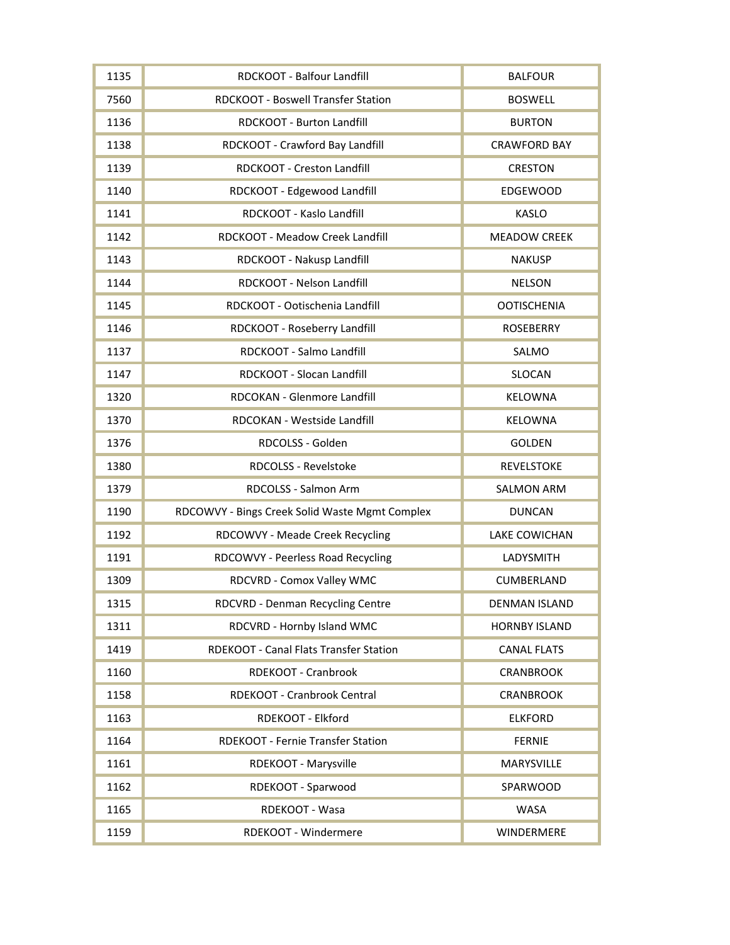| 1135 | RDCKOOT - Balfour Landfill                     | <b>BALFOUR</b>       |
|------|------------------------------------------------|----------------------|
| 7560 | RDCKOOT - Boswell Transfer Station             | <b>BOSWELL</b>       |
| 1136 | RDCKOOT - Burton Landfill                      | <b>BURTON</b>        |
| 1138 | RDCKOOT - Crawford Bay Landfill                | <b>CRAWFORD BAY</b>  |
| 1139 | RDCKOOT - Creston Landfill                     | <b>CRESTON</b>       |
| 1140 | RDCKOOT - Edgewood Landfill                    | <b>EDGEWOOD</b>      |
| 1141 | RDCKOOT - Kaslo Landfill                       | <b>KASLO</b>         |
| 1142 | RDCKOOT - Meadow Creek Landfill                | <b>MEADOW CREEK</b>  |
| 1143 | RDCKOOT - Nakusp Landfill                      | <b>NAKUSP</b>        |
| 1144 | RDCKOOT - Nelson Landfill                      | <b>NELSON</b>        |
| 1145 | RDCKOOT - Ootischenia Landfill                 | <b>OOTISCHENIA</b>   |
| 1146 | RDCKOOT - Roseberry Landfill                   | <b>ROSEBERRY</b>     |
| 1137 | RDCKOOT - Salmo Landfill                       | SALMO                |
| 1147 | RDCKOOT - Slocan Landfill                      | <b>SLOCAN</b>        |
| 1320 | RDCOKAN - Glenmore Landfill                    | KELOWNA              |
| 1370 | RDCOKAN - Westside Landfill                    | KELOWNA              |
| 1376 | RDCOLSS - Golden                               | <b>GOLDEN</b>        |
| 1380 | RDCOLSS - Revelstoke                           | <b>REVELSTOKE</b>    |
| 1379 | RDCOLSS - Salmon Arm                           | <b>SALMON ARM</b>    |
| 1190 | RDCOWVY - Bings Creek Solid Waste Mgmt Complex | <b>DUNCAN</b>        |
| 1192 | RDCOWVY - Meade Creek Recycling                | <b>LAKE COWICHAN</b> |
| 1191 | RDCOWVY - Peerless Road Recycling              | LADYSMITH            |
| 1309 | RDCVRD - Comox Valley WMC                      | CUMBERLAND           |
| 1315 | RDCVRD - Denman Recycling Centre               | <b>DENMAN ISLAND</b> |
| 1311 | RDCVRD - Hornby Island WMC                     | <b>HORNBY ISLAND</b> |
| 1419 | RDEKOOT - Canal Flats Transfer Station         | <b>CANAL FLATS</b>   |
| 1160 | RDEKOOT - Cranbrook                            | <b>CRANBROOK</b>     |
| 1158 | RDEKOOT - Cranbrook Central                    | <b>CRANBROOK</b>     |
| 1163 | RDEKOOT - Elkford                              | <b>ELKFORD</b>       |
| 1164 | RDEKOOT - Fernie Transfer Station              | <b>FERNIE</b>        |
| 1161 | RDEKOOT - Marysville                           | MARYSVILLE           |
| 1162 | RDEKOOT - Sparwood                             | SPARWOOD             |
| 1165 | RDEKOOT - Wasa                                 | <b>WASA</b>          |
| 1159 | RDEKOOT - Windermere                           | WINDERMERE           |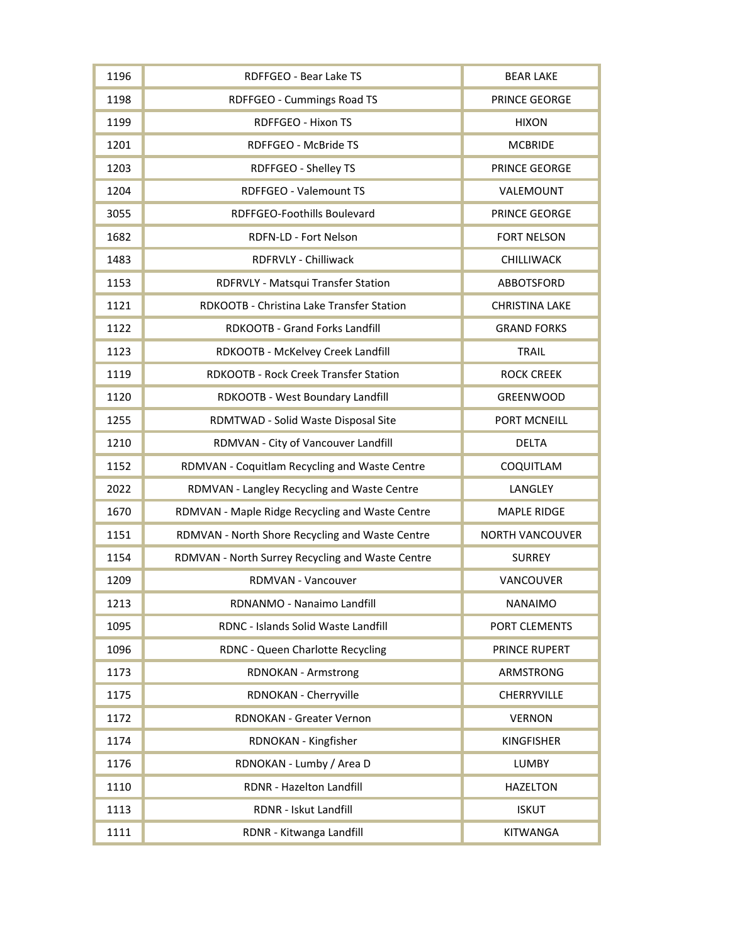| 1196 | RDFFGEO - Bear Lake TS                           | <b>BEAR LAKE</b>       |
|------|--------------------------------------------------|------------------------|
| 1198 | <b>RDFFGEO - Cummings Road TS</b>                | PRINCE GEORGE          |
| 1199 | RDFFGEO - Hixon TS                               | <b>HIXON</b>           |
| 1201 | RDFFGEO - McBride TS                             | <b>MCBRIDE</b>         |
| 1203 | RDFFGEO - Shelley TS                             | PRINCE GEORGE          |
| 1204 | RDFFGEO - Valemount TS                           | VALEMOUNT              |
| 3055 | RDFFGEO-Foothills Boulevard                      | PRINCE GEORGE          |
| 1682 | RDFN-LD - Fort Nelson                            | <b>FORT NELSON</b>     |
| 1483 | RDFRVLY - Chilliwack                             | CHILLIWACK             |
| 1153 | RDFRVLY - Matsqui Transfer Station               | ABBOTSFORD             |
| 1121 | RDKOOTB - Christina Lake Transfer Station        | <b>CHRISTINA LAKE</b>  |
| 1122 | RDKOOTB - Grand Forks Landfill                   | <b>GRAND FORKS</b>     |
| 1123 | RDKOOTB - McKelvey Creek Landfill                | <b>TRAIL</b>           |
| 1119 | <b>RDKOOTB - Rock Creek Transfer Station</b>     | <b>ROCK CREEK</b>      |
| 1120 | RDKOOTB - West Boundary Landfill                 | <b>GREENWOOD</b>       |
| 1255 | RDMTWAD - Solid Waste Disposal Site              | PORT MCNEILL           |
| 1210 | RDMVAN - City of Vancouver Landfill              | <b>DELTA</b>           |
| 1152 | RDMVAN - Coquitlam Recycling and Waste Centre    | COQUITLAM              |
| 2022 | RDMVAN - Langley Recycling and Waste Centre      | LANGLEY                |
| 1670 | RDMVAN - Maple Ridge Recycling and Waste Centre  | <b>MAPLE RIDGE</b>     |
| 1151 | RDMVAN - North Shore Recycling and Waste Centre  | <b>NORTH VANCOUVER</b> |
| 1154 | RDMVAN - North Surrey Recycling and Waste Centre | <b>SURREY</b>          |
| 1209 | RDMVAN - Vancouver                               | VANCOUVER              |
| 1213 | RDNANMO - Nanaimo Landfill                       | <b>NANAIMO</b>         |
| 1095 | RDNC - Islands Solid Waste Landfill              | PORT CLEMENTS          |
| 1096 | RDNC - Queen Charlotte Recycling                 | PRINCE RUPERT          |
| 1173 | <b>RDNOKAN - Armstrong</b>                       | ARMSTRONG              |
| 1175 | RDNOKAN - Cherryville                            | CHERRYVILLE            |
| 1172 | RDNOKAN - Greater Vernon                         | <b>VERNON</b>          |
| 1174 | RDNOKAN - Kingfisher                             | <b>KINGFISHER</b>      |
| 1176 | RDNOKAN - Lumby / Area D                         | <b>LUMBY</b>           |
| 1110 | RDNR - Hazelton Landfill                         | <b>HAZELTON</b>        |
| 1113 | RDNR - Iskut Landfill                            | <b>ISKUT</b>           |
| 1111 | RDNR - Kitwanga Landfill                         | <b>KITWANGA</b>        |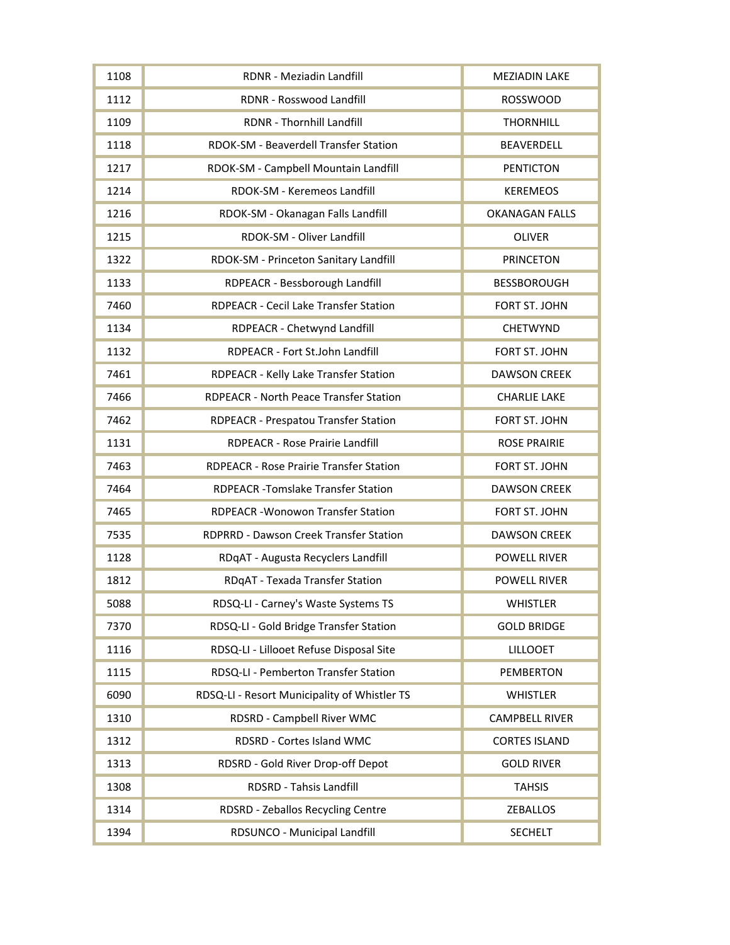| 1108 | RDNR - Meziadin Landfill                       | <b>MEZIADIN LAKE</b>  |
|------|------------------------------------------------|-----------------------|
| 1112 | RDNR - Rosswood Landfill                       | <b>ROSSWOOD</b>       |
| 1109 | RDNR - Thornhill Landfill                      | <b>THORNHILL</b>      |
| 1118 | RDOK-SM - Beaverdell Transfer Station          | <b>BEAVERDELL</b>     |
| 1217 | RDOK-SM - Campbell Mountain Landfill           | <b>PENTICTON</b>      |
| 1214 | RDOK-SM - Keremeos Landfill                    | <b>KEREMEOS</b>       |
| 1216 | RDOK-SM - Okanagan Falls Landfill              | <b>OKANAGAN FALLS</b> |
| 1215 | RDOK-SM - Oliver Landfill                      | <b>OLIVER</b>         |
| 1322 | RDOK-SM - Princeton Sanitary Landfill          | <b>PRINCETON</b>      |
| 1133 | RDPEACR - Bessborough Landfill                 | <b>BESSBOROUGH</b>    |
| 7460 | RDPEACR - Cecil Lake Transfer Station          | FORT ST. JOHN         |
| 1134 | RDPEACR - Chetwynd Landfill                    | <b>CHETWYND</b>       |
| 1132 | RDPEACR - Fort St.John Landfill                | FORT ST. JOHN         |
| 7461 | RDPEACR - Kelly Lake Transfer Station          | <b>DAWSON CREEK</b>   |
| 7466 | RDPEACR - North Peace Transfer Station         | <b>CHARLIE LAKE</b>   |
| 7462 | RDPEACR - Prespatou Transfer Station           | FORT ST. JOHN         |
| 1131 | RDPEACR - Rose Prairie Landfill                | <b>ROSE PRAIRIE</b>   |
| 7463 | <b>RDPEACR - Rose Prairie Transfer Station</b> | FORT ST. JOHN         |
| 7464 | RDPEACR - Tomslake Transfer Station            | <b>DAWSON CREEK</b>   |
| 7465 | <b>RDPEACR-Wonowon Transfer Station</b>        | FORT ST. JOHN         |
| 7535 | RDPRRD - Dawson Creek Transfer Station         | <b>DAWSON CREEK</b>   |
| 1128 | RDqAT - Augusta Recyclers Landfill             | <b>POWELL RIVER</b>   |
| 1812 | RDqAT - Texada Transfer Station                | <b>POWELL RIVER</b>   |
| 5088 | RDSQ-LI - Carney's Waste Systems TS            | <b>WHISTLER</b>       |
| 7370 | RDSQ-LI - Gold Bridge Transfer Station         | <b>GOLD BRIDGE</b>    |
| 1116 | RDSQ-LI - Lillooet Refuse Disposal Site        | <b>LILLOOET</b>       |
| 1115 | RDSQ-LI - Pemberton Transfer Station           | <b>PEMBERTON</b>      |
| 6090 | RDSQ-LI - Resort Municipality of Whistler TS   | <b>WHISTLER</b>       |
| 1310 | RDSRD - Campbell River WMC                     | <b>CAMPBELL RIVER</b> |
| 1312 | RDSRD - Cortes Island WMC                      | <b>CORTES ISLAND</b>  |
| 1313 | RDSRD - Gold River Drop-off Depot              | <b>GOLD RIVER</b>     |
| 1308 | RDSRD - Tahsis Landfill                        | <b>TAHSIS</b>         |
| 1314 | RDSRD - Zeballos Recycling Centre              | <b>ZEBALLOS</b>       |
| 1394 | RDSUNCO - Municipal Landfill                   | <b>SECHELT</b>        |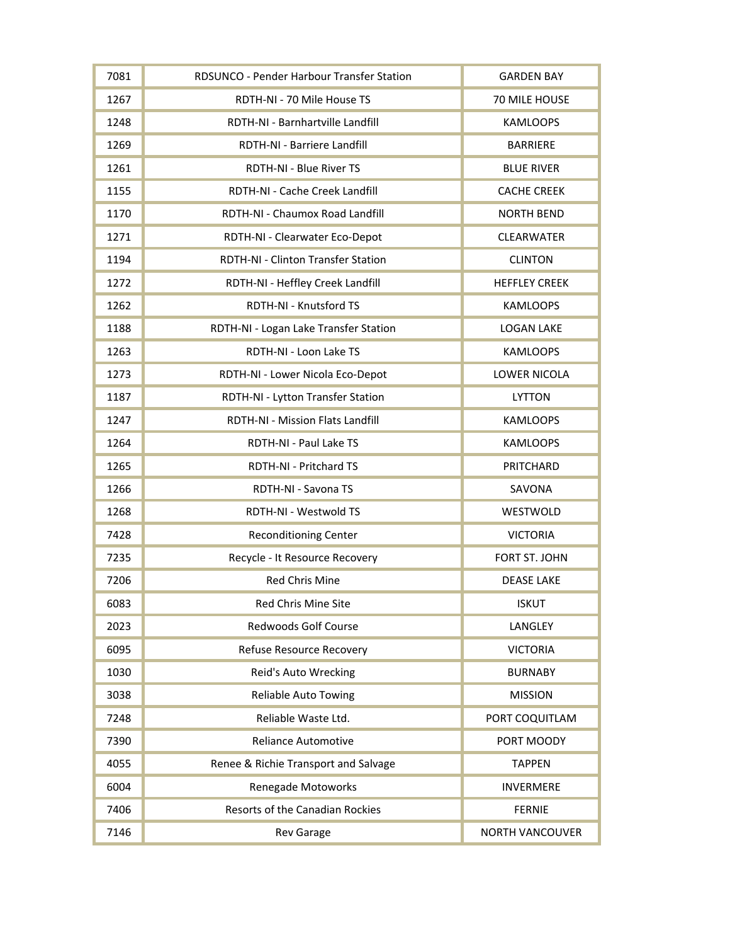| 7081 | RDSUNCO - Pender Harbour Transfer Station | <b>GARDEN BAY</b>      |
|------|-------------------------------------------|------------------------|
| 1267 | RDTH-NI - 70 Mile House TS                | 70 MILE HOUSE          |
| 1248 | RDTH-NI - Barnhartville Landfill          | <b>KAMLOOPS</b>        |
| 1269 | RDTH-NI - Barriere Landfill               | <b>BARRIERE</b>        |
| 1261 | RDTH-NI - Blue River TS                   | <b>BLUE RIVER</b>      |
| 1155 | RDTH-NI - Cache Creek Landfill            | <b>CACHE CREEK</b>     |
| 1170 | RDTH-NI - Chaumox Road Landfill           | <b>NORTH BEND</b>      |
| 1271 | RDTH-NI - Clearwater Eco-Depot            | CLEARWATER             |
| 1194 | RDTH-NI - Clinton Transfer Station        | <b>CLINTON</b>         |
| 1272 | RDTH-NI - Heffley Creek Landfill          | <b>HEFFLEY CREEK</b>   |
| 1262 | RDTH-NI - Knutsford TS                    | <b>KAMLOOPS</b>        |
| 1188 | RDTH-NI - Logan Lake Transfer Station     | <b>LOGAN LAKE</b>      |
| 1263 | RDTH-NI - Loon Lake TS                    | <b>KAMLOOPS</b>        |
| 1273 | RDTH-NI - Lower Nicola Eco-Depot          | LOWER NICOLA           |
| 1187 | RDTH-NI - Lytton Transfer Station         | <b>LYTTON</b>          |
| 1247 | RDTH-NI - Mission Flats Landfill          | <b>KAMLOOPS</b>        |
| 1264 | RDTH-NI - Paul Lake TS                    | <b>KAMLOOPS</b>        |
| 1265 | RDTH-NI - Pritchard TS                    | PRITCHARD              |
| 1266 | RDTH-NI - Savona TS                       | SAVONA                 |
| 1268 | RDTH-NI - Westwold TS                     | WESTWOLD               |
| 7428 | <b>Reconditioning Center</b>              | <b>VICTORIA</b>        |
| 7235 | Recycle - It Resource Recovery            | FORT ST. JOHN          |
| 7206 | <b>Red Chris Mine</b>                     | <b>DEASE LAKE</b>      |
| 6083 | <b>Red Chris Mine Site</b>                | <b>ISKUT</b>           |
| 2023 | <b>Redwoods Golf Course</b>               | LANGLEY                |
| 6095 | Refuse Resource Recovery                  | <b>VICTORIA</b>        |
| 1030 | Reid's Auto Wrecking                      | <b>BURNABY</b>         |
| 3038 | <b>Reliable Auto Towing</b>               | <b>MISSION</b>         |
| 7248 | Reliable Waste Ltd.                       | PORT COQUITLAM         |
| 7390 | <b>Reliance Automotive</b>                | PORT MOODY             |
| 4055 | Renee & Richie Transport and Salvage      | <b>TAPPEN</b>          |
| 6004 | Renegade Motoworks                        | <b>INVERMERE</b>       |
| 7406 | <b>Resorts of the Canadian Rockies</b>    | <b>FERNIE</b>          |
| 7146 | <b>Rev Garage</b>                         | <b>NORTH VANCOUVER</b> |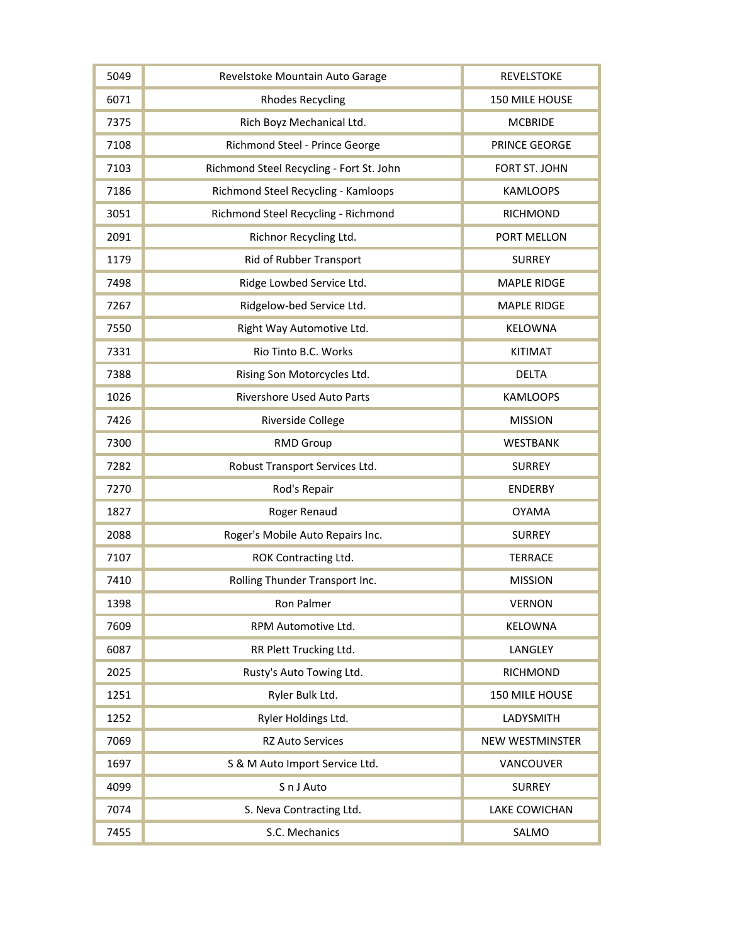| 5049 | Revelstoke Mountain Auto Garage          | <b>REVELSTOKE</b>      |
|------|------------------------------------------|------------------------|
| 6071 | <b>Rhodes Recycling</b>                  | 150 MILE HOUSE         |
| 7375 | Rich Boyz Mechanical Ltd.                | <b>MCBRIDE</b>         |
| 7108 | Richmond Steel - Prince George           | PRINCE GEORGE          |
| 7103 | Richmond Steel Recycling - Fort St. John | FORT ST. JOHN          |
| 7186 | Richmond Steel Recycling - Kamloops      | <b>KAMLOOPS</b>        |
| 3051 | Richmond Steel Recycling - Richmond      | <b>RICHMOND</b>        |
| 2091 | Richnor Recycling Ltd.                   | PORT MELLON            |
| 1179 | Rid of Rubber Transport                  | <b>SURREY</b>          |
| 7498 | Ridge Lowbed Service Ltd.                | <b>MAPLE RIDGE</b>     |
| 7267 | Ridgelow-bed Service Ltd.                | <b>MAPLE RIDGE</b>     |
| 7550 | Right Way Automotive Ltd.                | KELOWNA                |
| 7331 | Rio Tinto B.C. Works                     | <b>KITIMAT</b>         |
| 7388 | Rising Son Motorcycles Ltd.              | <b>DELTA</b>           |
| 1026 | <b>Rivershore Used Auto Parts</b>        | <b>KAMLOOPS</b>        |
| 7426 | Riverside College                        | <b>MISSION</b>         |
| 7300 | <b>RMD Group</b>                         | <b>WESTBANK</b>        |
| 7282 | Robust Transport Services Ltd.           | <b>SURREY</b>          |
| 7270 | Rod's Repair                             | <b>ENDERBY</b>         |
| 1827 | Roger Renaud                             | <b>OYAMA</b>           |
| 2088 | Roger's Mobile Auto Repairs Inc.         | <b>SURREY</b>          |
| 7107 | ROK Contracting Ltd.                     | <b>TERRACE</b>         |
| 7410 | Rolling Thunder Transport Inc.           | <b>MISSION</b>         |
| 1398 | Ron Palmer                               | <b>VERNON</b>          |
| 7609 | RPM Automotive Ltd.                      | <b>KELOWNA</b>         |
| 6087 | RR Plett Trucking Ltd.                   | LANGLEY                |
| 2025 | Rusty's Auto Towing Ltd.                 | <b>RICHMOND</b>        |
| 1251 | Ryler Bulk Ltd.                          | 150 MILE HOUSE         |
| 1252 | Ryler Holdings Ltd.                      | LADYSMITH              |
| 7069 | <b>RZ Auto Services</b>                  | <b>NEW WESTMINSTER</b> |
| 1697 | S & M Auto Import Service Ltd.           | VANCOUVER              |
| 4099 | S n J Auto                               | <b>SURREY</b>          |
| 7074 | S. Neva Contracting Ltd.                 | <b>LAKE COWICHAN</b>   |
| 7455 | S.C. Mechanics                           | SALMO                  |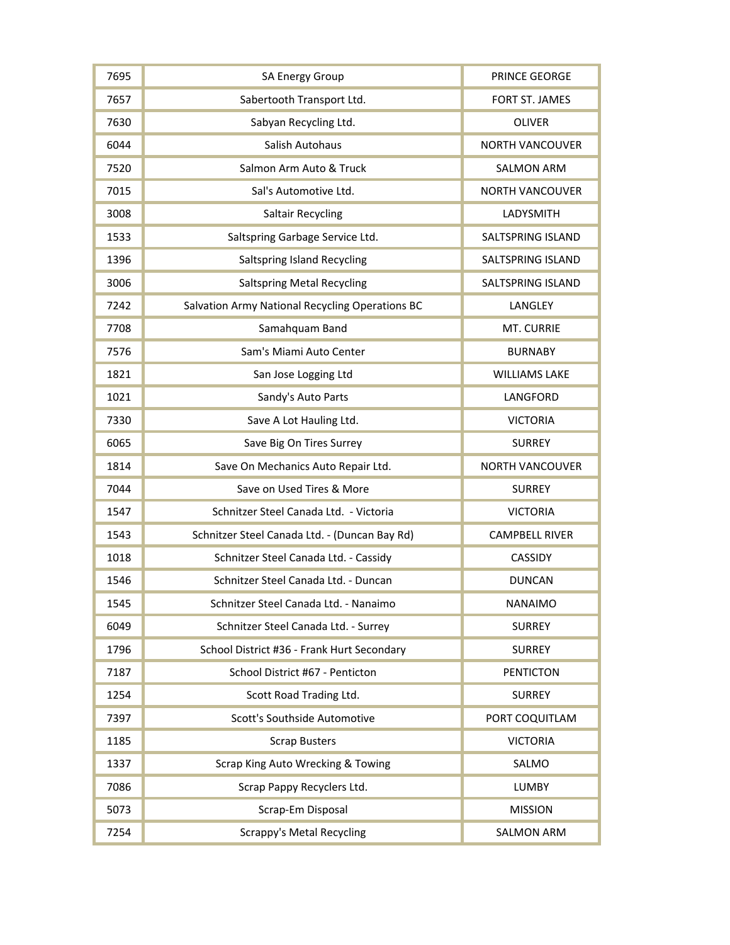| 7695 | SA Energy Group                                 | PRINCE GEORGE          |
|------|-------------------------------------------------|------------------------|
| 7657 | Sabertooth Transport Ltd.                       | FORT ST. JAMES         |
| 7630 | Sabyan Recycling Ltd.                           | <b>OLIVER</b>          |
| 6044 | Salish Autohaus                                 | <b>NORTH VANCOUVER</b> |
| 7520 | Salmon Arm Auto & Truck                         | <b>SALMON ARM</b>      |
| 7015 | Sal's Automotive Ltd.                           | <b>NORTH VANCOUVER</b> |
| 3008 | <b>Saltair Recycling</b>                        | LADYSMITH              |
| 1533 | Saltspring Garbage Service Ltd.                 | SALTSPRING ISLAND      |
| 1396 | Saltspring Island Recycling                     | SALTSPRING ISLAND      |
| 3006 | <b>Saltspring Metal Recycling</b>               | SALTSPRING ISLAND      |
| 7242 | Salvation Army National Recycling Operations BC | LANGLEY                |
| 7708 | Samahquam Band                                  | MT. CURRIE             |
| 7576 | Sam's Miami Auto Center                         | <b>BURNABY</b>         |
| 1821 | San Jose Logging Ltd                            | <b>WILLIAMS LAKE</b>   |
| 1021 | Sandy's Auto Parts                              | LANGFORD               |
| 7330 | Save A Lot Hauling Ltd.                         | <b>VICTORIA</b>        |
| 6065 | Save Big On Tires Surrey                        | <b>SURREY</b>          |
| 1814 | Save On Mechanics Auto Repair Ltd.              | <b>NORTH VANCOUVER</b> |
| 7044 | Save on Used Tires & More                       | <b>SURREY</b>          |
| 1547 | Schnitzer Steel Canada Ltd. - Victoria          | <b>VICTORIA</b>        |
| 1543 | Schnitzer Steel Canada Ltd. - (Duncan Bay Rd)   | <b>CAMPBELL RIVER</b>  |
| 1018 | Schnitzer Steel Canada Ltd. - Cassidy           | CASSIDY                |
| 1546 | Schnitzer Steel Canada Ltd. - Duncan            | <b>DUNCAN</b>          |
| 1545 | Schnitzer Steel Canada Ltd. - Nanaimo           | <b>NANAIMO</b>         |
| 6049 | Schnitzer Steel Canada Ltd. - Surrey            | <b>SURREY</b>          |
| 1796 | School District #36 - Frank Hurt Secondary      | <b>SURREY</b>          |
| 7187 | School District #67 - Penticton                 | <b>PENTICTON</b>       |
| 1254 | Scott Road Trading Ltd.                         | <b>SURREY</b>          |
| 7397 | Scott's Southside Automotive                    | PORT COQUITLAM         |
| 1185 | <b>Scrap Busters</b>                            | <b>VICTORIA</b>        |
| 1337 | Scrap King Auto Wrecking & Towing               | SALMO                  |
| 7086 | Scrap Pappy Recyclers Ltd.                      | <b>LUMBY</b>           |
| 5073 | Scrap-Em Disposal                               | <b>MISSION</b>         |
| 7254 | <b>Scrappy's Metal Recycling</b>                | <b>SALMON ARM</b>      |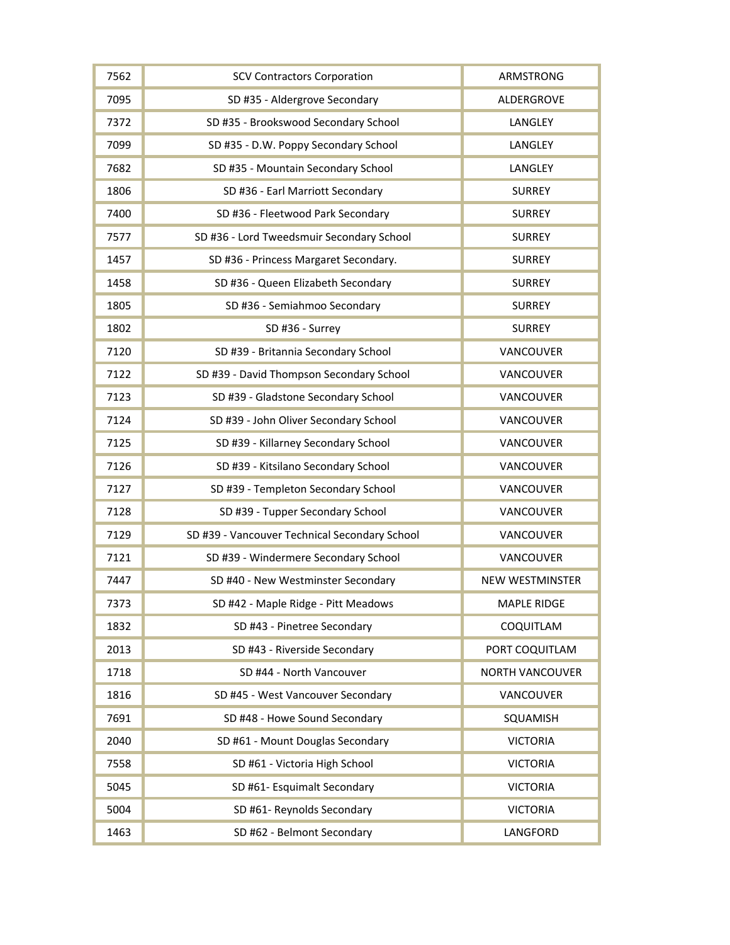| 7562 | <b>SCV Contractors Corporation</b>            | ARMSTRONG              |
|------|-----------------------------------------------|------------------------|
| 7095 | SD #35 - Aldergrove Secondary                 | ALDERGROVE             |
| 7372 | SD #35 - Brookswood Secondary School          | LANGLEY                |
| 7099 | SD #35 - D.W. Poppy Secondary School          | LANGLEY                |
| 7682 | SD #35 - Mountain Secondary School            | LANGLEY                |
| 1806 | SD #36 - Earl Marriott Secondary              | <b>SURREY</b>          |
| 7400 | SD #36 - Fleetwood Park Secondary             | <b>SURREY</b>          |
| 7577 | SD #36 - Lord Tweedsmuir Secondary School     | <b>SURREY</b>          |
| 1457 | SD #36 - Princess Margaret Secondary.         | <b>SURREY</b>          |
| 1458 | SD #36 - Queen Elizabeth Secondary            | <b>SURREY</b>          |
| 1805 | SD #36 - Semiahmoo Secondary                  | <b>SURREY</b>          |
| 1802 | SD #36 - Surrey                               | <b>SURREY</b>          |
| 7120 | SD #39 - Britannia Secondary School           | VANCOUVER              |
| 7122 | SD #39 - David Thompson Secondary School      | VANCOUVER              |
| 7123 | SD #39 - Gladstone Secondary School           | VANCOUVER              |
| 7124 | SD #39 - John Oliver Secondary School         | VANCOUVER              |
| 7125 | SD #39 - Killarney Secondary School           | VANCOUVER              |
| 7126 | SD #39 - Kitsilano Secondary School           | VANCOUVER              |
| 7127 | SD #39 - Templeton Secondary School           | VANCOUVER              |
| 7128 | SD #39 - Tupper Secondary School              | VANCOUVER              |
| 7129 | SD #39 - Vancouver Technical Secondary School | VANCOUVER              |
| 7121 | SD #39 - Windermere Secondary School          | VANCOUVER              |
| 7447 | SD #40 - New Westminster Secondary            | <b>NEW WESTMINSTER</b> |
| 7373 | SD #42 - Maple Ridge - Pitt Meadows           | <b>MAPLE RIDGE</b>     |
| 1832 | SD #43 - Pinetree Secondary                   | COQUITLAM              |
| 2013 | SD #43 - Riverside Secondary                  | PORT COQUITLAM         |
| 1718 | SD #44 - North Vancouver                      | <b>NORTH VANCOUVER</b> |
| 1816 | SD #45 - West Vancouver Secondary             | VANCOUVER              |
| 7691 | SD #48 - Howe Sound Secondary                 | SQUAMISH               |
| 2040 | SD #61 - Mount Douglas Secondary              | <b>VICTORIA</b>        |
| 7558 | SD #61 - Victoria High School                 | <b>VICTORIA</b>        |
| 5045 | SD #61- Esquimalt Secondary                   | <b>VICTORIA</b>        |
| 5004 | SD #61- Reynolds Secondary                    | <b>VICTORIA</b>        |
| 1463 | SD #62 - Belmont Secondary                    | LANGFORD               |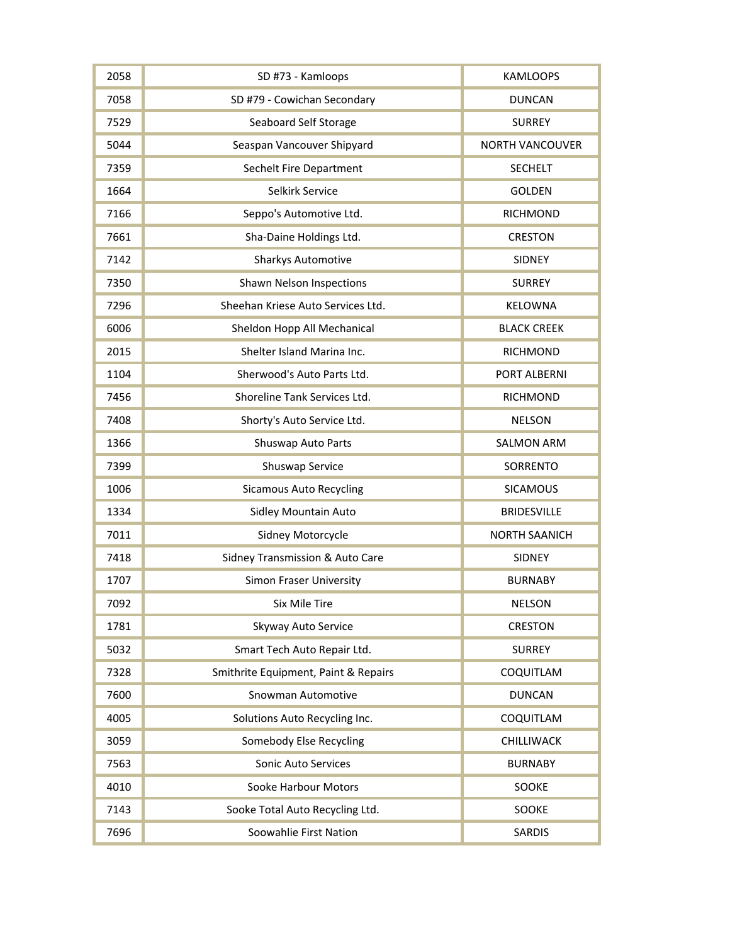| 2058 | SD #73 - Kamloops                    | <b>KAMLOOPS</b>        |
|------|--------------------------------------|------------------------|
| 7058 | SD #79 - Cowichan Secondary          | <b>DUNCAN</b>          |
| 7529 | Seaboard Self Storage                | <b>SURREY</b>          |
| 5044 | Seaspan Vancouver Shipyard           | <b>NORTH VANCOUVER</b> |
| 7359 | Sechelt Fire Department              | <b>SECHELT</b>         |
| 1664 | Selkirk Service                      | <b>GOLDEN</b>          |
| 7166 | Seppo's Automotive Ltd.              | <b>RICHMOND</b>        |
| 7661 | Sha-Daine Holdings Ltd.              | <b>CRESTON</b>         |
| 7142 | <b>Sharkys Automotive</b>            | <b>SIDNEY</b>          |
| 7350 | Shawn Nelson Inspections             | <b>SURREY</b>          |
| 7296 | Sheehan Kriese Auto Services Ltd.    | KELOWNA                |
| 6006 | Sheldon Hopp All Mechanical          | <b>BLACK CREEK</b>     |
| 2015 | Shelter Island Marina Inc.           | <b>RICHMOND</b>        |
| 1104 | Sherwood's Auto Parts Ltd.           | PORT ALBERNI           |
| 7456 | Shoreline Tank Services Ltd.         | <b>RICHMOND</b>        |
| 7408 | Shorty's Auto Service Ltd.           | <b>NELSON</b>          |
| 1366 | Shuswap Auto Parts                   | <b>SALMON ARM</b>      |
| 7399 | Shuswap Service                      | SORRENTO               |
| 1006 | <b>Sicamous Auto Recycling</b>       | <b>SICAMOUS</b>        |
| 1334 | <b>Sidley Mountain Auto</b>          | <b>BRIDESVILLE</b>     |
| 7011 | Sidney Motorcycle                    | <b>NORTH SAANICH</b>   |
| 7418 | Sidney Transmission & Auto Care      | SIDNEY                 |
| 1707 | <b>Simon Fraser University</b>       | <b>BURNABY</b>         |
| 7092 | <b>Six Mile Tire</b>                 | <b>NELSON</b>          |
| 1781 | Skyway Auto Service                  | <b>CRESTON</b>         |
| 5032 | Smart Tech Auto Repair Ltd.          | <b>SURREY</b>          |
| 7328 | Smithrite Equipment, Paint & Repairs | COQUITLAM              |
| 7600 | Snowman Automotive                   | <b>DUNCAN</b>          |
| 4005 | Solutions Auto Recycling Inc.        | COQUITLAM              |
| 3059 | Somebody Else Recycling              | CHILLIWACK             |
| 7563 | <b>Sonic Auto Services</b>           | <b>BURNABY</b>         |
| 4010 | Sooke Harbour Motors                 | SOOKE                  |
| 7143 | Sooke Total Auto Recycling Ltd.      | SOOKE                  |
| 7696 | Soowahlie First Nation               | <b>SARDIS</b>          |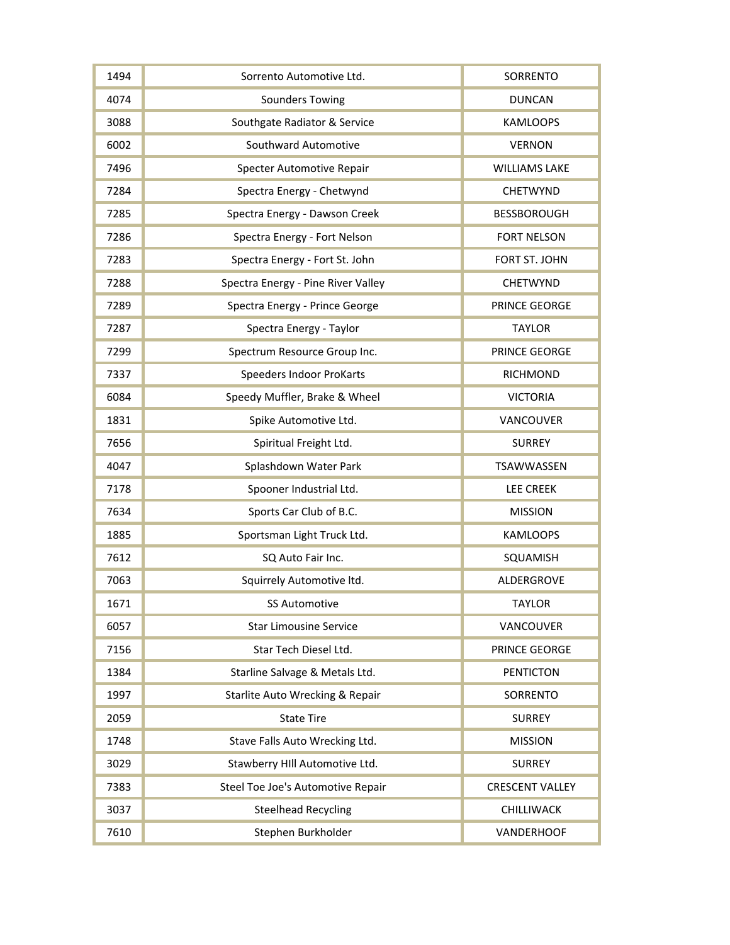| 1494 | Sorrento Automotive Ltd.           | SORRENTO               |
|------|------------------------------------|------------------------|
| 4074 | <b>Sounders Towing</b>             | <b>DUNCAN</b>          |
| 3088 | Southgate Radiator & Service       | <b>KAMLOOPS</b>        |
| 6002 | Southward Automotive               | <b>VERNON</b>          |
| 7496 | Specter Automotive Repair          | <b>WILLIAMS LAKE</b>   |
| 7284 | Spectra Energy - Chetwynd          | <b>CHETWYND</b>        |
| 7285 | Spectra Energy - Dawson Creek      | <b>BESSBOROUGH</b>     |
| 7286 | Spectra Energy - Fort Nelson       | <b>FORT NELSON</b>     |
| 7283 | Spectra Energy - Fort St. John     | FORT ST. JOHN          |
| 7288 | Spectra Energy - Pine River Valley | <b>CHETWYND</b>        |
| 7289 | Spectra Energy - Prince George     | PRINCE GEORGE          |
| 7287 | Spectra Energy - Taylor            | <b>TAYLOR</b>          |
| 7299 | Spectrum Resource Group Inc.       | PRINCE GEORGE          |
| 7337 | <b>Speeders Indoor ProKarts</b>    | RICHMOND               |
| 6084 | Speedy Muffler, Brake & Wheel      | <b>VICTORIA</b>        |
| 1831 | Spike Automotive Ltd.              | VANCOUVER              |
| 7656 | Spiritual Freight Ltd.             | <b>SURREY</b>          |
| 4047 | Splashdown Water Park              | TSAWWASSEN             |
| 7178 | Spooner Industrial Ltd.            | <b>LEE CREEK</b>       |
| 7634 | Sports Car Club of B.C.            | <b>MISSION</b>         |
| 1885 | Sportsman Light Truck Ltd.         | <b>KAMLOOPS</b>        |
| 7612 | SQ Auto Fair Inc.                  | SQUAMISH               |
| 7063 | Squirrely Automotive ltd.          | ALDERGROVE             |
| 1671 | <b>SS Automotive</b>               | <b>TAYLOR</b>          |
| 6057 | <b>Star Limousine Service</b>      | VANCOUVER              |
| 7156 | Star Tech Diesel Ltd.              | PRINCE GEORGE          |
| 1384 | Starline Salvage & Metals Ltd.     | <b>PENTICTON</b>       |
| 1997 | Starlite Auto Wrecking & Repair    | SORRENTO               |
| 2059 | <b>State Tire</b>                  | <b>SURREY</b>          |
| 1748 | Stave Falls Auto Wrecking Ltd.     | <b>MISSION</b>         |
| 3029 | Stawberry HIII Automotive Ltd.     | <b>SURREY</b>          |
| 7383 | Steel Toe Joe's Automotive Repair  | <b>CRESCENT VALLEY</b> |
| 3037 | <b>Steelhead Recycling</b>         | CHILLIWACK             |
| 7610 | Stephen Burkholder                 | <b>VANDERHOOF</b>      |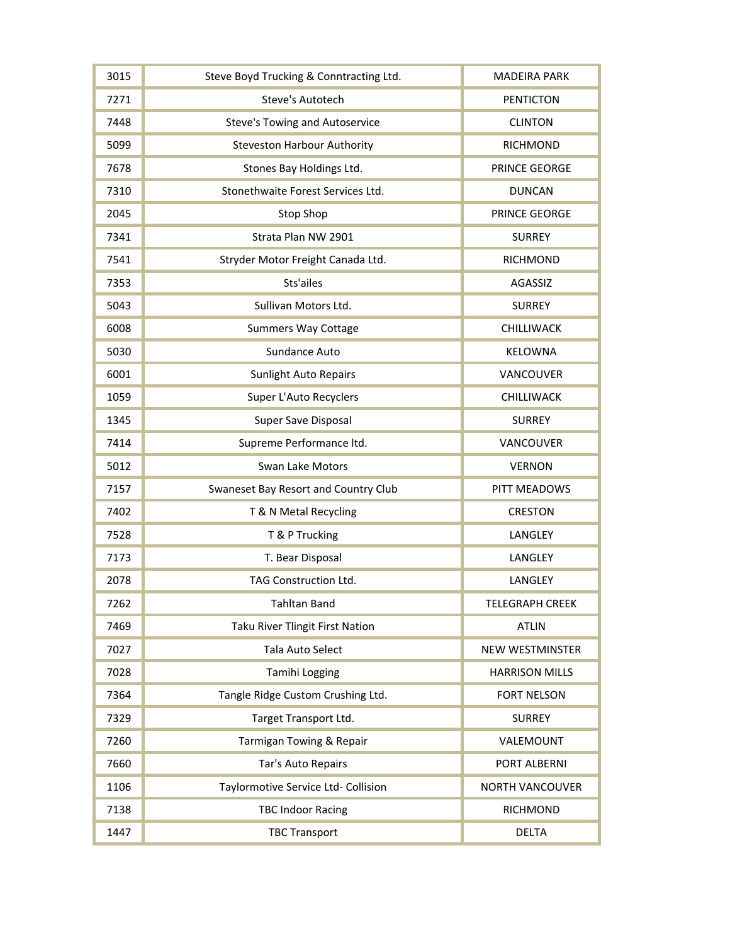| 3015 | Steve Boyd Trucking & Conntracting Ltd. | <b>MADEIRA PARK</b>    |
|------|-----------------------------------------|------------------------|
| 7271 | Steve's Autotech                        | <b>PENTICTON</b>       |
| 7448 | <b>Steve's Towing and Autoservice</b>   | <b>CLINTON</b>         |
| 5099 | <b>Steveston Harbour Authority</b>      | <b>RICHMOND</b>        |
| 7678 | Stones Bay Holdings Ltd.                | PRINCE GEORGE          |
| 7310 | Stonethwaite Forest Services Ltd.       | <b>DUNCAN</b>          |
| 2045 | Stop Shop                               | PRINCE GEORGE          |
| 7341 | Strata Plan NW 2901                     | <b>SURREY</b>          |
| 7541 | Stryder Motor Freight Canada Ltd.       | <b>RICHMOND</b>        |
| 7353 | Sts'ailes                               | AGASSIZ                |
| 5043 | Sullivan Motors Ltd.                    | <b>SURREY</b>          |
| 6008 | <b>Summers Way Cottage</b>              | CHILLIWACK             |
| 5030 | Sundance Auto                           | <b>KELOWNA</b>         |
| 6001 | <b>Sunlight Auto Repairs</b>            | VANCOUVER              |
| 1059 | Super L'Auto Recyclers                  | CHILLIWACK             |
| 1345 | Super Save Disposal                     | <b>SURREY</b>          |
| 7414 | Supreme Performance ltd.                | VANCOUVER              |
| 5012 | Swan Lake Motors                        | <b>VERNON</b>          |
| 7157 | Swaneset Bay Resort and Country Club    | PITT MEADOWS           |
| 7402 | T & N Metal Recycling                   | <b>CRESTON</b>         |
| 7528 | T & P Trucking                          | LANGLEY                |
| 7173 | T. Bear Disposal                        | LANGLEY                |
| 2078 | TAG Construction Ltd.                   | LANGLEY                |
| 7262 | <b>Tahltan Band</b>                     | <b>TELEGRAPH CREEK</b> |
| 7469 | <b>Taku River Tlingit First Nation</b>  | <b>ATLIN</b>           |
| 7027 | Tala Auto Select                        | <b>NEW WESTMINSTER</b> |
| 7028 | Tamihi Logging                          | <b>HARRISON MILLS</b>  |
| 7364 | Tangle Ridge Custom Crushing Ltd.       | <b>FORT NELSON</b>     |
| 7329 | Target Transport Ltd.                   | <b>SURREY</b>          |
| 7260 | Tarmigan Towing & Repair                | VALEMOUNT              |
| 7660 | Tar's Auto Repairs                      | PORT ALBERNI           |
| 1106 | Taylormotive Service Ltd- Collision     | <b>NORTH VANCOUVER</b> |
| 7138 | <b>TBC Indoor Racing</b>                | <b>RICHMOND</b>        |
| 1447 | <b>TBC Transport</b>                    | <b>DELTA</b>           |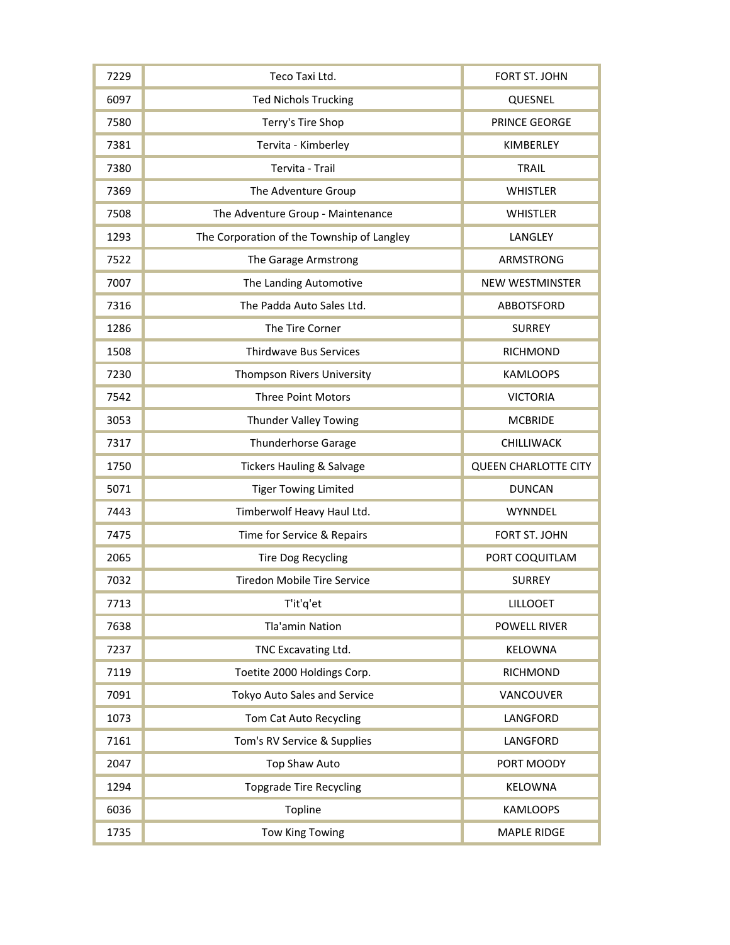| 7229 | Teco Taxi Ltd.                             | FORT ST. JOHN               |
|------|--------------------------------------------|-----------------------------|
| 6097 | <b>Ted Nichols Trucking</b>                | QUESNEL                     |
| 7580 | Terry's Tire Shop                          | PRINCE GEORGE               |
| 7381 | Tervita - Kimberley                        | KIMBERLEY                   |
| 7380 | Tervita - Trail                            | <b>TRAIL</b>                |
| 7369 | The Adventure Group                        | <b>WHISTLER</b>             |
| 7508 | The Adventure Group - Maintenance          | <b>WHISTLER</b>             |
| 1293 | The Corporation of the Township of Langley | LANGLEY                     |
| 7522 | The Garage Armstrong                       | ARMSTRONG                   |
| 7007 | The Landing Automotive                     | <b>NEW WESTMINSTER</b>      |
| 7316 | The Padda Auto Sales Ltd.                  | ABBOTSFORD                  |
| 1286 | The Tire Corner                            | <b>SURREY</b>               |
| 1508 | <b>Thirdwave Bus Services</b>              | <b>RICHMOND</b>             |
| 7230 | Thompson Rivers University                 | <b>KAMLOOPS</b>             |
| 7542 | <b>Three Point Motors</b>                  | <b>VICTORIA</b>             |
| 3053 | <b>Thunder Valley Towing</b>               | <b>MCBRIDE</b>              |
| 7317 | <b>Thunderhorse Garage</b>                 | CHILLIWACK                  |
|      |                                            |                             |
| 1750 | <b>Tickers Hauling &amp; Salvage</b>       | <b>QUEEN CHARLOTTE CITY</b> |
| 5071 | <b>Tiger Towing Limited</b>                | <b>DUNCAN</b>               |
| 7443 | Timberwolf Heavy Haul Ltd.                 | WYNNDEL                     |
| 7475 | Time for Service & Repairs                 | FORT ST. JOHN               |
| 2065 | <b>Tire Dog Recycling</b>                  | PORT COQUITLAM              |
| 7032 | <b>Tiredon Mobile Tire Service</b>         | <b>SURREY</b>               |
| 7713 | T'it'q'et                                  | <b>LILLOOET</b>             |
| 7638 | Tla'amin Nation                            | <b>POWELL RIVER</b>         |
| 7237 | TNC Excavating Ltd.                        | KELOWNA                     |
| 7119 | Toetite 2000 Holdings Corp.                | <b>RICHMOND</b>             |
| 7091 | Tokyo Auto Sales and Service               | VANCOUVER                   |
| 1073 | Tom Cat Auto Recycling                     | LANGFORD                    |
| 7161 | Tom's RV Service & Supplies                | LANGFORD                    |
| 2047 | <b>Top Shaw Auto</b>                       | PORT MOODY                  |
| 1294 | <b>Topgrade Tire Recycling</b>             | KELOWNA                     |
| 6036 | Topline                                    | <b>KAMLOOPS</b>             |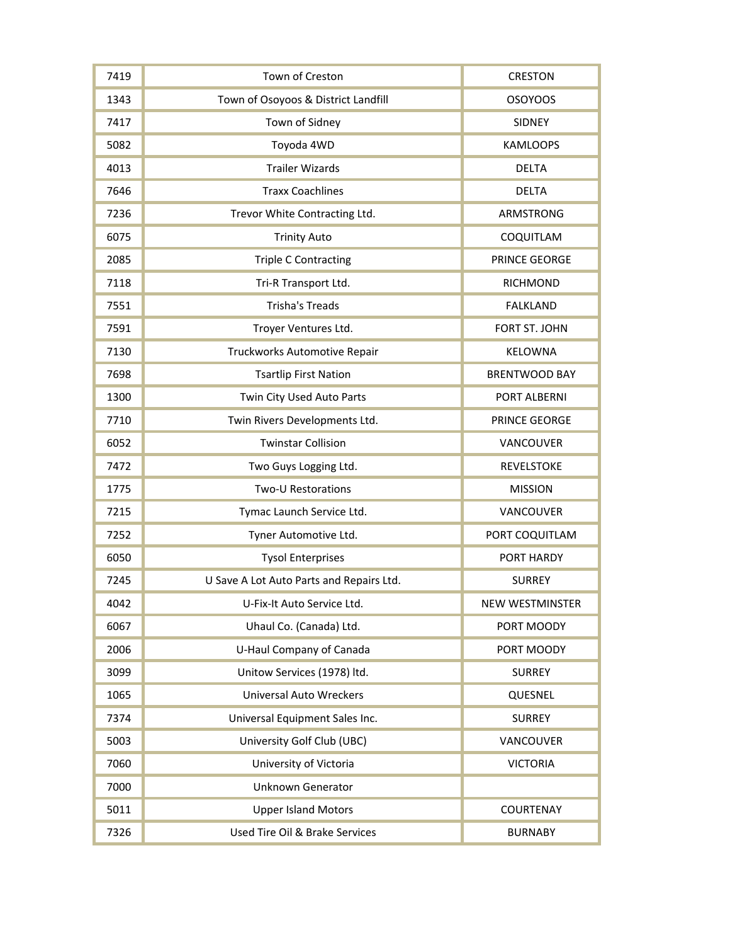| 7419 | Town of Creston                          | <b>CRESTON</b>         |
|------|------------------------------------------|------------------------|
| 1343 | Town of Osoyoos & District Landfill      | <b>OSOYOOS</b>         |
| 7417 | Town of Sidney                           | <b>SIDNEY</b>          |
| 5082 | Toyoda 4WD                               | <b>KAMLOOPS</b>        |
| 4013 | <b>Trailer Wizards</b>                   | <b>DELTA</b>           |
| 7646 | <b>Traxx Coachlines</b>                  | <b>DELTA</b>           |
| 7236 | Trevor White Contracting Ltd.            | ARMSTRONG              |
| 6075 | <b>Trinity Auto</b>                      | COQUITLAM              |
| 2085 | <b>Triple C Contracting</b>              | PRINCE GEORGE          |
| 7118 | Tri-R Transport Ltd.                     | <b>RICHMOND</b>        |
| 7551 | <b>Trisha's Treads</b>                   | <b>FALKLAND</b>        |
| 7591 | Troyer Ventures Ltd.                     | FORT ST. JOHN          |
| 7130 | Truckworks Automotive Repair             | KELOWNA                |
| 7698 | <b>Tsartlip First Nation</b>             | <b>BRENTWOOD BAY</b>   |
| 1300 | Twin City Used Auto Parts                | PORT ALBERNI           |
| 7710 | Twin Rivers Developments Ltd.            | PRINCE GEORGE          |
| 6052 | <b>Twinstar Collision</b>                | VANCOUVER              |
| 7472 | Two Guys Logging Ltd.                    | <b>REVELSTOKE</b>      |
| 1775 | <b>Two-U Restorations</b>                | <b>MISSION</b>         |
| 7215 | Tymac Launch Service Ltd.                | VANCOUVER              |
| 7252 | Tyner Automotive Ltd.                    | PORT COQUITLAM         |
| 6050 | <b>Tysol Enterprises</b>                 | PORT HARDY             |
| 7245 | U Save A Lot Auto Parts and Repairs Ltd. | <b>SURREY</b>          |
| 4042 | U-Fix-It Auto Service Ltd.               | <b>NEW WESTMINSTER</b> |
| 6067 | Uhaul Co. (Canada) Ltd.                  | PORT MOODY             |
| 2006 | U-Haul Company of Canada                 | PORT MOODY             |
| 3099 | Unitow Services (1978) ltd.              | <b>SURREY</b>          |
| 1065 | <b>Universal Auto Wreckers</b>           | QUESNEL                |
| 7374 | Universal Equipment Sales Inc.           | <b>SURREY</b>          |
| 5003 | University Golf Club (UBC)               | VANCOUVER              |
| 7060 | University of Victoria                   | <b>VICTORIA</b>        |
| 7000 | <b>Unknown Generator</b>                 |                        |
| 5011 | <b>Upper Island Motors</b>               | COURTENAY              |
| 7326 | Used Tire Oil & Brake Services           | <b>BURNABY</b>         |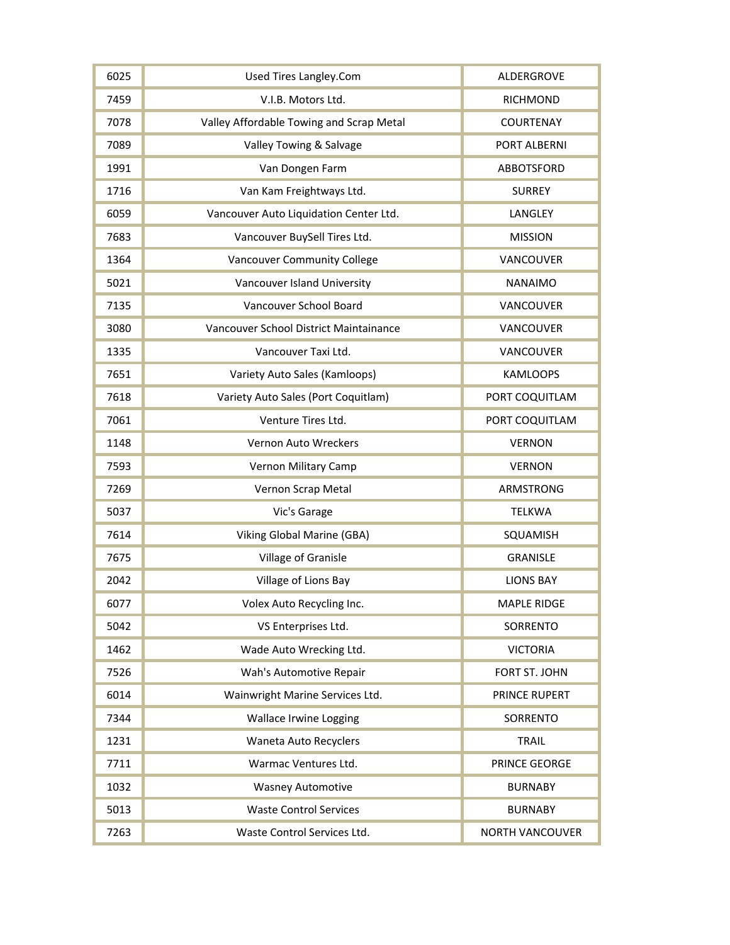| 6025 | <b>Used Tires Langley.Com</b>            | ALDERGROVE             |
|------|------------------------------------------|------------------------|
| 7459 | V.I.B. Motors Ltd.                       | <b>RICHMOND</b>        |
| 7078 | Valley Affordable Towing and Scrap Metal | <b>COURTENAY</b>       |
| 7089 | Valley Towing & Salvage                  | PORT ALBERNI           |
| 1991 | Van Dongen Farm                          | ABBOTSFORD             |
| 1716 | Van Kam Freightways Ltd.                 | <b>SURREY</b>          |
| 6059 | Vancouver Auto Liquidation Center Ltd.   | LANGLEY                |
| 7683 | Vancouver BuySell Tires Ltd.             | <b>MISSION</b>         |
| 1364 | <b>Vancouver Community College</b>       | VANCOUVER              |
| 5021 | Vancouver Island University              | <b>NANAIMO</b>         |
| 7135 | Vancouver School Board                   | VANCOUVER              |
| 3080 | Vancouver School District Maintainance   | VANCOUVER              |
| 1335 | Vancouver Taxi Ltd.                      | VANCOUVER              |
| 7651 | Variety Auto Sales (Kamloops)            | <b>KAMLOOPS</b>        |
| 7618 | Variety Auto Sales (Port Coquitlam)      | PORT COQUITLAM         |
| 7061 | Venture Tires Ltd.                       | PORT COQUITLAM         |
| 1148 | <b>Vernon Auto Wreckers</b>              | <b>VERNON</b>          |
| 7593 | Vernon Military Camp                     | <b>VERNON</b>          |
| 7269 | Vernon Scrap Metal                       | ARMSTRONG              |
| 5037 | Vic's Garage                             | <b>TELKWA</b>          |
| 7614 | <b>Viking Global Marine (GBA)</b>        | SQUAMISH               |
| 7675 | Village of Granisle                      | <b>GRANISLE</b>        |
| 2042 | Village of Lions Bay                     | <b>LIONS BAY</b>       |
| 6077 | Volex Auto Recycling Inc.                | <b>MAPLE RIDGE</b>     |
| 5042 | VS Enterprises Ltd.                      | SORRENTO               |
| 1462 | Wade Auto Wrecking Ltd.                  | <b>VICTORIA</b>        |
| 7526 | Wah's Automotive Repair                  | FORT ST. JOHN          |
| 6014 | Wainwright Marine Services Ltd.          | PRINCE RUPERT          |
| 7344 | Wallace Irwine Logging                   | SORRENTO               |
| 1231 | Waneta Auto Recyclers                    | <b>TRAIL</b>           |
| 7711 | Warmac Ventures Ltd.                     | PRINCE GEORGE          |
| 1032 | <b>Wasney Automotive</b>                 | <b>BURNABY</b>         |
| 5013 | <b>Waste Control Services</b>            | <b>BURNABY</b>         |
| 7263 | Waste Control Services Ltd.              | <b>NORTH VANCOUVER</b> |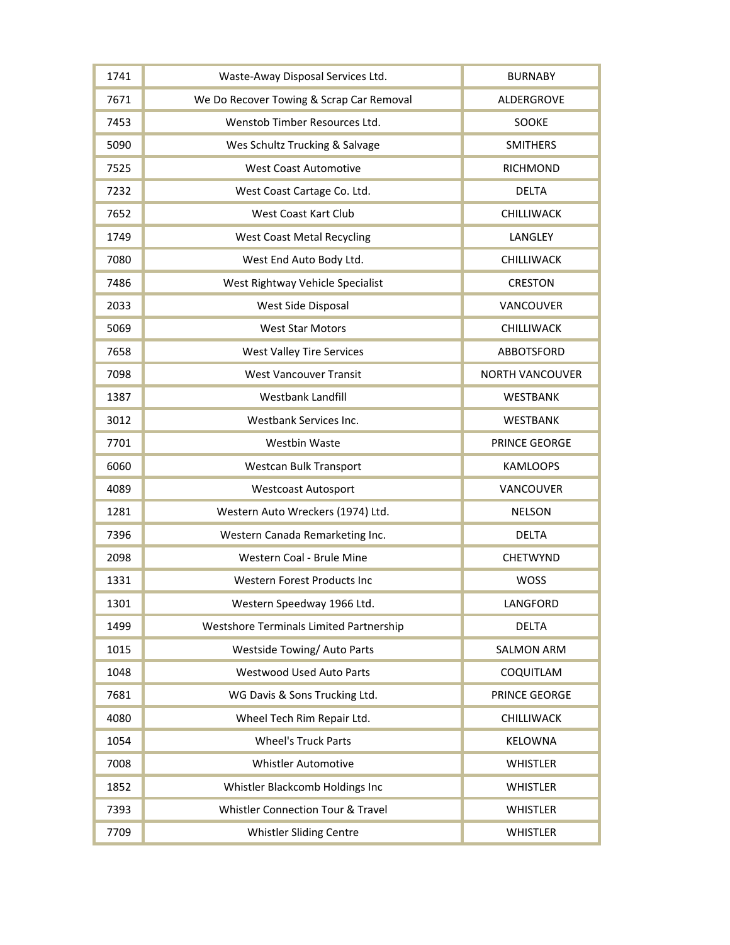| 1741 | Waste-Away Disposal Services Ltd.              | <b>BURNABY</b>         |
|------|------------------------------------------------|------------------------|
| 7671 | We Do Recover Towing & Scrap Car Removal       | ALDERGROVE             |
| 7453 | Wenstob Timber Resources Ltd.                  | SOOKE                  |
| 5090 | Wes Schultz Trucking & Salvage                 | <b>SMITHERS</b>        |
| 7525 | <b>West Coast Automotive</b>                   | <b>RICHMOND</b>        |
| 7232 | West Coast Cartage Co. Ltd.                    | <b>DELTA</b>           |
| 7652 | <b>West Coast Kart Club</b>                    | CHILLIWACK             |
| 1749 | <b>West Coast Metal Recycling</b>              | LANGLEY                |
| 7080 | West End Auto Body Ltd.                        | CHILLIWACK             |
| 7486 | West Rightway Vehicle Specialist               | <b>CRESTON</b>         |
| 2033 | West Side Disposal                             | VANCOUVER              |
| 5069 | <b>West Star Motors</b>                        | CHILLIWACK             |
| 7658 | <b>West Valley Tire Services</b>               | <b>ABBOTSFORD</b>      |
| 7098 | <b>West Vancouver Transit</b>                  | <b>NORTH VANCOUVER</b> |
| 1387 | Westbank Landfill                              | <b>WESTBANK</b>        |
| 3012 | Westbank Services Inc.                         | <b>WESTBANK</b>        |
| 7701 | <b>Westbin Waste</b>                           | PRINCE GEORGE          |
| 6060 | Westcan Bulk Transport                         | <b>KAMLOOPS</b>        |
| 4089 | <b>Westcoast Autosport</b>                     | VANCOUVER              |
| 1281 | Western Auto Wreckers (1974) Ltd.              | <b>NELSON</b>          |
| 7396 | Western Canada Remarketing Inc.                | <b>DELTA</b>           |
| 2098 | Western Coal - Brule Mine                      | CHETWYND               |
| 1331 | Western Forest Products Inc                    | <b>WOSS</b>            |
| 1301 | Western Speedway 1966 Ltd.                     | LANGFORD               |
| 1499 | <b>Westshore Terminals Limited Partnership</b> | <b>DELTA</b>           |
| 1015 | Westside Towing/Auto Parts                     | <b>SALMON ARM</b>      |
| 1048 | Westwood Used Auto Parts                       | COQUITLAM              |
| 7681 | WG Davis & Sons Trucking Ltd.                  | PRINCE GEORGE          |
| 4080 | Wheel Tech Rim Repair Ltd.                     | CHILLIWACK             |
| 1054 | <b>Wheel's Truck Parts</b>                     | <b>KELOWNA</b>         |
| 7008 | <b>Whistler Automotive</b>                     | <b>WHISTLER</b>        |
| 1852 | Whistler Blackcomb Holdings Inc                | <b>WHISTLER</b>        |
| 7393 | <b>Whistler Connection Tour &amp; Travel</b>   | <b>WHISTLER</b>        |
| 7709 | Whistler Sliding Centre                        | <b>WHISTLER</b>        |